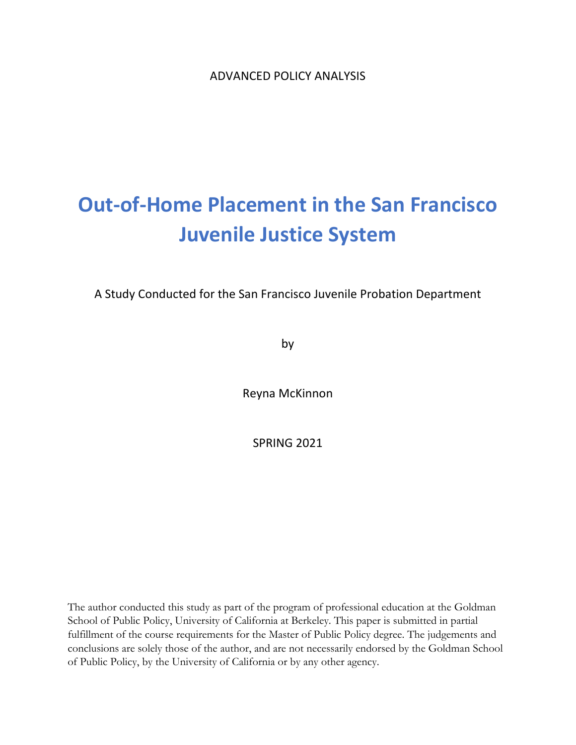ADVANCED POLICY ANALYSIS

# **Out-of-Home Placement in the San Francisco Juvenile Justice System**

A Study Conducted for the San Francisco Juvenile Probation Department

by

Reyna McKinnon

SPRING 2021

The author conducted this study as part of the program of professional education at the Goldman School of Public Policy, University of California at Berkeley. This paper is submitted in partial fulfillment of the course requirements for the Master of Public Policy degree. The judgements and conclusions are solely those of the author, and are not necessarily endorsed by the Goldman School of Public Policy, by the University of California or by any other agency.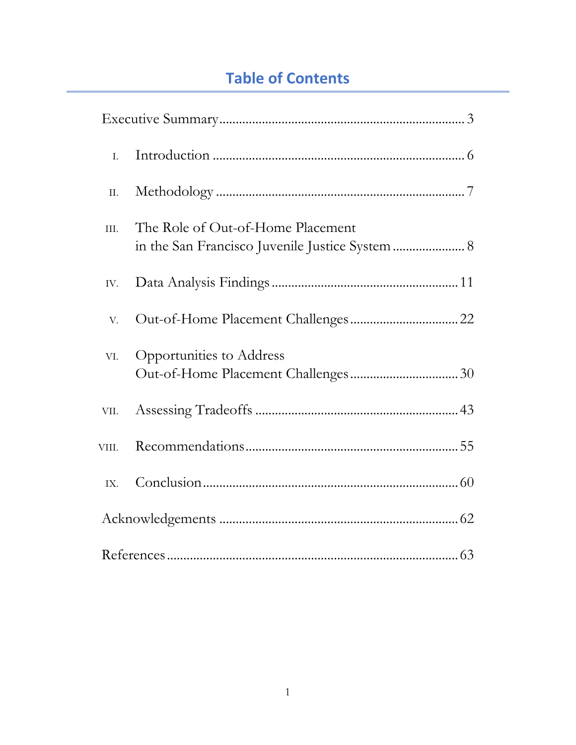# **Table of Contents**

| I.    |                                                                                      |
|-------|--------------------------------------------------------------------------------------|
| Π.    |                                                                                      |
| III.  | The Role of Out-of-Home Placement<br>in the San Francisco Juvenile Justice System  8 |
| IV.   |                                                                                      |
| V.    |                                                                                      |
| VI.   | Opportunities to Address                                                             |
|       |                                                                                      |
| VIII. |                                                                                      |
| IX.   |                                                                                      |
|       |                                                                                      |
|       |                                                                                      |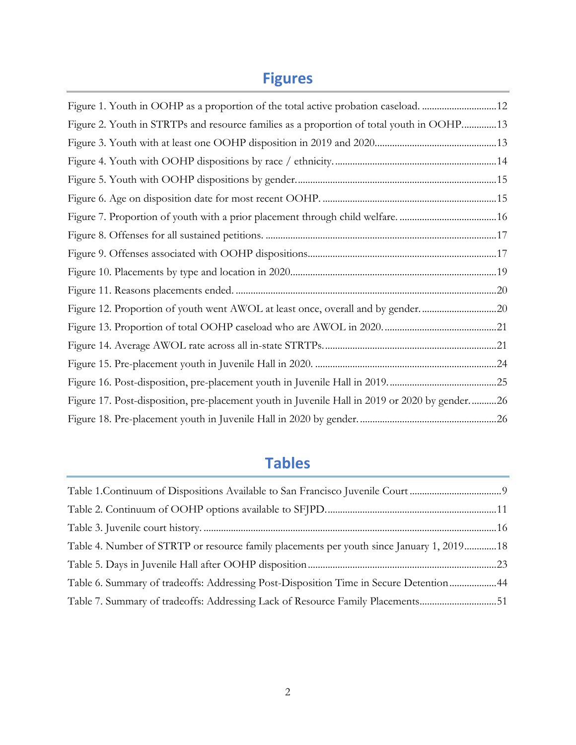# **Figures**

| Figure 1. Youth in OOHP as a proportion of the total active probation caseload. 12            |  |
|-----------------------------------------------------------------------------------------------|--|
| Figure 2. Youth in STRTPs and resource families as a proportion of total youth in OOHP 13     |  |
|                                                                                               |  |
|                                                                                               |  |
|                                                                                               |  |
|                                                                                               |  |
|                                                                                               |  |
|                                                                                               |  |
|                                                                                               |  |
|                                                                                               |  |
|                                                                                               |  |
| Figure 12. Proportion of youth went AWOL at least once, overall and by gender20               |  |
|                                                                                               |  |
|                                                                                               |  |
|                                                                                               |  |
|                                                                                               |  |
| Figure 17. Post-disposition, pre-placement youth in Juvenile Hall in 2019 or 2020 by gender26 |  |
|                                                                                               |  |

# **Tables**

| Table 4. Number of STRTP or resource family placements per youth since January 1, 201918 |  |
|------------------------------------------------------------------------------------------|--|
|                                                                                          |  |
| Table 6. Summary of tradeoffs: Addressing Post-Disposition Time in Secure Detention 44   |  |
| Table 7. Summary of tradeoffs: Addressing Lack of Resource Family Placements51           |  |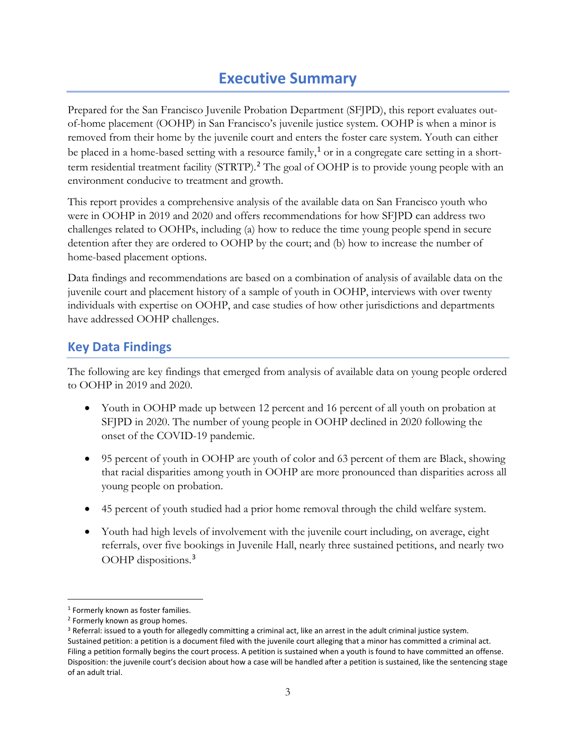# **Executive Summary**

<span id="page-3-0"></span>Prepared for the San Francisco Juvenile Probation Department (SFJPD), this report evaluates outof-home placement (OOHP) in San Francisco's juvenile justice system. OOHP is when a minor is removed from their home by the juvenile court and enters the foster care system. Youth can either be placed in a home-based setting with a resource family,<sup>[1](#page-3-1)</sup> or in a congregate care setting in a short-term residential treatment facility (STRTP).<sup>[2](#page-3-2)</sup> The goal of OOHP is to provide young people with an environment conducive to treatment and growth.

This report provides a comprehensive analysis of the available data on San Francisco youth who were in OOHP in 2019 and 2020 and offers recommendations for how SFJPD can address two challenges related to OOHPs, including (a) how to reduce the time young people spend in secure detention after they are ordered to OOHP by the court; and (b) how to increase the number of home-based placement options.

Data findings and recommendations are based on a combination of analysis of available data on the juvenile court and placement history of a sample of youth in OOHP, interviews with over twenty individuals with expertise on OOHP, and case studies of how other jurisdictions and departments have addressed OOHP challenges.

## **Key Data Findings**

The following are key findings that emerged from analysis of available data on young people ordered to OOHP in 2019 and 2020.

- Youth in OOHP made up between 12 percent and 16 percent of all youth on probation at SFJPD in 2020. The number of young people in OOHP declined in 2020 following the onset of the COVID-19 pandemic.
- 95 percent of youth in OOHP are youth of color and 63 percent of them are Black, showing that racial disparities among youth in OOHP are more pronounced than disparities across all young people on probation.
- 45 percent of youth studied had a prior home removal through the child welfare system.
- Youth had high levels of involvement with the juvenile court including, on average, eight referrals, over five bookings in Juvenile Hall, nearly three sustained petitions, and nearly two OOHP dispositions.[3](#page-3-3)

<span id="page-3-1"></span><sup>&</sup>lt;sup>1</sup> Formerly known as foster families.

<span id="page-3-2"></span><sup>2</sup> Formerly known as group homes.

<span id="page-3-3"></span><sup>&</sup>lt;sup>3</sup> Referral: issued to a youth for allegedly committing a criminal act, like an arrest in the adult criminal justice system. Sustained petition: a petition is a document filed with the juvenile court alleging that a minor has committed a criminal act. Filing a petition formally begins the court process. A petition is sustained when a youth is found to have committed an offense. Disposition: the juvenile court's decision about how a case will be handled after a petition is sustained, like the sentencing stage of an adult trial.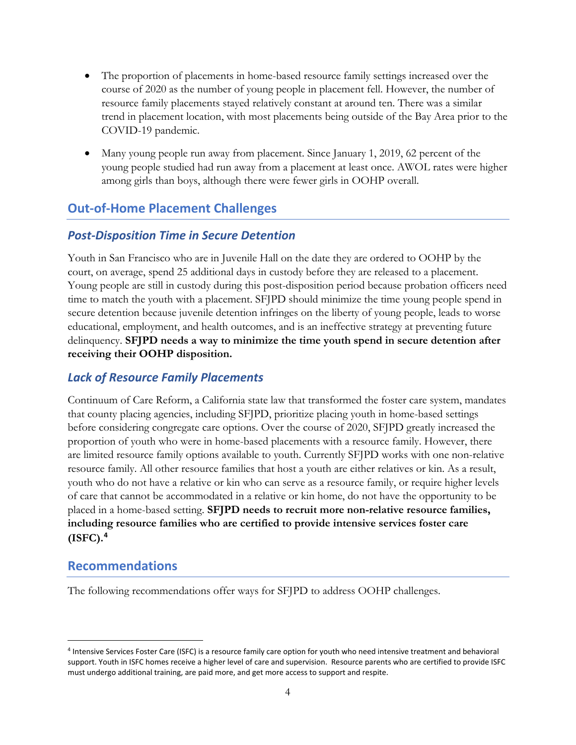- The proportion of placements in home-based resource family settings increased over the course of 2020 as the number of young people in placement fell. However, the number of resource family placements stayed relatively constant at around ten. There was a similar trend in placement location, with most placements being outside of the Bay Area prior to the COVID-19 pandemic.
- Many young people run away from placement. Since January 1, 2019, 62 percent of the young people studied had run away from a placement at least once. AWOL rates were higher among girls than boys, although there were fewer girls in OOHP overall.

## **Out-of-Home Placement Challenges**

## *Post-Disposition Time in Secure Detention*

Youth in San Francisco who are in Juvenile Hall on the date they are ordered to OOHP by the court, on average, spend 25 additional days in custody before they are released to a placement. Young people are still in custody during this post-disposition period because probation officers need time to match the youth with a placement. SFJPD should minimize the time young people spend in secure detention because juvenile detention infringes on the liberty of young people, leads to worse educational, employment, and health outcomes, and is an ineffective strategy at preventing future delinquency. **SFJPD needs a way to minimize the time youth spend in secure detention after receiving their OOHP disposition.** 

## *Lack of Resource Family Placements*

Continuum of Care Reform, a California state law that transformed the foster care system, mandates that county placing agencies, including SFJPD, prioritize placing youth in home-based settings before considering congregate care options. Over the course of 2020, SFJPD greatly increased the proportion of youth who were in home-based placements with a resource family. However, there are limited resource family options available to youth. Currently SFJPD works with one non-relative resource family. All other resource families that host a youth are either relatives or kin. As a result, youth who do not have a relative or kin who can serve as a resource family, or require higher levels of care that cannot be accommodated in a relative or kin home, do not have the opportunity to be placed in a home-based setting. **SFJPD needs to recruit more non-relative resource families, including resource families who are certified to provide intensive services foster care (ISFC). [4](#page-4-0)**

## **Recommendations**

The following recommendations offer ways for SFJPD to address OOHP challenges.

<span id="page-4-0"></span><sup>4</sup> Intensive Services Foster Care (ISFC) is a resource family care option for youth who need intensive treatment and behavioral support. Youth in ISFC homes receive a higher level of care and supervision. Resource parents who are certified to provide ISFC must undergo additional training, are paid more, and get more access to support and respite.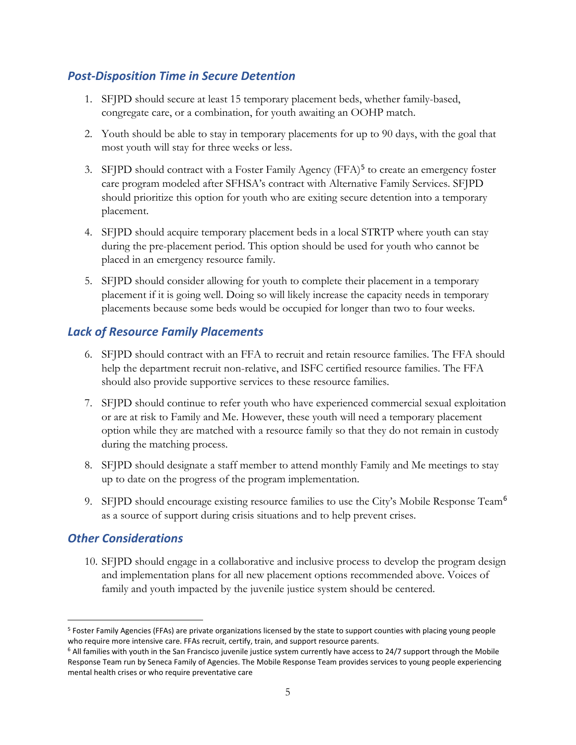## *Post-Disposition Time in Secure Detention*

- 1. SFJPD should secure at least 15 temporary placement beds, whether family-based, congregate care, or a combination, for youth awaiting an OOHP match.
- 2. Youth should be able to stay in temporary placements for up to 90 days, with the goal that most youth will stay for three weeks or less.
- 3. SFJPD should contract with a Foster Family Agency (FFA)<sup>[5](#page-5-0)</sup> to create an emergency foster care program modeled after SFHSA's contract with Alternative Family Services. SFJPD should prioritize this option for youth who are exiting secure detention into a temporary placement.
- 4. SFJPD should acquire temporary placement beds in a local STRTP where youth can stay during the pre-placement period. This option should be used for youth who cannot be placed in an emergency resource family.
- 5. SFJPD should consider allowing for youth to complete their placement in a temporary placement if it is going well. Doing so will likely increase the capacity needs in temporary placements because some beds would be occupied for longer than two to four weeks.

## *Lack of Resource Family Placements*

- 6. SFJPD should contract with an FFA to recruit and retain resource families. The FFA should help the department recruit non-relative, and ISFC certified resource families. The FFA should also provide supportive services to these resource families.
- 7. SFJPD should continue to refer youth who have experienced commercial sexual exploitation or are at risk to Family and Me. However, these youth will need a temporary placement option while they are matched with a resource family so that they do not remain in custody during the matching process.
- 8. SFJPD should designate a staff member to attend monthly Family and Me meetings to stay up to date on the progress of the program implementation.
- 9. SFJPD should encourage existing resource families to use the City's Mobile Response Team<sup>[6](#page-5-1)</sup> as a source of support during crisis situations and to help prevent crises.

## *Other Considerations*

10. SFJPD should engage in a collaborative and inclusive process to develop the program design and implementation plans for all new placement options recommended above. Voices of family and youth impacted by the juvenile justice system should be centered.

<span id="page-5-0"></span><sup>&</sup>lt;sup>5</sup> Foster Family Agencies (FFAs) are private organizations licensed by the state to support counties with placing young people who require more intensive care. FFAs recruit, certify, train, and support resource parents.<br><sup>6</sup> All families with youth in the San Francisco juvenile justice system currently have access to 24/7 support through the Mobile

<span id="page-5-1"></span>Response Team run by Seneca Family of Agencies. The Mobile Response Team provides services to young people experiencing mental health crises or who require preventative care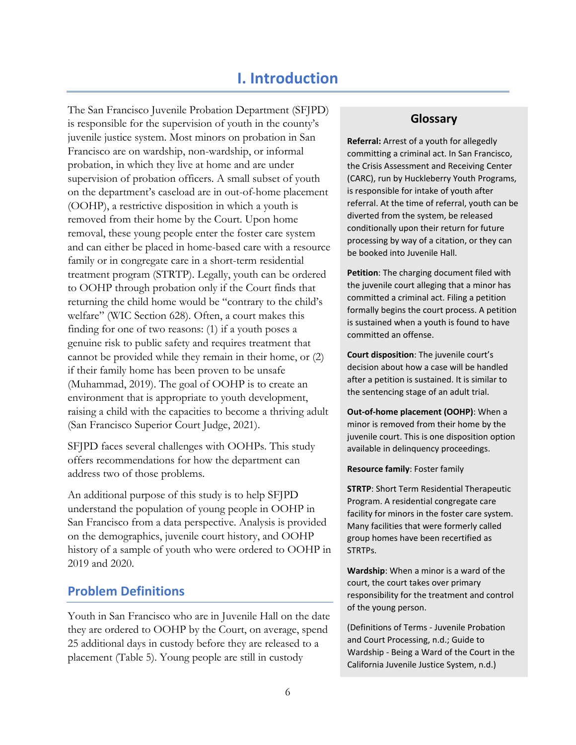## **I. Introduction**

<span id="page-6-0"></span>The San Francisco Juvenile Probation Department (SFJPD) is responsible for the supervision of youth in the county's juvenile justice system. Most minors on probation in San Francisco are on wardship, non-wardship, or informal probation, in which they live at home and are under supervision of probation officers. A small subset of youth on the department's caseload are in out-of-home placement (OOHP), a restrictive disposition in which a youth is removed from their home by the Court. Upon home removal, these young people enter the foster care system and can either be placed in home-based care with a resource family or in congregate care in a short-term residential treatment program (STRTP). Legally, youth can be ordered to OOHP through probation only if the Court finds that returning the child home would be "contrary to the child's welfare" (WIC Section 628). Often, a court makes this finding for one of two reasons: (1) if a youth poses a genuine risk to public safety and requires treatment that cannot be provided while they remain in their home, or (2) if their family home has been proven to be unsafe (Muhammad, 2019). The goal of OOHP is to create an environment that is appropriate to youth development, raising a child with the capacities to become a thriving adult (San Francisco Superior Court Judge, 2021).

SFJPD faces several challenges with OOHPs. This study offers recommendations for how the department can address two of those problems.

An additional purpose of this study is to help SFJPD understand the population of young people in OOHP in San Francisco from a data perspective. Analysis is provided on the demographics, juvenile court history, and OOHP history of a sample of youth who were ordered to OOHP in 2019 and 2020.

## **Problem Definitions**

Youth in San Francisco who are in Juvenile Hall on the date they are ordered to OOHP by the Court, on average, spend 25 additional days in custody before they are released to a placement [\(Table 5\)](#page-23-0). Young people are still in custody

#### **Glossary**

**Referral:** Arrest of a youth for allegedly committing a criminal act. In San Francisco, the Crisis Assessment and Receiving Center (CARC), run by Huckleberry Youth Programs, is responsible for intake of youth after referral. At the time of referral, youth can be diverted from the system, be released conditionally upon their return for future processing by way of a citation, or they can be booked into Juvenile Hall.

**Petition**: The charging document filed with the juvenile court alleging that a minor has committed a criminal act. Filing a petition formally begins the court process. A petition is sustained when a youth is found to have committed an offense.

**Court disposition**: The juvenile court's decision about how a case will be handled after a petition is sustained. It is similar to the sentencing stage of an adult trial.

**Out-of-home placement (OOHP)**: When a minor is removed from their home by the juvenile court. This is one disposition option available in delinquency proceedings.

**Resource family**: Foster family

**STRTP**: Short Term Residential Therapeutic Program. A residential congregate care facility for minors in the foster care system. Many facilities that were formerly called group homes have been recertified as STRTPs.

**Wardship**: When a minor is a ward of the court, the court takes over primary responsibility for the treatment and control of the young person.

(Definitions of Terms - Juvenile Probation and Court Processing, n.d.; Guide to Wardship - Being a Ward of the Court in the California Juvenile Justice System, n.d.)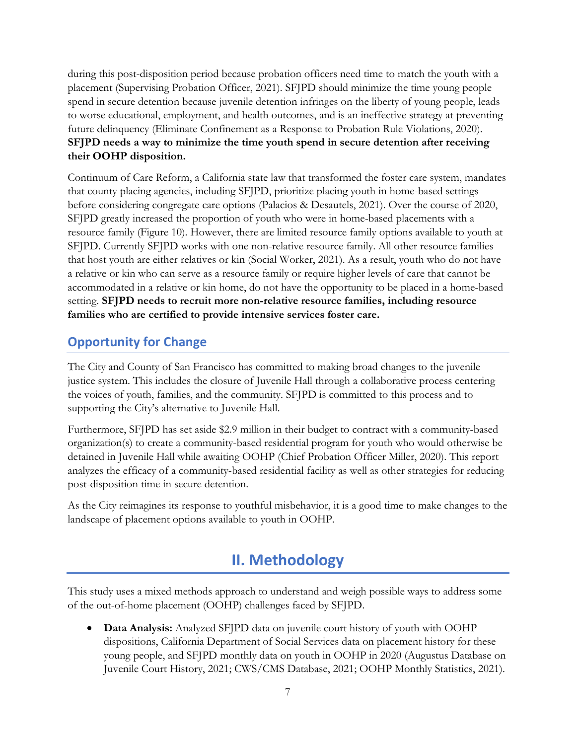during this post-disposition period because probation officers need time to match the youth with a placement (Supervising Probation Officer, 2021). SFJPD should minimize the time young people spend in secure detention because juvenile detention infringes on the liberty of young people, leads to worse educational, employment, and health outcomes, and is an ineffective strategy at preventing future delinquency (Eliminate Confinement as a Response to Probation Rule Violations, 2020). **SFJPD needs a way to minimize the time youth spend in secure detention after receiving their OOHP disposition.** 

Continuum of Care Reform, a California state law that transformed the foster care system, mandates that county placing agencies, including SFJPD, prioritize placing youth in home-based settings before considering congregate care options (Palacios & Desautels, 2021). Over the course of 2020, SFJPD greatly increased the proportion of youth who were in home-based placements with a resource family [\(Figure 10\)](#page-19-0). However, there are limited resource family options available to youth at SFJPD. Currently SFJPD works with one non-relative resource family. All other resource families that host youth are either relatives or kin (Social Worker, 2021). As a result, youth who do not have a relative or kin who can serve as a resource family or require higher levels of care that cannot be accommodated in a relative or kin home, do not have the opportunity to be placed in a home-based setting. **SFJPD needs to recruit more non-relative resource families, including resource families who are certified to provide intensive services foster care.**

## **Opportunity for Change**

The City and County of San Francisco has committed to making broad changes to the juvenile justice system. This includes the closure of Juvenile Hall through a collaborative process centering the voices of youth, families, and the community. SFJPD is committed to this process and to supporting the City's alternative to Juvenile Hall.

Furthermore, SFJPD has set aside \$2.9 million in their budget to contract with a community-based organization(s) to create a community-based residential program for youth who would otherwise be detained in Juvenile Hall while awaiting OOHP (Chief Probation Officer Miller, 2020). This report analyzes the efficacy of a community-based residential facility as well as other strategies for reducing post-disposition time in secure detention.

<span id="page-7-0"></span>As the City reimagines its response to youthful misbehavior, it is a good time to make changes to the landscape of placement options available to youth in OOHP.

# **II. Methodology**

This study uses a mixed methods approach to understand and weigh possible ways to address some of the out-of-home placement (OOHP) challenges faced by SFJPD.

• **Data Analysis:** Analyzed SFJPD data on juvenile court history of youth with OOHP dispositions, California Department of Social Services data on placement history for these young people, and SFJPD monthly data on youth in OOHP in 2020 (Augustus Database on Juvenile Court History, 2021; CWS/CMS Database, 2021; OOHP Monthly Statistics, 2021).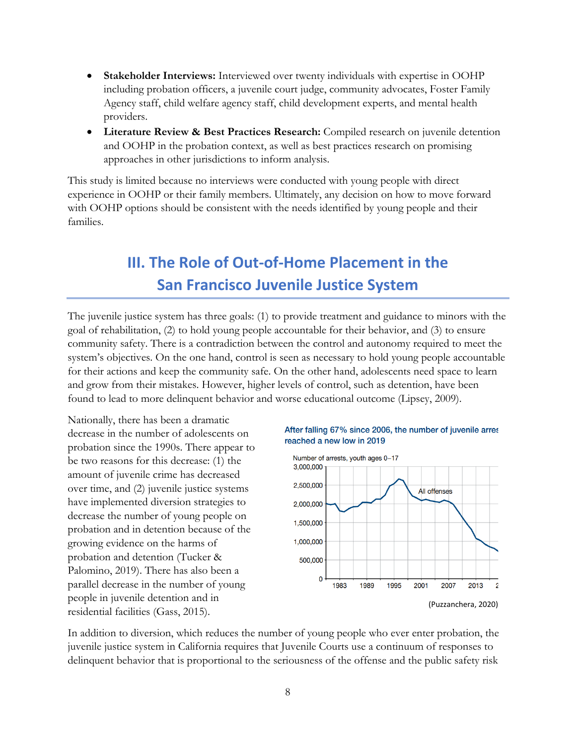- **Stakeholder Interviews:** Interviewed over twenty individuals with expertise in OOHP including probation officers, a juvenile court judge, community advocates, Foster Family Agency staff, child welfare agency staff, child development experts, and mental health providers.
- **Literature Review & Best Practices Research:** Compiled research on juvenile detention and OOHP in the probation context, as well as best practices research on promising approaches in other jurisdictions to inform analysis.

<span id="page-8-0"></span>This study is limited because no interviews were conducted with young people with direct experience in OOHP or their family members. Ultimately, any decision on how to move forward with OOHP options should be consistent with the needs identified by young people and their families.

# **III. The Role of Out-of-Home Placement in the San Francisco Juvenile Justice System**

The juvenile justice system has three goals: (1) to provide treatment and guidance to minors with the goal of rehabilitation, (2) to hold young people accountable for their behavior, and (3) to ensure community safety. There is a contradiction between the control and autonomy required to meet the system's objectives. On the one hand, control is seen as necessary to hold young people accountable for their actions and keep the community safe. On the other hand, adolescents need space to learn and grow from their mistakes. However, higher levels of control, such as detention, have been found to lead to more delinquent behavior and worse educational outcome (Lipsey, 2009).

Nationally, there has been a dramatic decrease in the number of adolescents on probation since the 1990s. There appear to be two reasons for this decrease: (1) the amount of juvenile crime has decreased over time, and (2) juvenile justice systems have implemented diversion strategies to decrease the number of young people on probation and in detention because of the growing evidence on the harms of probation and detention (Tucker & Palomino, 2019). There has also been a parallel decrease in the number of young people in juvenile detention and in residential facilities (Gass, 2015).





In addition to diversion, which reduces the number of young people who ever enter probation, the juvenile justice system in California requires that Juvenile Courts use a continuum of responses to delinquent behavior that is proportional to the seriousness of the offense and the public safety risk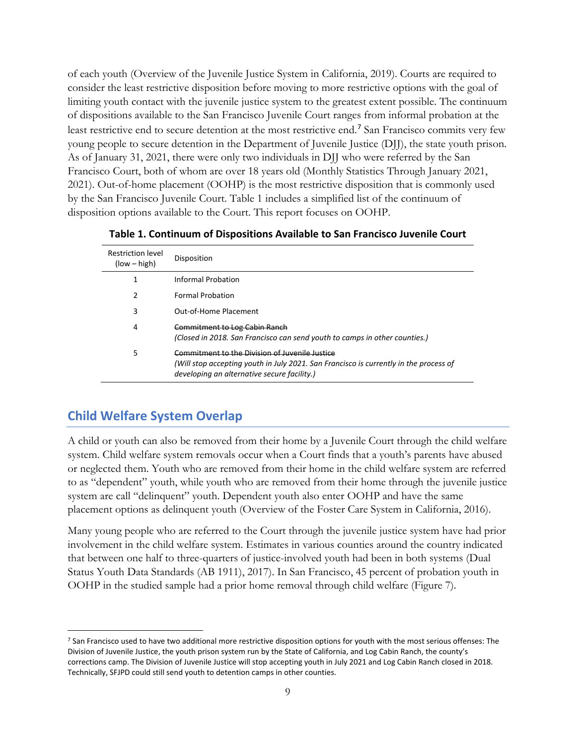of each youth (Overview of the Juvenile Justice System in California, 2019). Courts are required to consider the least restrictive disposition before moving to more restrictive options with the goal of limiting youth contact with the juvenile justice system to the greatest extent possible. The continuum of dispositions available to the San Francisco Juvenile Court ranges from informal probation at the least restrictive end to secure detention at the most restrictive end.[7](#page-9-1) San Francisco commits very few young people to secure detention in the Department of Juvenile Justice (DJJ), the state youth prison. As of January 31, 2021, there were only two individuals in DJJ who were referred by the San Francisco Court, both of whom are over 18 years old (Monthly Statistics Through January 2021, 2021). Out-of-home placement (OOHP) is the most restrictive disposition that is commonly used by the San Francisco Juvenile Court. [Table 1](#page-9-0) includes a simplified list of the continuum of disposition options available to the Court. This report focuses on OOHP.

<span id="page-9-0"></span>

| <b>Restriction level</b><br>$(low - high)$ | Disposition                                                                                                                                                                            |
|--------------------------------------------|----------------------------------------------------------------------------------------------------------------------------------------------------------------------------------------|
|                                            | Informal Probation                                                                                                                                                                     |
| 2                                          | <b>Formal Probation</b>                                                                                                                                                                |
| 3                                          | Out-of-Home Placement                                                                                                                                                                  |
| 4                                          | Commitment to Log Cabin Ranch<br>(Closed in 2018. San Francisco can send youth to camps in other counties.)                                                                            |
| 5                                          | Commitment to the Division of Juvenile Justice<br>(Will stop accepting youth in July 2021. San Francisco is currently in the process of<br>developing an alternative secure facility.) |

**Table 1. Continuum of Dispositions Available to San Francisco Juvenile Court**

## **Child Welfare System Overlap**

A child or youth can also be removed from their home by a Juvenile Court through the child welfare system. Child welfare system removals occur when a Court finds that a youth's parents have abused or neglected them. Youth who are removed from their home in the child welfare system are referred to as "dependent" youth, while youth who are removed from their home through the juvenile justice system are call "delinquent" youth. Dependent youth also enter OOHP and have the same placement options as delinquent youth (Overview of the Foster Care System in California, 2016).

Many young people who are referred to the Court through the juvenile justice system have had prior involvement in the child welfare system. Estimates in various counties around the country indicated that between one half to three-quarters of justice-involved youth had been in both systems (Dual Status Youth Data Standards (AB 1911), 2017). In San Francisco, 45 percent of probation youth in OOHP in the studied sample had a prior home removal through child welfare [\(Figure 7\)](#page-16-0).

<span id="page-9-1"></span><sup>&</sup>lt;sup>7</sup> San Francisco used to have two additional more restrictive disposition options for youth with the most serious offenses: The Division of Juvenile Justice, the youth prison system run by the State of California, and Log Cabin Ranch, the county's corrections camp. The Division of Juvenile Justice will stop accepting youth in July 2021 and Log Cabin Ranch closed in 2018. Technically, SFJPD could still send youth to detention camps in other counties.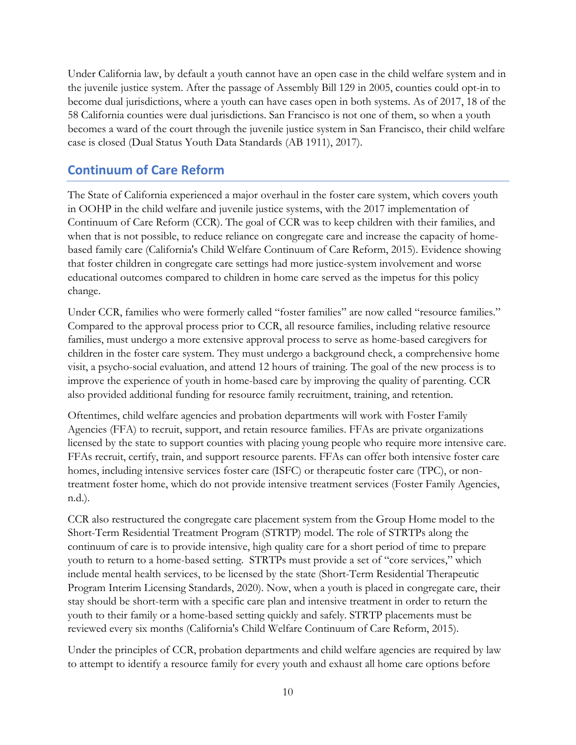Under California law, by default a youth cannot have an open case in the child welfare system and in the juvenile justice system. After the passage of Assembly Bill 129 in 2005, counties could opt-in to become dual jurisdictions, where a youth can have cases open in both systems. As of 2017, 18 of the 58 California counties were dual jurisdictions. San Francisco is not one of them, so when a youth becomes a ward of the court through the juvenile justice system in San Francisco, their child welfare case is closed (Dual Status Youth Data Standards (AB 1911), 2017).

## **Continuum of Care Reform**

The State of California experienced a major overhaul in the foster care system, which covers youth in OOHP in the child welfare and juvenile justice systems, with the 2017 implementation of Continuum of Care Reform (CCR). The goal of CCR was to keep children with their families, and when that is not possible, to reduce reliance on congregate care and increase the capacity of homebased family care (California's Child Welfare Continuum of Care Reform, 2015). Evidence showing that foster children in congregate care settings had more justice-system involvement and worse educational outcomes compared to children in home care served as the impetus for this policy change.

Under CCR, families who were formerly called "foster families" are now called "resource families." Compared to the approval process prior to CCR, all resource families, including relative resource families, must undergo a more extensive approval process to serve as home-based caregivers for children in the foster care system. They must undergo a background check, a comprehensive home visit, a psycho-social evaluation, and attend 12 hours of training. The goal of the new process is to improve the experience of youth in home-based care by improving the quality of parenting. CCR also provided additional funding for resource family recruitment, training, and retention.

Oftentimes, child welfare agencies and probation departments will work with Foster Family Agencies (FFA) to recruit, support, and retain resource families. FFAs are private organizations licensed by the state to support counties with placing young people who require more intensive care. FFAs recruit, certify, train, and support resource parents. FFAs can offer both intensive foster care homes, including intensive services foster care (ISFC) or therapeutic foster care (TPC), or nontreatment foster home, which do not provide intensive treatment services (Foster Family Agencies, n.d.).

CCR also restructured the congregate care placement system from the Group Home model to the Short-Term Residential Treatment Program (STRTP) model. The role of STRTPs along the continuum of care is to provide intensive, high quality care for a short period of time to prepare youth to return to a home-based setting. STRTPs must provide a set of "core services," which include mental health services, to be licensed by the state (Short-Term Residential Therapeutic Program Interim Licensing Standards, 2020). Now, when a youth is placed in congregate care, their stay should be short-term with a specific care plan and intensive treatment in order to return the youth to their family or a home-based setting quickly and safely. STRTP placements must be reviewed every six months (California's Child Welfare Continuum of Care Reform, 2015).

Under the principles of CCR, probation departments and child welfare agencies are required by law to attempt to identify a resource family for every youth and exhaust all home care options before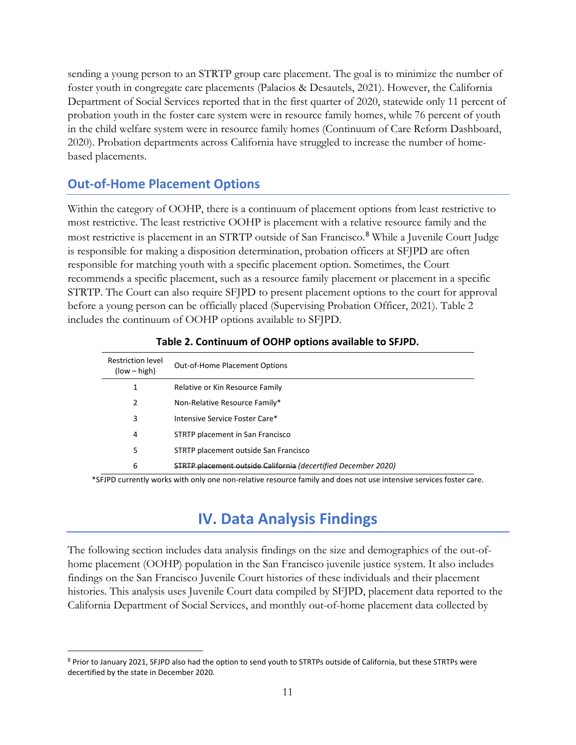sending a young person to an STRTP group care placement. The goal is to minimize the number of foster youth in congregate care placements (Palacios & Desautels, 2021). However, the California Department of Social Services reported that in the first quarter of 2020, statewide only 11 percent of probation youth in the foster care system were in resource family homes, while 76 percent of youth in the child welfare system were in resource family homes (Continuum of Care Reform Dashboard, 2020). Probation departments across California have struggled to increase the number of homebased placements.

## **Out-of-Home Placement Options**

Within the category of OOHP, there is a continuum of placement options from least restrictive to most restrictive. The least restrictive OOHP is placement with a relative resource family and the most restrictive is placement in an STRTP outside of San Francisco.<sup>[8](#page-11-2)</sup> While a Juvenile Court Judge is responsible for making a disposition determination, probation officers at SFJPD are often responsible for matching youth with a specific placement option. Sometimes, the Court recommends a specific placement, such as a resource family placement or placement in a specific STRTP. The Court can also require SFJPD to present placement options to the court for approval before a young person can be officially placed (Supervising Probation Officer, 2021). Table 2 includes the continuum of OOHP options available to SFJPD.

<span id="page-11-1"></span>

| <b>Restriction level</b><br>$(low - high)$ | <b>Out-of-Home Placement Options</b>                                  |
|--------------------------------------------|-----------------------------------------------------------------------|
| 1                                          | Relative or Kin Resource Family                                       |
| 2                                          | Non-Relative Resource Family*                                         |
| 3                                          | Intensive Service Foster Care*                                        |
| 4                                          | STRTP placement in San Francisco                                      |
| 5                                          | STRTP placement outside San Francisco                                 |
| 6                                          | <b>STRTP placement outside California (decertified December 2020)</b> |

#### **Table 2. Continuum of OOHP options available to SFJPD.**

<span id="page-11-0"></span>\*SFJPD currently works with only one non-relative resource family and does not use intensive services foster care.

## **IV. Data Analysis Findings**

The following section includes data analysis findings on the size and demographics of the out-ofhome placement (OOHP) population in the San Francisco juvenile justice system. It also includes findings on the San Francisco Juvenile Court histories of these individuals and their placement histories. This analysis uses Juvenile Court data compiled by SFJPD, placement data reported to the California Department of Social Services, and monthly out-of-home placement data collected by

<span id="page-11-2"></span><sup>8</sup> Prior to January 2021, SFJPD also had the option to send youth to STRTPs outside of California, but these STRTPs were decertified by the state in December 2020.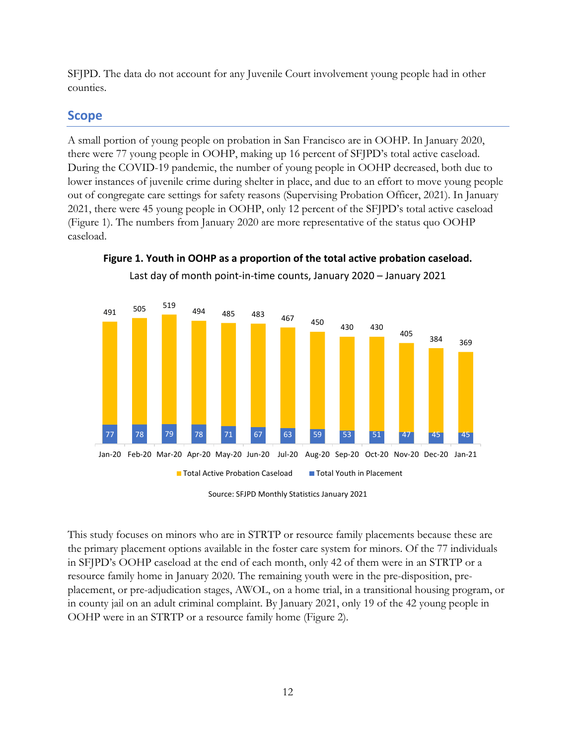SFJPD. The data do not account for any Juvenile Court involvement young people had in other counties.

## **Scope**

A small portion of young people on probation in San Francisco are in OOHP. In January 2020, there were 77 young people in OOHP, making up 16 percent of SFJPD's total active caseload. During the COVID-19 pandemic, the number of young people in OOHP decreased, both due to lower instances of juvenile crime during shelter in place, and due to an effort to move young people out of congregate care settings for safety reasons (Supervising Probation Officer, 2021). In January 2021, there were 45 young people in OOHP, only 12 percent of the SFJPD's total active caseload [\(Figure 1\)](#page-12-0). The numbers from January 2020 are more representative of the status quo OOHP caseload.



<span id="page-12-0"></span>**Figure 1. Youth in OOHP as a proportion of the total active probation caseload.** Last day of month point-in-time counts, January 2020 – January 2021

This study focuses on minors who are in STRTP or resource family placements because these are the primary placement options available in the foster care system for minors. Of the 77 individuals in SFJPD's OOHP caseload at the end of each month, only 42 of them were in an STRTP or a resource family home in January 2020. The remaining youth were in the pre-disposition, preplacement, or pre-adjudication stages, AWOL, on a home trial, in a transitional housing program, or in county jail on an adult criminal complaint. By January 2021, only 19 of the 42 young people in OOHP were in an STRTP or a resource family home [\(Figure 2\)](#page-13-0).

Source: SFJPD Monthly Statistics January 2021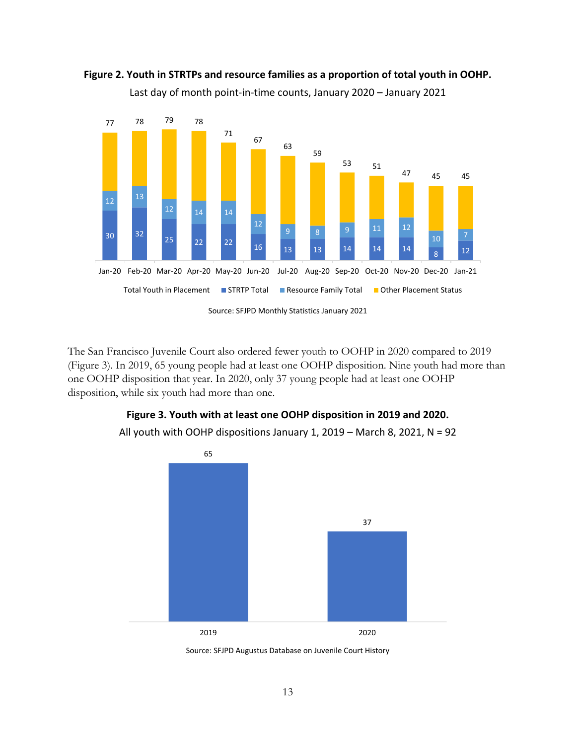

<span id="page-13-0"></span>

The San Francisco Juvenile Court also ordered fewer youth to OOHP in 2020 compared to 2019 [\(Figure 3\)](#page-13-1). In 2019, 65 young people had at least one OOHP disposition. Nine youth had more than one OOHP disposition that year. In 2020, only 37 young people had at least one OOHP disposition, while six youth had more than one.

# **Figure 3. Youth with at least one OOHP disposition in 2019 and 2020.**



<span id="page-13-1"></span>All youth with OOHP dispositions January 1, 2019 – March 8, 2021, N = 92

Source: SFJPD Augustus Database on Juvenile Court History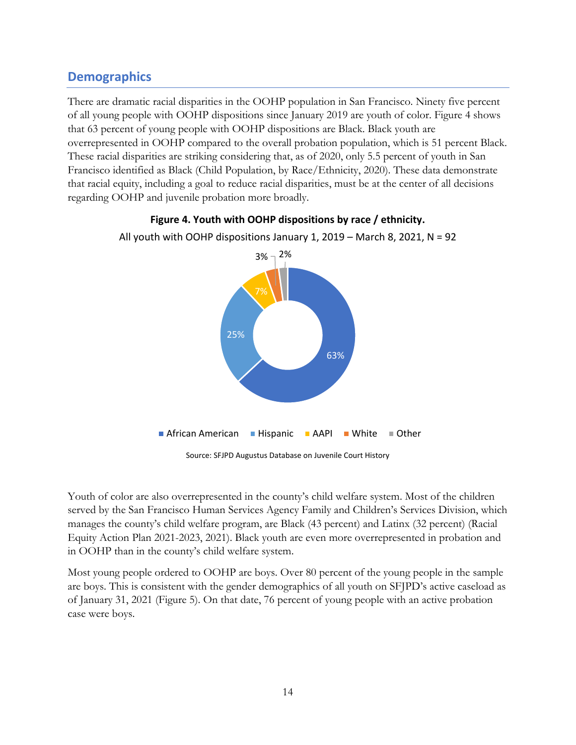## **Demographics**

There are dramatic racial disparities in the OOHP population in San Francisco. Ninety five percent of all young people with OOHP dispositions since January 2019 are youth of color. [Figure 4](#page-14-0) shows that 63 percent of young people with OOHP dispositions are Black. Black youth are overrepresented in OOHP compared to the overall probation population, which is 51 percent Black. These racial disparities are striking considering that, as of 2020, only 5.5 percent of youth in San Francisco identified as Black (Child Population, by Race/Ethnicity, 2020). These data demonstrate that racial equity, including a goal to reduce racial disparities, must be at the center of all decisions regarding OOHP and juvenile probation more broadly.

<span id="page-14-0"></span>

**Figure 4. Youth with OOHP dispositions by race / ethnicity.**

Source: SFJPD Augustus Database on Juvenile Court History

Youth of color are also overrepresented in the county's child welfare system. Most of the children served by the San Francisco Human Services Agency Family and Children's Services Division, which manages the county's child welfare program, are Black (43 percent) and Latinx (32 percent) (Racial Equity Action Plan 2021-2023, 2021). Black youth are even more overrepresented in probation and in OOHP than in the county's child welfare system.

Most young people ordered to OOHP are boys. Over 80 percent of the young people in the sample are boys. This is consistent with the gender demographics of all youth on SFJPD's active caseload as of January 31, 2021 [\(Figure 5\)](#page-15-0). On that date, 76 percent of young people with an active probation case were boys.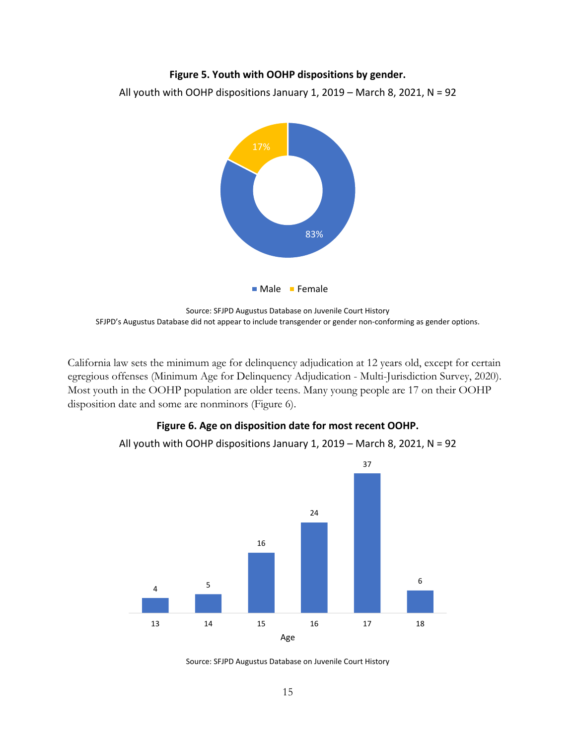#### **Figure 5. Youth with OOHP dispositions by gender.**

<span id="page-15-0"></span>All youth with OOHP dispositions January 1, 2019 – March 8, 2021, N = 92



Source: SFJPD Augustus Database on Juvenile Court History SFJPD's Augustus Database did not appear to include transgender or gender non-conforming as gender options.

California law sets the minimum age for delinquency adjudication at 12 years old, except for certain egregious offenses (Minimum Age for Delinquency Adjudication - Multi-Jurisdiction Survey, 2020). Most youth in the OOHP population are older teens. Many young people are 17 on their OOHP disposition date and some are nonminors [\(Figure 6\)](#page-15-1).

#### **Figure 6. Age on disposition date for most recent OOHP.**



<span id="page-15-1"></span>All youth with OOHP dispositions January 1, 2019 – March 8, 2021, N = 92

Source: SFJPD Augustus Database on Juvenile Court History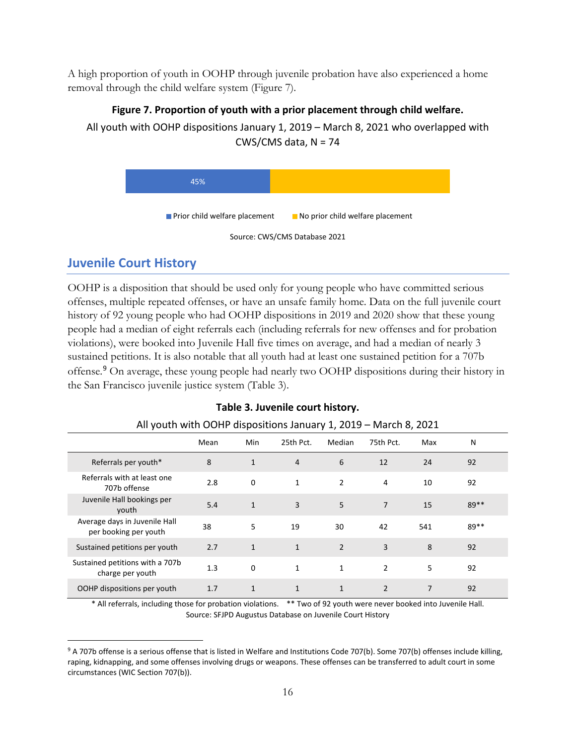A high proportion of youth in OOHP through juvenile probation have also experienced a home removal through the child welfare system [\(Figure 7\)](#page-16-0).

#### **Figure 7. Proportion of youth with a prior placement through child welfare.**

<span id="page-16-0"></span>All youth with OOHP dispositions January 1, 2019 – March 8, 2021 who overlapped with CWS/CMS data,  $N = 74$ 





## **Juvenile Court History**

OOHP is a disposition that should be used only for young people who have committed serious offenses, multiple repeated offenses, or have an unsafe family home. Data on the full juvenile court history of 92 young people who had OOHP dispositions in 2019 and 2020 show that these young people had a median of eight referrals each (including referrals for new offenses and for probation violations), were booked into Juvenile Hall five times on average, and had a median of nearly 3 sustained petitions. It is also notable that all youth had at least one sustained petition for a 707b offense.[9](#page-16-2) On average, these young people had nearly two OOHP dispositions during their history in the San Francisco juvenile justice system [\(Table 3\)](#page-16-1).

<span id="page-16-1"></span>

| All youth with OOHP dispositions January 1, 2019 - March 8, 2021 |      |              |                |                |           |     |      |
|------------------------------------------------------------------|------|--------------|----------------|----------------|-----------|-----|------|
|                                                                  | Mean | Min          | 25th Pct.      | Median         | 75th Pct. | Max | N    |
| Referrals per youth*                                             | 8    | $\mathbf{1}$ | $\overline{4}$ | 6              | 12        | 24  | 92   |
| Referrals with at least one<br>707b offense                      | 2.8  | $\mathbf 0$  | 1              | $\overline{2}$ | 4         | 10  | 92   |
| Juvenile Hall bookings per<br>youth                              | 5.4  | $\mathbf{1}$ | 3              | 5              | 7         | 15  | 89** |
| Average days in Juvenile Hall<br>per booking per youth           | 38   | 5            | 19             | 30             | 42        | 541 | 89** |
| Sustained petitions per youth                                    | 2.7  | $\mathbf{1}$ | $\mathbf{1}$   | $\overline{2}$ | 3         | 8   | 92   |
| Sustained petitions with a 707b<br>charge per youth              | 1.3  | $\Omega$     | 1              | $\mathbf{1}$   | 2         | 5   | 92   |
| OOHP dispositions per youth                                      | 1.7  | $\mathbf{1}$ | $\mathbf{1}$   | $\mathbf{1}$   | 2         | 7   | 92   |

#### **Table 3. Juvenile court history.**

\* All referrals, including those for probation violations. \*\* Two of 92 youth were never booked into Juvenile Hall. Source: SFJPD Augustus Database on Juvenile Court History

<span id="page-16-2"></span><sup>&</sup>lt;sup>9</sup> A 707b offense is a serious offense that is listed in Welfare and Institutions Code 707(b). Some 707(b) offenses include killing, raping, kidnapping, and some offenses involving drugs or weapons. These offenses can be transferred to adult court in some circumstances (WIC Section 707(b)).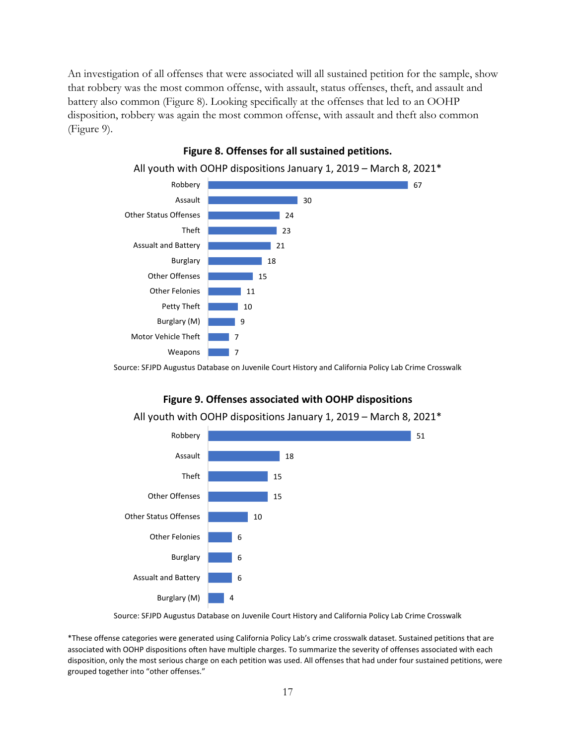An investigation of all offenses that were associated will all sustained petition for the sample, show that robbery was the most common offense, with assault, status offenses, theft, and assault and battery also common [\(Figure 8\)](#page-17-0). Looking specifically at the offenses that led to an OOHP disposition, robbery was again the most common offense, with assault and theft also common [\(Figure 9\)](#page-17-1).

<span id="page-17-0"></span>

## **Figure 8. Offenses for all sustained petitions.**

<span id="page-17-1"></span>Source: SFJPD Augustus Database on Juvenile Court History and California Policy Lab Crime Crosswalk



#### **Figure 9. Offenses associated with OOHP dispositions**

All youth with OOHP dispositions January 1, 2019 – March 8, 2021\*

Source: SFJPD Augustus Database on Juvenile Court History and California Policy Lab Crime Crosswalk

\*These offense categories were generated using California Policy Lab's crime crosswalk dataset. Sustained petitions that are associated with OOHP dispositions often have multiple charges. To summarize the severity of offenses associated with each disposition, only the most serious charge on each petition was used. All offenses that had under four sustained petitions, were grouped together into "other offenses."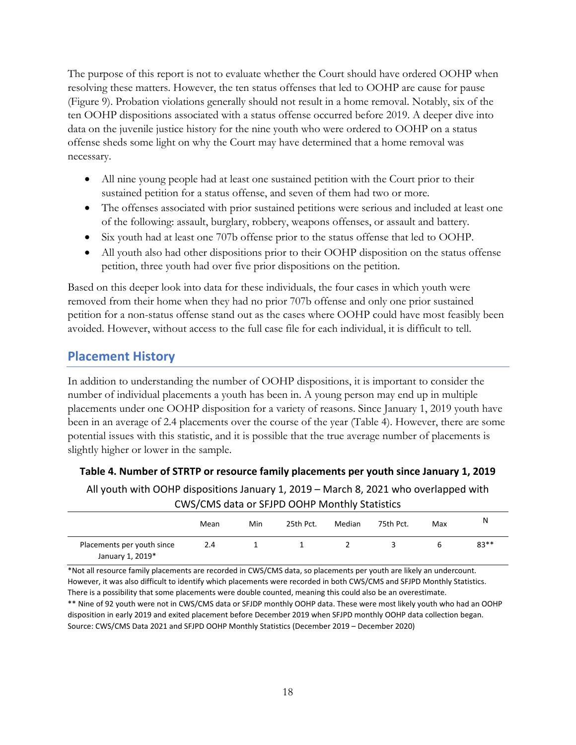The purpose of this report is not to evaluate whether the Court should have ordered OOHP when resolving these matters. However, the ten status offenses that led to OOHP are cause for pause [\(Figure 9\)](#page-17-1). Probation violations generally should not result in a home removal. Notably, six of the ten OOHP dispositions associated with a status offense occurred before 2019. A deeper dive into data on the juvenile justice history for the nine youth who were ordered to OOHP on a status offense sheds some light on why the Court may have determined that a home removal was necessary.

- All nine young people had at least one sustained petition with the Court prior to their sustained petition for a status offense, and seven of them had two or more.
- The offenses associated with prior sustained petitions were serious and included at least one of the following: assault, burglary, robbery, weapons offenses, or assault and battery.
- Six youth had at least one 707b offense prior to the status offense that led to OOHP.
- All youth also had other dispositions prior to their OOHP disposition on the status offense petition, three youth had over five prior dispositions on the petition.

Based on this deeper look into data for these individuals, the four cases in which youth were removed from their home when they had no prior 707b offense and only one prior sustained petition for a non-status offense stand out as the cases where OOHP could have most feasibly been avoided. However, without access to the full case file for each individual, it is difficult to tell.

## **Placement History**

In addition to understanding the number of OOHP dispositions, it is important to consider the number of individual placements a youth has been in. A young person may end up in multiple placements under one OOHP disposition for a variety of reasons. Since January 1, 2019 youth have been in an average of 2.4 placements over the course of the year [\(Table 4\)](#page-18-0). However, there are some potential issues with this statistic, and it is possible that the true average number of placements is slightly higher or lower in the sample.

#### <span id="page-18-0"></span>**Table 4. Number of STRTP or resource family placements per youth since January 1, 2019**

All youth with OOHP dispositions January 1, 2019 – March 8, 2021 who overlapped with CWS/CMS data or SFJPD OOHP Monthly Statistics

|                                                | Mean | Min | 25th Pct. | Median | 75th Pct. | Max | N      |
|------------------------------------------------|------|-----|-----------|--------|-----------|-----|--------|
| Placements per youth since<br>January 1, 2019* | 2.4  |     |           |        |           | h   | $83**$ |

\*Not all resource family placements are recorded in CWS/CMS data, so placements per youth are likely an undercount. However, it was also difficult to identify which placements were recorded in both CWS/CMS and SFJPD Monthly Statistics. There is a possibility that some placements were double counted, meaning this could also be an overestimate. \*\* Nine of 92 youth were not in CWS/CMS data or SFJDP monthly OOHP data. These were most likely youth who had an OOHP disposition in early 2019 and exited placement before December 2019 when SFJPD monthly OOHP data collection began. Source: CWS/CMS Data 2021 and SFJPD OOHP Monthly Statistics (December 2019 – December 2020)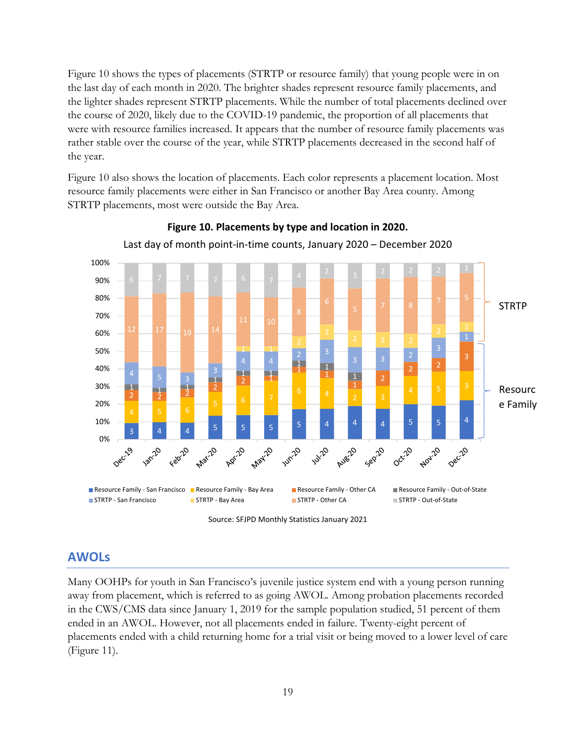[Figure 10](#page-19-0) shows the types of placements (STRTP or resource family) that young people were in on the last day of each month in 2020. The brighter shades represent resource family placements, and the lighter shades represent STRTP placements. While the number of total placements declined over the course of 2020, likely due to the COVID-19 pandemic, the proportion of all placements that were with resource families increased. It appears that the number of resource family placements was rather stable over the course of the year, while STRTP placements decreased in the second half of the year.

[Figure 10](#page-19-0) also shows the location of placements. Each color represents a placement location. Most resource family placements were either in San Francisco or another Bay Area county. Among STRTP placements, most were outside the Bay Area.

<span id="page-19-0"></span>

**Figure 10. Placements by type and location in 2020.** Last day of month point-in-time counts, January 2020 – December 2020

Source: SFJPD Monthly Statistics January 2021

#### **AWOLs**

Many OOHPs for youth in San Francisco's juvenile justice system end with a young person running away from placement, which is referred to as going AWOL. Among probation placements recorded in the CWS/CMS data since January 1, 2019 for the sample population studied, 51 percent of them ended in an AWOL. However, not all placements ended in failure. Twenty-eight percent of placements ended with a child returning home for a trial visit or being moved to a lower level of care [\(Figure 11\)](#page-20-0).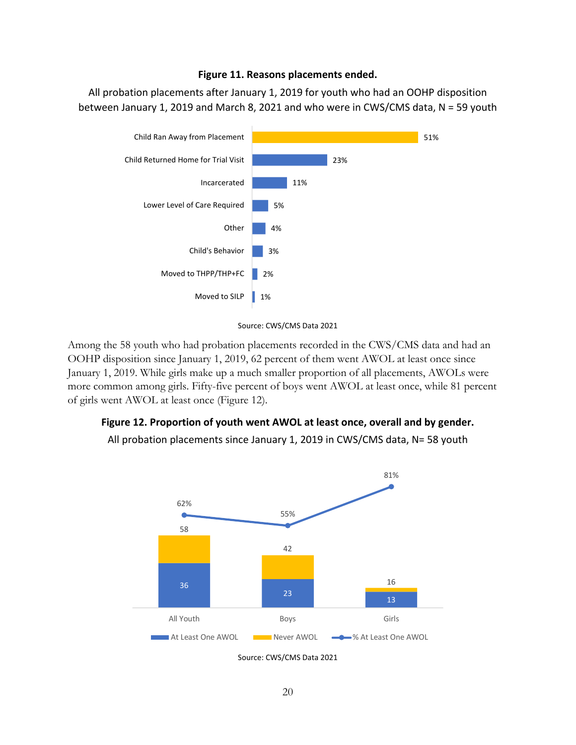#### **Figure 11. Reasons placements ended.**

<span id="page-20-0"></span>All probation placements after January 1, 2019 for youth who had an OOHP disposition between January 1, 2019 and March 8, 2021 and who were in CWS/CMS data, N = 59 youth





Among the 58 youth who had probation placements recorded in the CWS/CMS data and had an OOHP disposition since January 1, 2019, 62 percent of them went AWOL at least once since January 1, 2019. While girls make up a much smaller proportion of all placements, AWOLs were more common among girls. Fifty-five percent of boys went AWOL at least once, while 81 percent of girls went AWOL at least once [\(Figure 12\)](#page-20-1).

#### <span id="page-20-1"></span>**Figure 12. Proportion of youth went AWOL at least once, overall and by gender.**

All probation placements since January 1, 2019 in CWS/CMS data, N= 58 youth



Source: CWS/CMS Data 2021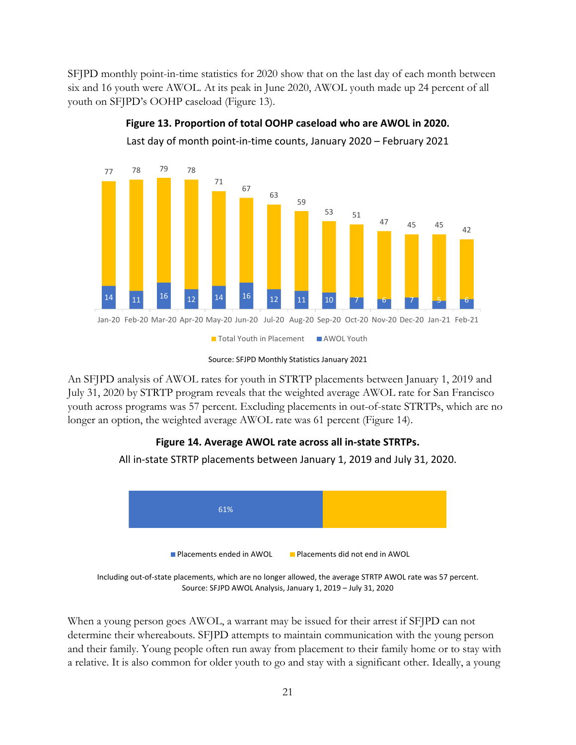SFJPD monthly point-in-time statistics for 2020 show that on the last day of each month between six and 16 youth were AWOL. At its peak in June 2020, AWOL youth made up 24 percent of all youth on SFJPD's OOHP caseload [\(Figure 13\)](#page-21-0).

<span id="page-21-0"></span>

**Figure 13. Proportion of total OOHP caseload who are AWOL in 2020.**

Last day of month point-in-time counts, January 2020 – February 2021

An SFJPD analysis of AWOL rates for youth in STRTP placements between January 1, 2019 and July 31, 2020 by STRTP program reveals that the weighted average AWOL rate for San Francisco youth across programs was 57 percent. Excluding placements in out-of-state STRTPs, which are no longer an option, the weighted average AWOL rate was 61 percent [\(Figure 14\)](#page-21-1).

## **Figure 14. Average AWOL rate across all in-state STRTPs.**

<span id="page-21-1"></span>All in-state STRTP placements between January 1, 2019 and July 31, 2020.



Including out-of-state placements, which are no longer allowed, the average STRTP AWOL rate was 57 percent. Source: SFJPD AWOL Analysis, January 1, 2019 – July 31, 2020

When a young person goes AWOL, a warrant may be issued for their arrest if SFJPD can not determine their whereabouts. SFJPD attempts to maintain communication with the young person and their family. Young people often run away from placement to their family home or to stay with a relative. It is also common for older youth to go and stay with a significant other. Ideally, a young

Source: SFJPD Monthly Statistics January 2021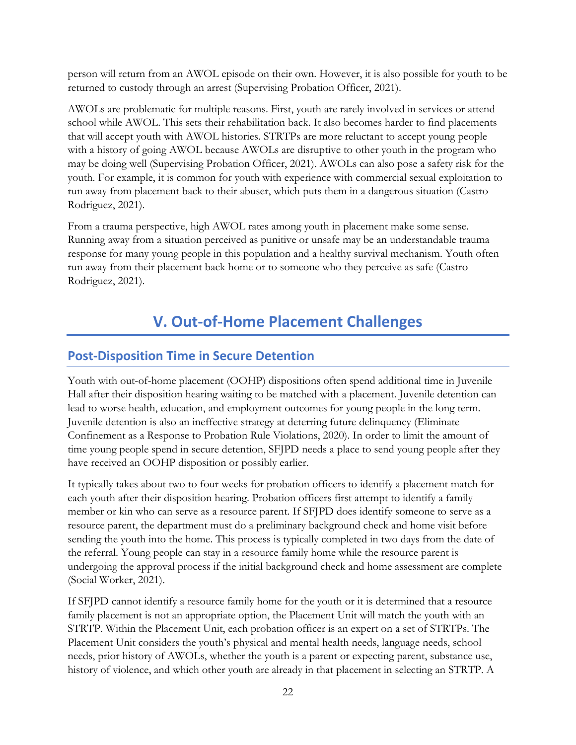person will return from an AWOL episode on their own. However, it is also possible for youth to be returned to custody through an arrest (Supervising Probation Officer, 2021).

AWOLs are problematic for multiple reasons. First, youth are rarely involved in services or attend school while AWOL. This sets their rehabilitation back. It also becomes harder to find placements that will accept youth with AWOL histories. STRTPs are more reluctant to accept young people with a history of going AWOL because AWOLs are disruptive to other youth in the program who may be doing well (Supervising Probation Officer, 2021). AWOLs can also pose a safety risk for the youth. For example, it is common for youth with experience with commercial sexual exploitation to run away from placement back to their abuser, which puts them in a dangerous situation (Castro Rodriguez, 2021).

From a trauma perspective, high AWOL rates among youth in placement make some sense. Running away from a situation perceived as punitive or unsafe may be an understandable trauma response for many young people in this population and a healthy survival mechanism. Youth often run away from their placement back home or to someone who they perceive as safe (Castro Rodriguez, 2021).

# **V. Out-of-Home Placement Challenges**

## <span id="page-22-0"></span>**Post-Disposition Time in Secure Detention**

Youth with out-of-home placement (OOHP) dispositions often spend additional time in Juvenile Hall after their disposition hearing waiting to be matched with a placement. Juvenile detention can lead to worse health, education, and employment outcomes for young people in the long term. Juvenile detention is also an ineffective strategy at deterring future delinquency (Eliminate Confinement as a Response to Probation Rule Violations, 2020). In order to limit the amount of time young people spend in secure detention, SFJPD needs a place to send young people after they have received an OOHP disposition or possibly earlier.

It typically takes about two to four weeks for probation officers to identify a placement match for each youth after their disposition hearing. Probation officers first attempt to identify a family member or kin who can serve as a resource parent. If SFJPD does identify someone to serve as a resource parent, the department must do a preliminary background check and home visit before sending the youth into the home. This process is typically completed in two days from the date of the referral. Young people can stay in a resource family home while the resource parent is undergoing the approval process if the initial background check and home assessment are complete (Social Worker, 2021).

If SFJPD cannot identify a resource family home for the youth or it is determined that a resource family placement is not an appropriate option, the Placement Unit will match the youth with an STRTP. Within the Placement Unit, each probation officer is an expert on a set of STRTPs. The Placement Unit considers the youth's physical and mental health needs, language needs, school needs, prior history of AWOLs, whether the youth is a parent or expecting parent, substance use, history of violence, and which other youth are already in that placement in selecting an STRTP. A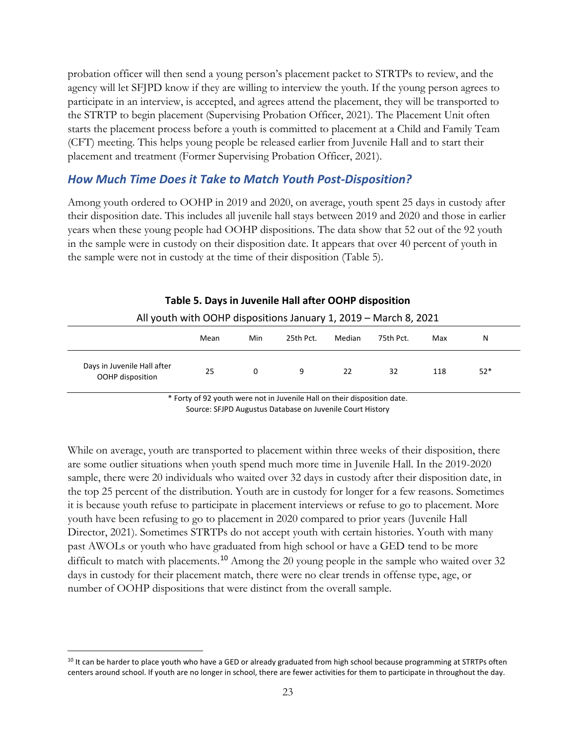probation officer will then send a young person's placement packet to STRTPs to review, and the agency will let SFJPD know if they are willing to interview the youth. If the young person agrees to participate in an interview, is accepted, and agrees attend the placement, they will be transported to the STRTP to begin placement (Supervising Probation Officer, 2021). The Placement Unit often starts the placement process before a youth is committed to placement at a Child and Family Team (CFT) meeting. This helps young people be released earlier from Juvenile Hall and to start their placement and treatment (Former Supervising Probation Officer, 2021).

#### *How Much Time Does it Take to Match Youth Post-Disposition?*

Among youth ordered to OOHP in 2019 and 2020, on average, youth spent 25 days in custody after their disposition date. This includes all juvenile hall stays between 2019 and 2020 and those in earlier years when these young people had OOHP dispositions. The data show that 52 out of the 92 youth in the sample were in custody on their disposition date. It appears that over 40 percent of youth in the sample were not in custody at the time of their disposition [\(Table 5\)](#page-23-0).

<span id="page-23-0"></span>

| All youth with OOHP dispositions January 1, 2019 - March 8, 2021 |      |     |           |        |           |     |       |
|------------------------------------------------------------------|------|-----|-----------|--------|-----------|-----|-------|
|                                                                  | Mean | Min | 25th Pct. | Median | 75th Pct. | Max | Ν     |
| Days in Juvenile Hall after<br>OOHP disposition                  | 25   | 0   | 9         | 22     | 32        | 118 | $52*$ |

#### **Table 5. Days in Juvenile Hall after OOHP disposition**

\* Forty of 92 youth were not in Juvenile Hall on their disposition date. Source: SFJPD Augustus Database on Juvenile Court History

While on average, youth are transported to placement within three weeks of their disposition, there are some outlier situations when youth spend much more time in Juvenile Hall. In the 2019-2020 sample, there were 20 individuals who waited over 32 days in custody after their disposition date, in the top 25 percent of the distribution. Youth are in custody for longer for a few reasons. Sometimes it is because youth refuse to participate in placement interviews or refuse to go to placement. More youth have been refusing to go to placement in 2020 compared to prior years (Juvenile Hall Director, 2021). Sometimes STRTPs do not accept youth with certain histories. Youth with many past AWOLs or youth who have graduated from high school or have a GED tend to be more difficult to match with placements.<sup>[10](#page-23-1)</sup> Among the 20 young people in the sample who waited over 32 days in custody for their placement match, there were no clear trends in offense type, age, or number of OOHP dispositions that were distinct from the overall sample.

<span id="page-23-1"></span><sup>&</sup>lt;sup>10</sup> It can be harder to place youth who have a GED or already graduated from high school because programming at STRTPs often centers around school. If youth are no longer in school, there are fewer activities for them to participate in throughout the day.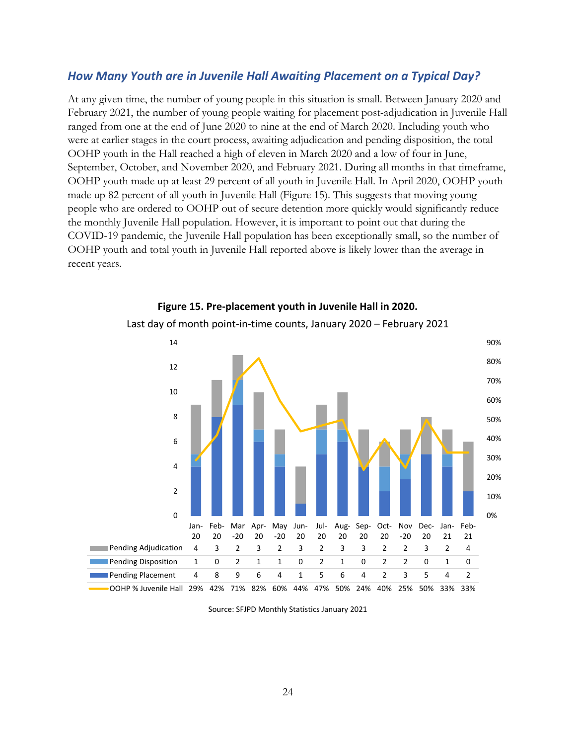#### *How Many Youth are in Juvenile Hall Awaiting Placement on a Typical Day?*

At any given time, the number of young people in this situation is small. Between January 2020 and February 2021, the number of young people waiting for placement post-adjudication in Juvenile Hall ranged from one at the end of June 2020 to nine at the end of March 2020. Including youth who were at earlier stages in the court process, awaiting adjudication and pending disposition, the total OOHP youth in the Hall reached a high of eleven in March 2020 and a low of four in June, September, October, and November 2020, and February 2021. During all months in that timeframe, OOHP youth made up at least 29 percent of all youth in Juvenile Hall. In April 2020, OOHP youth made up 82 percent of all youth in Juvenile Hall [\(Figure 15\)](#page-24-0). This suggests that moving young people who are ordered to OOHP out of secure detention more quickly would significantly reduce the monthly Juvenile Hall population. However, it is important to point out that during the COVID-19 pandemic, the Juvenile Hall population has been exceptionally small, so the number of OOHP youth and total youth in Juvenile Hall reported above is likely lower than the average in recent years.

<span id="page-24-0"></span>

## **Figure 15. Pre-placement youth in Juvenile Hall in 2020.**

Last day of month point-in-time counts, January 2020 – February 2021

Source: SFJPD Monthly Statistics January 2021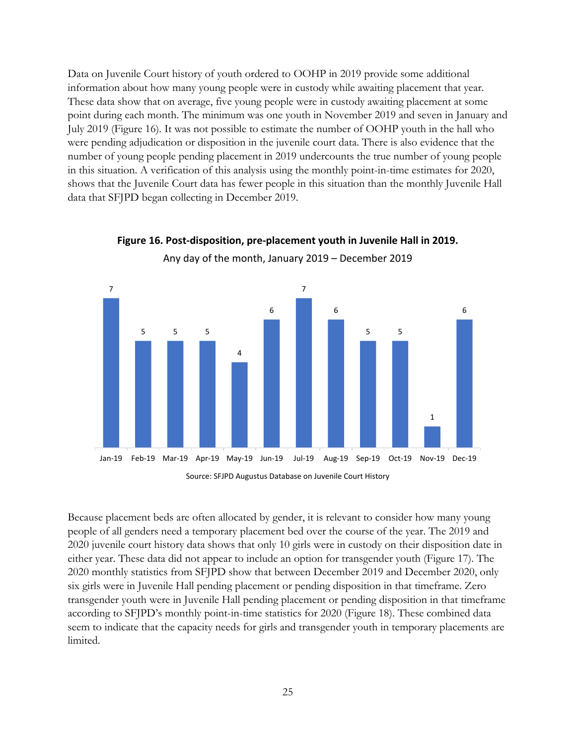Data on Juvenile Court history of youth ordered to OOHP in 2019 provide some additional information about how many young people were in custody while awaiting placement that year. These data show that on average, five young people were in custody awaiting placement at some point during each month. The minimum was one youth in November 2019 and seven in January and July 2019 [\(Figure 16\)](#page-25-0). It was not possible to estimate the number of OOHP youth in the hall who were pending adjudication or disposition in the juvenile court data. There is also evidence that the number of young people pending placement in 2019 undercounts the true number of young people in this situation. A verification of this analysis using the monthly point-in-time estimates for 2020, shows that the Juvenile Court data has fewer people in this situation than the monthly Juvenile Hall data that SFJPD began collecting in December 2019.



## <span id="page-25-0"></span>**Figure 16. Post-disposition, pre-placement youth in Juvenile Hall in 2019.** Any day of the month, January 2019 – December 2019

Source: SFJPD Augustus Database on Juvenile Court History

Because placement beds are often allocated by gender, it is relevant to consider how many young people of all genders need a temporary placement bed over the course of the year. The 2019 and 2020 juvenile court history data shows that only 10 girls were in custody on their disposition date in either year. These data did not appear to include an option for transgender youth [\(Figure 17\)](#page-26-0). The 2020 monthly statistics from SFJPD show that between December 2019 and December 2020, only six girls were in Juvenile Hall pending placement or pending disposition in that timeframe. Zero transgender youth were in Juvenile Hall pending placement or pending disposition in that timeframe according to SFJPD's monthly point-in-time statistics for 2020 [\(Figure 18\)](#page-26-1). These combined data seem to indicate that the capacity needs for girls and transgender youth in temporary placements are limited.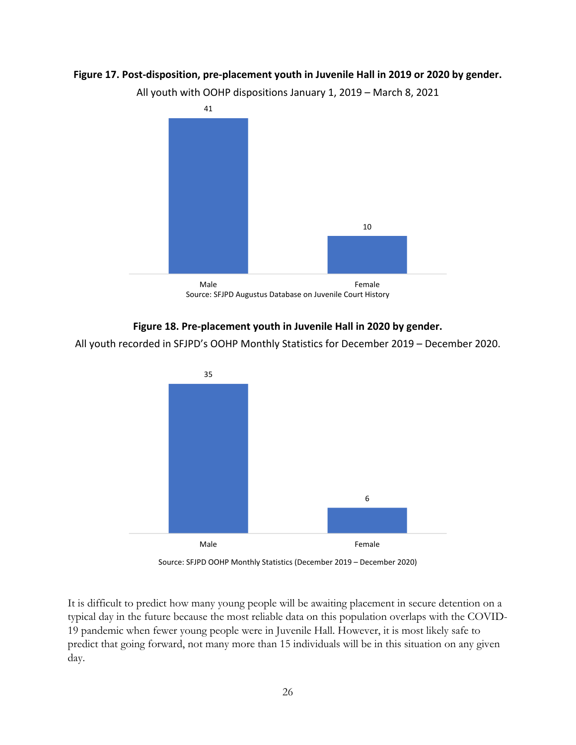#### <span id="page-26-0"></span>**Figure 17. Post-disposition, pre-placement youth in Juvenile Hall in 2019 or 2020 by gender.**

All youth with OOHP dispositions January 1, 2019 – March 8, 2021



#### **Figure 18. Pre-placement youth in Juvenile Hall in 2020 by gender.**

<span id="page-26-1"></span>All youth recorded in SFJPD's OOHP Monthly Statistics for December 2019 – December 2020.



Source: SFJPD OOHP Monthly Statistics (December 2019 – December 2020)

It is difficult to predict how many young people will be awaiting placement in secure detention on a typical day in the future because the most reliable data on this population overlaps with the COVID-19 pandemic when fewer young people were in Juvenile Hall. However, it is most likely safe to predict that going forward, not many more than 15 individuals will be in this situation on any given day.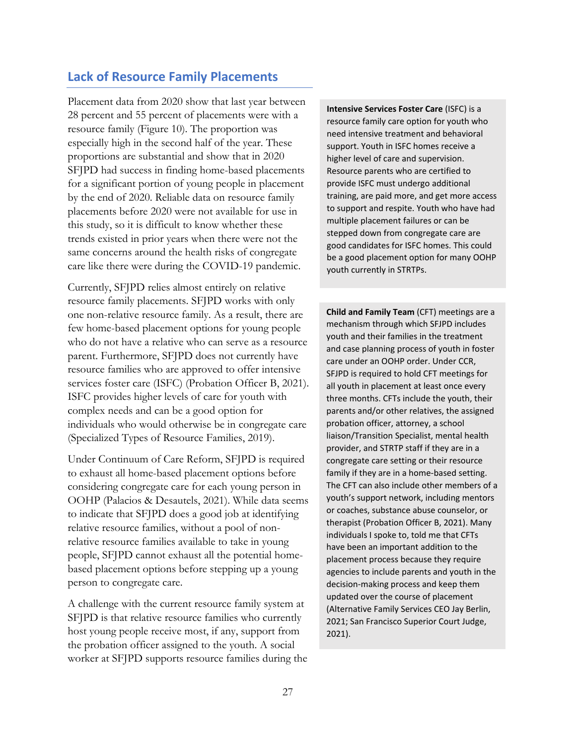## **Lack of Resource Family Placements**

Placement data from 2020 show that last year between 28 percent and 55 percent of placements were with a resource family [\(Figure 10\)](#page-19-0). The proportion was especially high in the second half of the year. These proportions are substantial and show that in 2020 SFJPD had success in finding home-based placements for a significant portion of young people in placement by the end of 2020. Reliable data on resource family placements before 2020 were not available for use in this study, so it is difficult to know whether these trends existed in prior years when there were not the same concerns around the health risks of congregate care like there were during the COVID-19 pandemic.

Currently, SFJPD relies almost entirely on relative resource family placements. SFJPD works with only one non-relative resource family. As a result, there are few home-based placement options for young people who do not have a relative who can serve as a resource parent. Furthermore, SFJPD does not currently have resource families who are approved to offer intensive services foster care (ISFC) (Probation Officer B, 2021). ISFC provides higher levels of care for youth with complex needs and can be a good option for individuals who would otherwise be in congregate care (Specialized Types of Resource Families, 2019).

Under Continuum of Care Reform, SFJPD is required to exhaust all home-based placement options before considering congregate care for each young person in OOHP (Palacios & Desautels, 2021). While data seems to indicate that SFJPD does a good job at identifying relative resource families, without a pool of nonrelative resource families available to take in young people, SFJPD cannot exhaust all the potential homebased placement options before stepping up a young person to congregate care.

A challenge with the current resource family system at SFJPD is that relative resource families who currently host young people receive most, if any, support from the probation officer assigned to the youth. A social worker at SFJPD supports resource families during the **Intensive Services Foster Care** (ISFC) is a resource family care option for youth who need intensive treatment and behavioral support. Youth in ISFC homes receive a higher level of care and supervision. Resource parents who are certified to provide ISFC must undergo additional training, are paid more, and get more access to support and respite. Youth who have had multiple placement failures or can be stepped down from congregate care are good candidates for ISFC homes. This could be a good placement option for many OOHP youth currently in STRTPs.

**Child and Family Team** (CFT) meetings are a mechanism through which SFJPD includes youth and their families in the treatment and case planning process of youth in foster care under an OOHP order. Under CCR, SFJPD is required to hold CFT meetings for all youth in placement at least once every three months. CFTs include the youth, their parents and/or other relatives, the assigned probation officer, attorney, a school liaison/Transition Specialist, mental health provider, and STRTP staff if they are in a congregate care setting or their resource family if they are in a home-based setting. The CFT can also include other members of a youth's support network, including mentors or coaches, substance abuse counselor, or therapist (Probation Officer B, 2021). Many individuals I spoke to, told me that CFTs have been an important addition to the placement process because they require agencies to include parents and youth in the decision-making process and keep them updated over the course of placement (Alternative Family Services CEO Jay Berlin, 2021; San Francisco Superior Court Judge, 2021).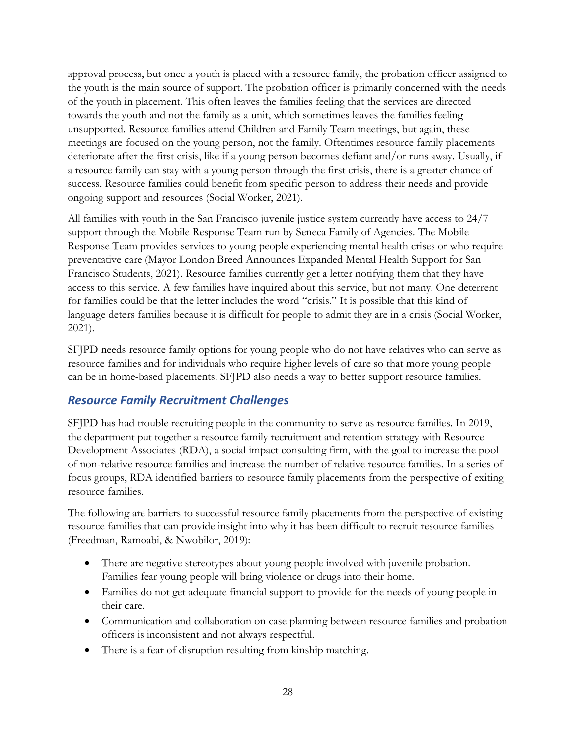approval process, but once a youth is placed with a resource family, the probation officer assigned to the youth is the main source of support. The probation officer is primarily concerned with the needs of the youth in placement. This often leaves the families feeling that the services are directed towards the youth and not the family as a unit, which sometimes leaves the families feeling unsupported. Resource families attend Children and Family Team meetings, but again, these meetings are focused on the young person, not the family. Oftentimes resource family placements deteriorate after the first crisis, like if a young person becomes defiant and/or runs away. Usually, if a resource family can stay with a young person through the first crisis, there is a greater chance of success. Resource families could benefit from specific person to address their needs and provide ongoing support and resources (Social Worker, 2021).

All families with youth in the San Francisco juvenile justice system currently have access to 24/7 support through the Mobile Response Team run by Seneca Family of Agencies. The Mobile Response Team provides services to young people experiencing mental health crises or who require preventative care (Mayor London Breed Announces Expanded Mental Health Support for San Francisco Students, 2021). Resource families currently get a letter notifying them that they have access to this service. A few families have inquired about this service, but not many. One deterrent for families could be that the letter includes the word "crisis." It is possible that this kind of language deters families because it is difficult for people to admit they are in a crisis (Social Worker, 2021).

SFJPD needs resource family options for young people who do not have relatives who can serve as resource families and for individuals who require higher levels of care so that more young people can be in home-based placements. SFJPD also needs a way to better support resource families.

## *Resource Family Recruitment Challenges*

SFJPD has had trouble recruiting people in the community to serve as resource families. In 2019, the department put together a resource family recruitment and retention strategy with Resource Development Associates (RDA), a social impact consulting firm, with the goal to increase the pool of non-relative resource families and increase the number of relative resource families. In a series of focus groups, RDA identified barriers to resource family placements from the perspective of exiting resource families.

The following are barriers to successful resource family placements from the perspective of existing resource families that can provide insight into why it has been difficult to recruit resource families (Freedman, Ramoabi, & Nwobilor, 2019):

- There are negative stereotypes about young people involved with juvenile probation. Families fear young people will bring violence or drugs into their home.
- Families do not get adequate financial support to provide for the needs of young people in their care.
- Communication and collaboration on case planning between resource families and probation officers is inconsistent and not always respectful.
- There is a fear of disruption resulting from kinship matching.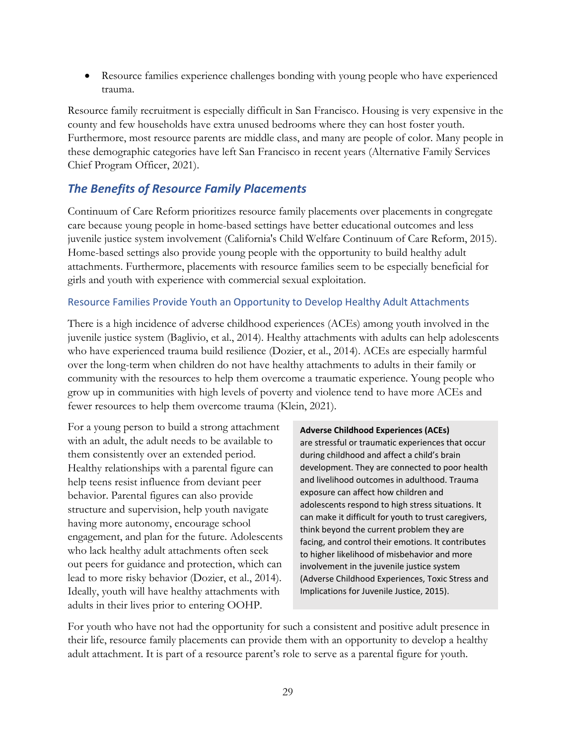• Resource families experience challenges bonding with young people who have experienced trauma.

Resource family recruitment is especially difficult in San Francisco. Housing is very expensive in the county and few households have extra unused bedrooms where they can host foster youth. Furthermore, most resource parents are middle class, and many are people of color. Many people in these demographic categories have left San Francisco in recent years (Alternative Family Services Chief Program Officer, 2021).

## *The Benefits of Resource Family Placements*

Continuum of Care Reform prioritizes resource family placements over placements in congregate care because young people in home-based settings have better educational outcomes and less juvenile justice system involvement (California's Child Welfare Continuum of Care Reform, 2015). Home-based settings also provide young people with the opportunity to build healthy adult attachments. Furthermore, placements with resource families seem to be especially beneficial for girls and youth with experience with commercial sexual exploitation.

#### Resource Families Provide Youth an Opportunity to Develop Healthy Adult Attachments

There is a high incidence of adverse childhood experiences (ACEs) among youth involved in the juvenile justice system (Baglivio, et al., 2014). Healthy attachments with adults can help adolescents who have experienced trauma build resilience (Dozier, et al., 2014). ACEs are especially harmful over the long-term when children do not have healthy attachments to adults in their family or community with the resources to help them overcome a traumatic experience. Young people who grow up in communities with high levels of poverty and violence tend to have more ACEs and fewer resources to help them overcome trauma (Klein, 2021).

For a young person to build a strong attachment with an adult, the adult needs to be available to them consistently over an extended period. Healthy relationships with a parental figure can help teens resist influence from deviant peer behavior. Parental figures can also provide structure and supervision, help youth navigate having more autonomy, encourage school engagement, and plan for the future. Adolescents who lack healthy adult attachments often seek out peers for guidance and protection, which can lead to more risky behavior (Dozier, et al., 2014). Ideally, youth will have healthy attachments with adults in their lives prior to entering OOHP.

#### **Adverse Childhood Experiences (ACEs)**

are stressful or traumatic experiences that occur during childhood and affect a child's brain development. They are connected to poor health and livelihood outcomes in adulthood. Trauma exposure can affect how children and adolescents respond to high stress situations. It can make it difficult for youth to trust caregivers, think beyond the current problem they are facing, and control their emotions. It contributes to higher likelihood of misbehavior and more involvement in the juvenile justice system (Adverse Childhood Experiences, Toxic Stress and Implications for Juvenile Justice, 2015).

For youth who have not had the opportunity for such a consistent and positive adult presence in their life, resource family placements can provide them with an opportunity to develop a healthy adult attachment. It is part of a resource parent's role to serve as a parental figure for youth.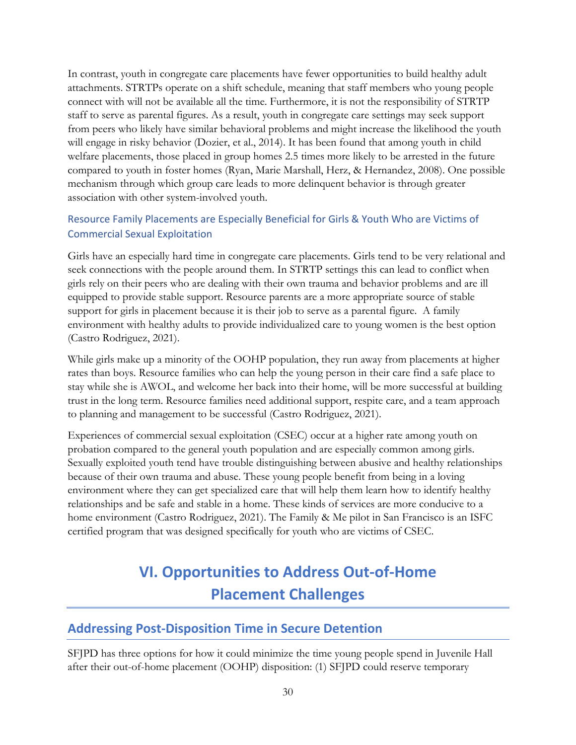In contrast, youth in congregate care placements have fewer opportunities to build healthy adult attachments. STRTPs operate on a shift schedule, meaning that staff members who young people connect with will not be available all the time. Furthermore, it is not the responsibility of STRTP staff to serve as parental figures. As a result, youth in congregate care settings may seek support from peers who likely have similar behavioral problems and might increase the likelihood the youth will engage in risky behavior (Dozier, et al., 2014). It has been found that among youth in child welfare placements, those placed in group homes 2.5 times more likely to be arrested in the future compared to youth in foster homes (Ryan, Marie Marshall, Herz, & Hernandez, 2008). One possible mechanism through which group care leads to more delinquent behavior is through greater association with other system-involved youth.

#### Resource Family Placements are Especially Beneficial for Girls & Youth Who are Victims of Commercial Sexual Exploitation

Girls have an especially hard time in congregate care placements. Girls tend to be very relational and seek connections with the people around them. In STRTP settings this can lead to conflict when girls rely on their peers who are dealing with their own trauma and behavior problems and are ill equipped to provide stable support. Resource parents are a more appropriate source of stable support for girls in placement because it is their job to serve as a parental figure. A family environment with healthy adults to provide individualized care to young women is the best option (Castro Rodriguez, 2021).

While girls make up a minority of the OOHP population, they run away from placements at higher rates than boys. Resource families who can help the young person in their care find a safe place to stay while she is AWOL, and welcome her back into their home, will be more successful at building trust in the long term. Resource families need additional support, respite care, and a team approach to planning and management to be successful (Castro Rodriguez, 2021).

Experiences of commercial sexual exploitation (CSEC) occur at a higher rate among youth on probation compared to the general youth population and are especially common among girls. Sexually exploited youth tend have trouble distinguishing between abusive and healthy relationships because of their own trauma and abuse. These young people benefit from being in a loving environment where they can get specialized care that will help them learn how to identify healthy relationships and be safe and stable in a home. These kinds of services are more conducive to a home environment (Castro Rodriguez, 2021). The Family & Me pilot in San Francisco is an ISFC certified program that was designed specifically for youth who are victims of CSEC.

# <span id="page-30-0"></span>**VI. Opportunities to Address Out-of-Home Placement Challenges**

## **Addressing Post-Disposition Time in Secure Detention**

SFJPD has three options for how it could minimize the time young people spend in Juvenile Hall after their out-of-home placement (OOHP) disposition: (1) SFJPD could reserve temporary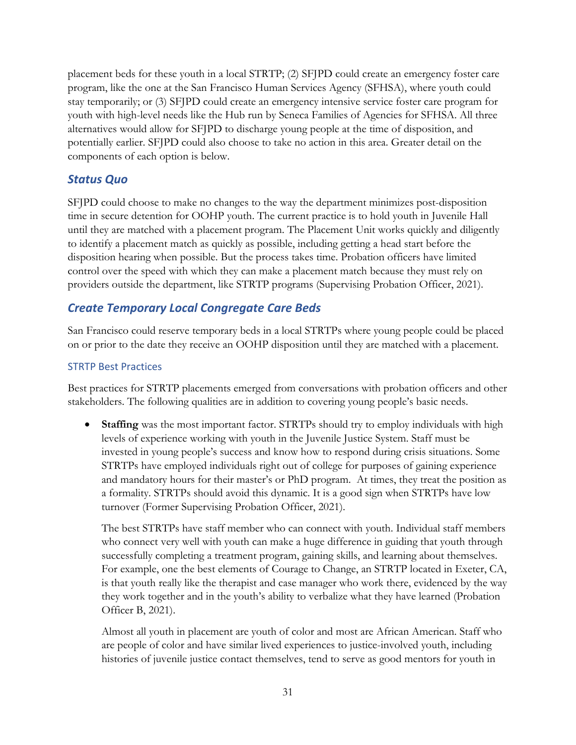placement beds for these youth in a local STRTP; (2) SFJPD could create an emergency foster care program, like the one at the San Francisco Human Services Agency (SFHSA), where youth could stay temporarily; or (3) SFJPD could create an emergency intensive service foster care program for youth with high-level needs like the Hub run by Seneca Families of Agencies for SFHSA. All three alternatives would allow for SFJPD to discharge young people at the time of disposition, and potentially earlier. SFJPD could also choose to take no action in this area. Greater detail on the components of each option is below.

## *Status Quo*

SFJPD could choose to make no changes to the way the department minimizes post-disposition time in secure detention for OOHP youth. The current practice is to hold youth in Juvenile Hall until they are matched with a placement program. The Placement Unit works quickly and diligently to identify a placement match as quickly as possible, including getting a head start before the disposition hearing when possible. But the process takes time. Probation officers have limited control over the speed with which they can make a placement match because they must rely on providers outside the department, like STRTP programs (Supervising Probation Officer, 2021).

## *Create Temporary Local Congregate Care Beds*

San Francisco could reserve temporary beds in a local STRTPs where young people could be placed on or prior to the date they receive an OOHP disposition until they are matched with a placement.

#### STRTP Best Practices

Best practices for STRTP placements emerged from conversations with probation officers and other stakeholders. The following qualities are in addition to covering young people's basic needs.

**Staffing** was the most important factor. STRTPs should try to employ individuals with high levels of experience working with youth in the Juvenile Justice System. Staff must be invested in young people's success and know how to respond during crisis situations. Some STRTPs have employed individuals right out of college for purposes of gaining experience and mandatory hours for their master's or PhD program. At times, they treat the position as a formality. STRTPs should avoid this dynamic. It is a good sign when STRTPs have low turnover (Former Supervising Probation Officer, 2021).

The best STRTPs have staff member who can connect with youth. Individual staff members who connect very well with youth can make a huge difference in guiding that youth through successfully completing a treatment program, gaining skills, and learning about themselves. For example, one the best elements of Courage to Change, an STRTP located in Exeter, CA, is that youth really like the therapist and case manager who work there, evidenced by the way they work together and in the youth's ability to verbalize what they have learned (Probation Officer B, 2021).

Almost all youth in placement are youth of color and most are African American. Staff who are people of color and have similar lived experiences to justice-involved youth, including histories of juvenile justice contact themselves, tend to serve as good mentors for youth in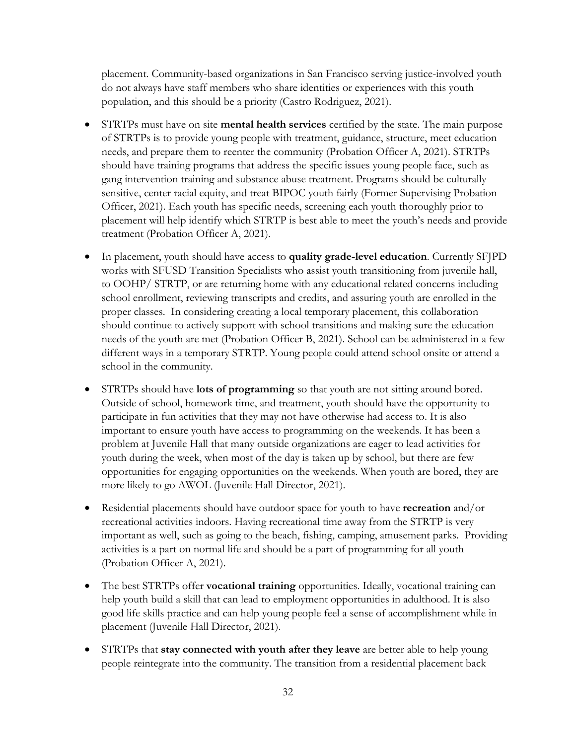placement. Community-based organizations in San Francisco serving justice-involved youth do not always have staff members who share identities or experiences with this youth population, and this should be a priority (Castro Rodriguez, 2021).

- STRTPs must have on site **mental health services** certified by the state. The main purpose of STRTPs is to provide young people with treatment, guidance, structure, meet education needs, and prepare them to reenter the community (Probation Officer A, 2021). STRTPs should have training programs that address the specific issues young people face, such as gang intervention training and substance abuse treatment. Programs should be culturally sensitive, center racial equity, and treat BIPOC youth fairly (Former Supervising Probation Officer, 2021). Each youth has specific needs, screening each youth thoroughly prior to placement will help identify which STRTP is best able to meet the youth's needs and provide treatment (Probation Officer A, 2021).
- In placement, youth should have access to **quality grade-level education**. Currently SFJPD works with SFUSD Transition Specialists who assist youth transitioning from juvenile hall, to OOHP/ STRTP, or are returning home with any educational related concerns including school enrollment, reviewing transcripts and credits, and assuring youth are enrolled in the proper classes. In considering creating a local temporary placement, this collaboration should continue to actively support with school transitions and making sure the education needs of the youth are met (Probation Officer B, 2021). School can be administered in a few different ways in a temporary STRTP. Young people could attend school onsite or attend a school in the community.
- STRTPs should have **lots of programming** so that youth are not sitting around bored. Outside of school, homework time, and treatment, youth should have the opportunity to participate in fun activities that they may not have otherwise had access to. It is also important to ensure youth have access to programming on the weekends. It has been a problem at Juvenile Hall that many outside organizations are eager to lead activities for youth during the week, when most of the day is taken up by school, but there are few opportunities for engaging opportunities on the weekends. When youth are bored, they are more likely to go AWOL (Juvenile Hall Director, 2021).
- Residential placements should have outdoor space for youth to have **recreation** and/or recreational activities indoors. Having recreational time away from the STRTP is very important as well, such as going to the beach, fishing, camping, amusement parks. Providing activities is a part on normal life and should be a part of programming for all youth (Probation Officer A, 2021).
- The best STRTPs offer **vocational training** opportunities. Ideally, vocational training can help youth build a skill that can lead to employment opportunities in adulthood. It is also good life skills practice and can help young people feel a sense of accomplishment while in placement (Juvenile Hall Director, 2021).
- STRTPs that **stay connected with youth after they leave** are better able to help young people reintegrate into the community. The transition from a residential placement back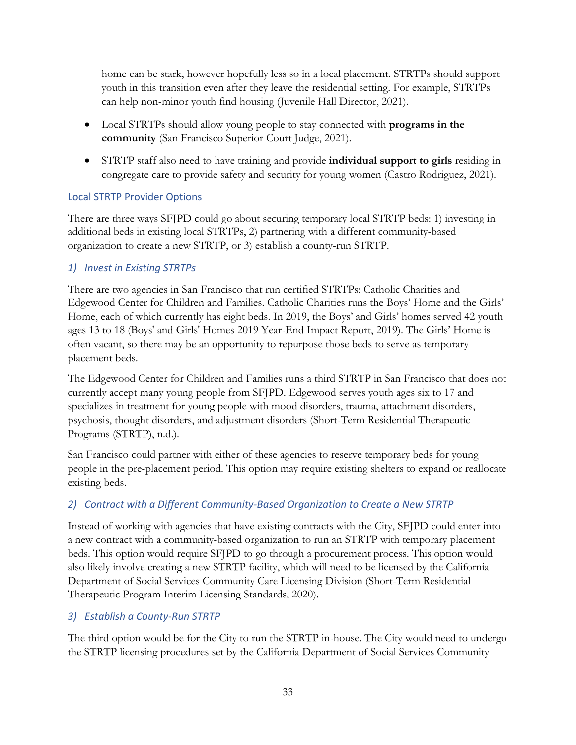home can be stark, however hopefully less so in a local placement. STRTPs should support youth in this transition even after they leave the residential setting. For example, STRTPs can help non-minor youth find housing (Juvenile Hall Director, 2021).

- Local STRTPs should allow young people to stay connected with **programs in the community** (San Francisco Superior Court Judge, 2021).
- STRTP staff also need to have training and provide **individual support to girls** residing in congregate care to provide safety and security for young women (Castro Rodriguez, 2021).

#### Local STRTP Provider Options

There are three ways SFJPD could go about securing temporary local STRTP beds: 1) investing in additional beds in existing local STRTPs, 2) partnering with a different community-based organization to create a new STRTP, or 3) establish a county-run STRTP.

#### *1) Invest in Existing STRTPs*

There are two agencies in San Francisco that run certified STRTPs: Catholic Charities and Edgewood Center for Children and Families. Catholic Charities runs the Boys' Home and the Girls' Home, each of which currently has eight beds. In 2019, the Boys' and Girls' homes served 42 youth ages 13 to 18 (Boys' and Girls' Homes 2019 Year-End Impact Report, 2019). The Girls' Home is often vacant, so there may be an opportunity to repurpose those beds to serve as temporary placement beds.

The Edgewood Center for Children and Families runs a third STRTP in San Francisco that does not currently accept many young people from SFJPD. Edgewood serves youth ages six to 17 and specializes in treatment for young people with mood disorders, trauma, attachment disorders, psychosis, thought disorders, and adjustment disorders (Short-Term Residential Therapeutic Programs (STRTP), n.d.).

San Francisco could partner with either of these agencies to reserve temporary beds for young people in the pre-placement period. This option may require existing shelters to expand or reallocate existing beds.

## *2) Contract with a Different Community-Based Organization to Create a New STRTP*

Instead of working with agencies that have existing contracts with the City, SFJPD could enter into a new contract with a community-based organization to run an STRTP with temporary placement beds. This option would require SFJPD to go through a procurement process. This option would also likely involve creating a new STRTP facility, which will need to be licensed by the California Department of Social Services Community Care Licensing Division (Short-Term Residential Therapeutic Program Interim Licensing Standards, 2020).

## *3) Establish a County-Run STRTP*

The third option would be for the City to run the STRTP in-house. The City would need to undergo the STRTP licensing procedures set by the California Department of Social Services Community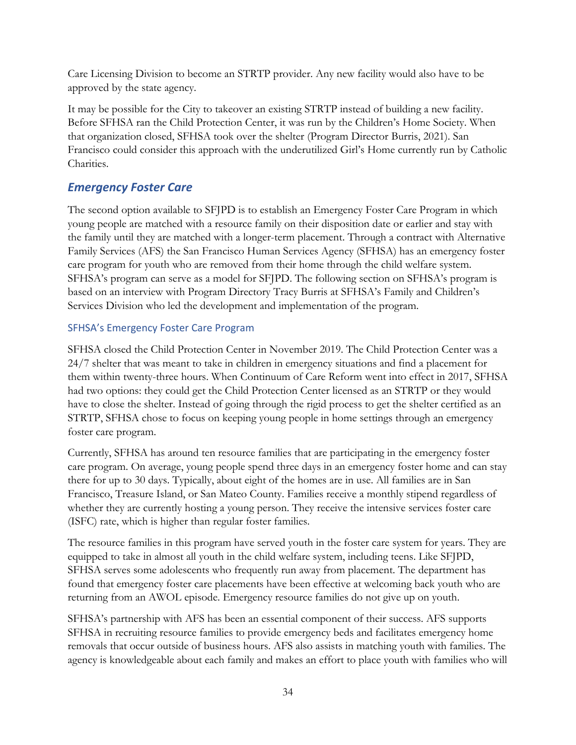Care Licensing Division to become an STRTP provider. Any new facility would also have to be approved by the state agency.

It may be possible for the City to takeover an existing STRTP instead of building a new facility. Before SFHSA ran the Child Protection Center, it was run by the Children's Home Society. When that organization closed, SFHSA took over the shelter (Program Director Burris, 2021). San Francisco could consider this approach with the underutilized Girl's Home currently run by Catholic Charities.

## *Emergency Foster Care*

The second option available to SFJPD is to establish an Emergency Foster Care Program in which young people are matched with a resource family on their disposition date or earlier and stay with the family until they are matched with a longer-term placement. Through a contract with Alternative Family Services (AFS) the San Francisco Human Services Agency (SFHSA) has an emergency foster care program for youth who are removed from their home through the child welfare system. SFHSA's program can serve as a model for SFJPD. The following section on SFHSA's program is based on an interview with Program Directory Tracy Burris at SFHSA's Family and Children's Services Division who led the development and implementation of the program.

#### SFHSA's Emergency Foster Care Program

SFHSA closed the Child Protection Center in November 2019. The Child Protection Center was a 24/7 shelter that was meant to take in children in emergency situations and find a placement for them within twenty-three hours. When Continuum of Care Reform went into effect in 2017, SFHSA had two options: they could get the Child Protection Center licensed as an STRTP or they would have to close the shelter. Instead of going through the rigid process to get the shelter certified as an STRTP, SFHSA chose to focus on keeping young people in home settings through an emergency foster care program.

Currently, SFHSA has around ten resource families that are participating in the emergency foster care program. On average, young people spend three days in an emergency foster home and can stay there for up to 30 days. Typically, about eight of the homes are in use. All families are in San Francisco, Treasure Island, or San Mateo County. Families receive a monthly stipend regardless of whether they are currently hosting a young person. They receive the intensive services foster care (ISFC) rate, which is higher than regular foster families.

The resource families in this program have served youth in the foster care system for years. They are equipped to take in almost all youth in the child welfare system, including teens. Like SFJPD, SFHSA serves some adolescents who frequently run away from placement. The department has found that emergency foster care placements have been effective at welcoming back youth who are returning from an AWOL episode. Emergency resource families do not give up on youth.

SFHSA's partnership with AFS has been an essential component of their success. AFS supports SFHSA in recruiting resource families to provide emergency beds and facilitates emergency home removals that occur outside of business hours. AFS also assists in matching youth with families. The agency is knowledgeable about each family and makes an effort to place youth with families who will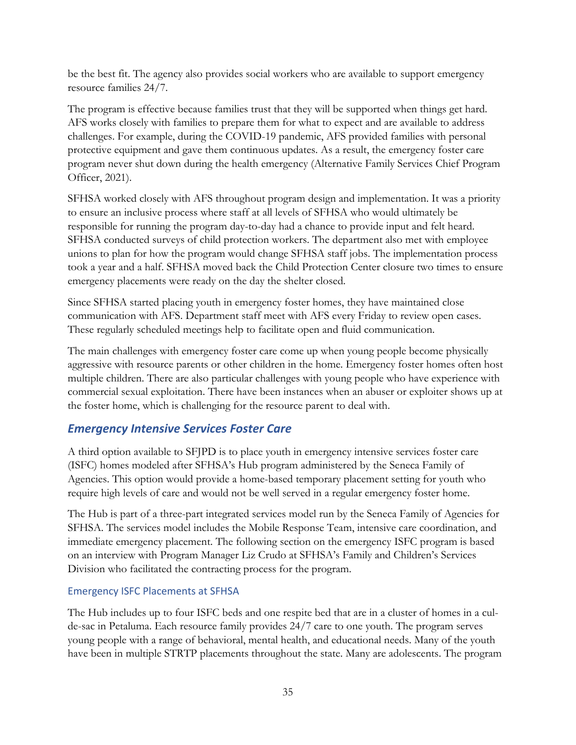be the best fit. The agency also provides social workers who are available to support emergency resource families 24/7.

The program is effective because families trust that they will be supported when things get hard. AFS works closely with families to prepare them for what to expect and are available to address challenges. For example, during the COVID-19 pandemic, AFS provided families with personal protective equipment and gave them continuous updates. As a result, the emergency foster care program never shut down during the health emergency (Alternative Family Services Chief Program Officer, 2021).

SFHSA worked closely with AFS throughout program design and implementation. It was a priority to ensure an inclusive process where staff at all levels of SFHSA who would ultimately be responsible for running the program day-to-day had a chance to provide input and felt heard. SFHSA conducted surveys of child protection workers. The department also met with employee unions to plan for how the program would change SFHSA staff jobs. The implementation process took a year and a half. SFHSA moved back the Child Protection Center closure two times to ensure emergency placements were ready on the day the shelter closed.

Since SFHSA started placing youth in emergency foster homes, they have maintained close communication with AFS. Department staff meet with AFS every Friday to review open cases. These regularly scheduled meetings help to facilitate open and fluid communication.

The main challenges with emergency foster care come up when young people become physically aggressive with resource parents or other children in the home. Emergency foster homes often host multiple children. There are also particular challenges with young people who have experience with commercial sexual exploitation. There have been instances when an abuser or exploiter shows up at the foster home, which is challenging for the resource parent to deal with.

## *Emergency Intensive Services Foster Care*

A third option available to SFJPD is to place youth in emergency intensive services foster care (ISFC) homes modeled after SFHSA's Hub program administered by the Seneca Family of Agencies. This option would provide a home-based temporary placement setting for youth who require high levels of care and would not be well served in a regular emergency foster home.

The Hub is part of a three-part integrated services model run by the Seneca Family of Agencies for SFHSA. The services model includes the Mobile Response Team, intensive care coordination, and immediate emergency placement. The following section on the emergency ISFC program is based on an interview with Program Manager Liz Crudo at SFHSA's Family and Children's Services Division who facilitated the contracting process for the program.

#### Emergency ISFC Placements at SFHSA

The Hub includes up to four ISFC beds and one respite bed that are in a cluster of homes in a culde-sac in Petaluma. Each resource family provides 24/7 care to one youth. The program serves young people with a range of behavioral, mental health, and educational needs. Many of the youth have been in multiple STRTP placements throughout the state. Many are adolescents. The program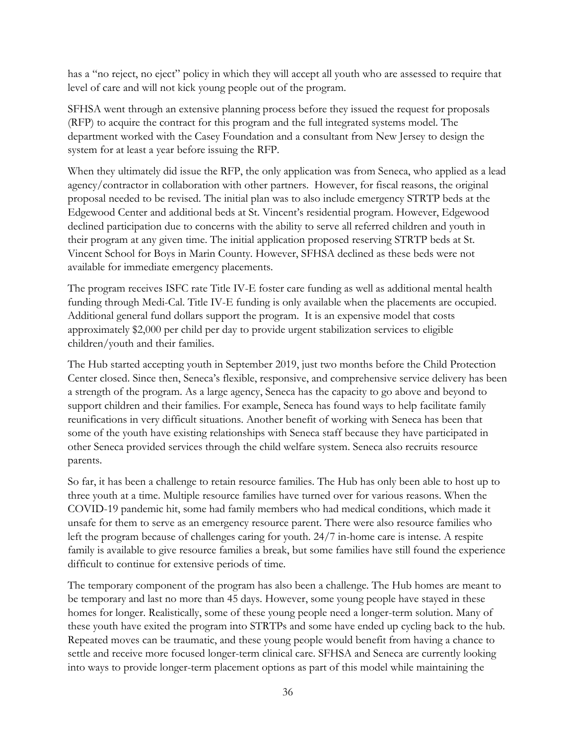has a "no reject, no eject" policy in which they will accept all youth who are assessed to require that level of care and will not kick young people out of the program.

SFHSA went through an extensive planning process before they issued the request for proposals (RFP) to acquire the contract for this program and the full integrated systems model. The department worked with the Casey Foundation and a consultant from New Jersey to design the system for at least a year before issuing the RFP.

When they ultimately did issue the RFP, the only application was from Seneca, who applied as a lead agency/contractor in collaboration with other partners. However, for fiscal reasons, the original proposal needed to be revised. The initial plan was to also include emergency STRTP beds at the Edgewood Center and additional beds at St. Vincent's residential program. However, Edgewood declined participation due to concerns with the ability to serve all referred children and youth in their program at any given time. The initial application proposed reserving STRTP beds at St. Vincent School for Boys in Marin County. However, SFHSA declined as these beds were not available for immediate emergency placements.

The program receives ISFC rate Title IV-E foster care funding as well as additional mental health funding through Medi-Cal. Title IV-E funding is only available when the placements are occupied. Additional general fund dollars support the program. It is an expensive model that costs approximately \$2,000 per child per day to provide urgent stabilization services to eligible children/youth and their families.

The Hub started accepting youth in September 2019, just two months before the Child Protection Center closed. Since then, Seneca's flexible, responsive, and comprehensive service delivery has been a strength of the program. As a large agency, Seneca has the capacity to go above and beyond to support children and their families. For example, Seneca has found ways to help facilitate family reunifications in very difficult situations. Another benefit of working with Seneca has been that some of the youth have existing relationships with Seneca staff because they have participated in other Seneca provided services through the child welfare system. Seneca also recruits resource parents.

So far, it has been a challenge to retain resource families. The Hub has only been able to host up to three youth at a time. Multiple resource families have turned over for various reasons. When the COVID-19 pandemic hit, some had family members who had medical conditions, which made it unsafe for them to serve as an emergency resource parent. There were also resource families who left the program because of challenges caring for youth. 24/7 in-home care is intense. A respite family is available to give resource families a break, but some families have still found the experience difficult to continue for extensive periods of time.

The temporary component of the program has also been a challenge. The Hub homes are meant to be temporary and last no more than 45 days. However, some young people have stayed in these homes for longer. Realistically, some of these young people need a longer-term solution. Many of these youth have exited the program into STRTPs and some have ended up cycling back to the hub. Repeated moves can be traumatic, and these young people would benefit from having a chance to settle and receive more focused longer-term clinical care. SFHSA and Seneca are currently looking into ways to provide longer-term placement options as part of this model while maintaining the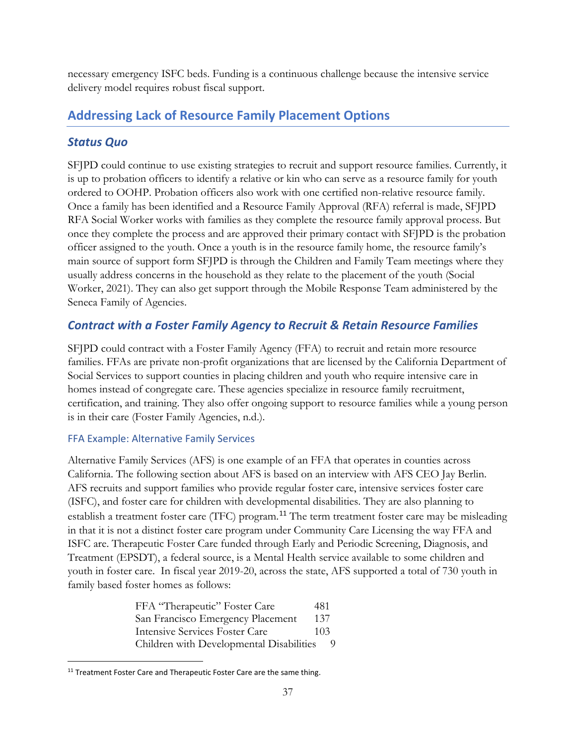necessary emergency ISFC beds. Funding is a continuous challenge because the intensive service delivery model requires robust fiscal support.

## **Addressing Lack of Resource Family Placement Options**

## *Status Quo*

SFJPD could continue to use existing strategies to recruit and support resource families. Currently, it is up to probation officers to identify a relative or kin who can serve as a resource family for youth ordered to OOHP. Probation officers also work with one certified non-relative resource family. Once a family has been identified and a Resource Family Approval (RFA) referral is made, SFJPD RFA Social Worker works with families as they complete the resource family approval process. But once they complete the process and are approved their primary contact with SFJPD is the probation officer assigned to the youth. Once a youth is in the resource family home, the resource family's main source of support form SFJPD is through the Children and Family Team meetings where they usually address concerns in the household as they relate to the placement of the youth (Social Worker, 2021). They can also get support through the Mobile Response Team administered by the Seneca Family of Agencies.

## *Contract with a Foster Family Agency to Recruit & Retain Resource Families*

SFJPD could contract with a Foster Family Agency (FFA) to recruit and retain more resource families. FFAs are private non-profit organizations that are licensed by the California Department of Social Services to support counties in placing children and youth who require intensive care in homes instead of congregate care. These agencies specialize in resource family recruitment, certification, and training. They also offer ongoing support to resource families while a young person is in their care (Foster Family Agencies, n.d.).

#### FFA Example: Alternative Family Services

Alternative Family Services (AFS) is one example of an FFA that operates in counties across California. The following section about AFS is based on an interview with AFS CEO Jay Berlin. AFS recruits and support families who provide regular foster care, intensive services foster care (ISFC), and foster care for children with developmental disabilities. They are also planning to establish a treatment foster care (TFC) program.<sup>[11](#page-37-0)</sup> The term treatment foster care may be misleading in that it is not a distinct foster care program under Community Care Licensing the way FFA and ISFC are. Therapeutic Foster Care funded through Early and Periodic Screening, Diagnosis, and Treatment (EPSDT), a federal source, is a Mental Health service available to some children and youth in foster care. In fiscal year 2019-20, across the state, AFS supported a total of 730 youth in family based foster homes as follows:

> FFA "Therapeutic" Foster Care 481 San Francisco Emergency Placement 137 Intensive Services Foster Care 103 Children with Developmental Disabilities 9

<span id="page-37-0"></span><sup>&</sup>lt;sup>11</sup> Treatment Foster Care and Therapeutic Foster Care are the same thing.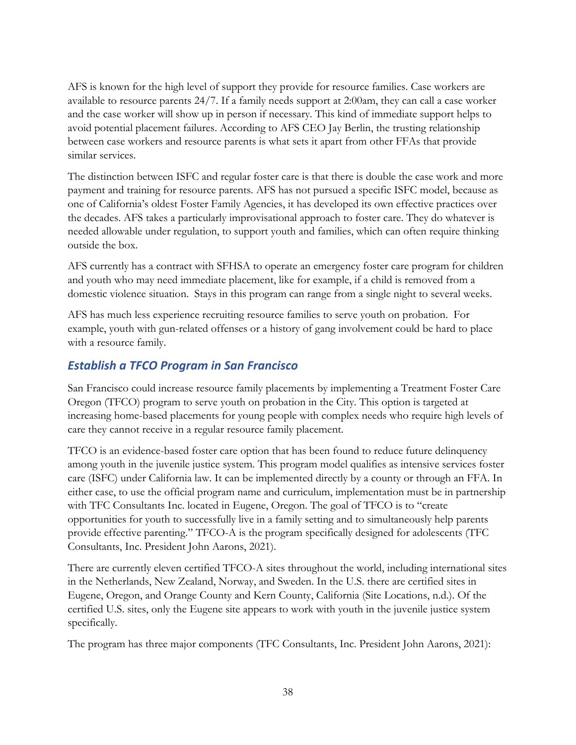AFS is known for the high level of support they provide for resource families. Case workers are available to resource parents 24/7. If a family needs support at 2:00am, they can call a case worker and the case worker will show up in person if necessary. This kind of immediate support helps to avoid potential placement failures. According to AFS CEO Jay Berlin, the trusting relationship between case workers and resource parents is what sets it apart from other FFAs that provide similar services.

The distinction between ISFC and regular foster care is that there is double the case work and more payment and training for resource parents. AFS has not pursued a specific ISFC model, because as one of California's oldest Foster Family Agencies, it has developed its own effective practices over the decades. AFS takes a particularly improvisational approach to foster care. They do whatever is needed allowable under regulation, to support youth and families, which can often require thinking outside the box.

AFS currently has a contract with SFHSA to operate an emergency foster care program for children and youth who may need immediate placement, like for example, if a child is removed from a domestic violence situation. Stays in this program can range from a single night to several weeks.

AFS has much less experience recruiting resource families to serve youth on probation. For example, youth with gun-related offenses or a history of gang involvement could be hard to place with a resource family.

## *Establish a TFCO Program in San Francisco*

San Francisco could increase resource family placements by implementing a Treatment Foster Care Oregon (TFCO) program to serve youth on probation in the City. This option is targeted at increasing home-based placements for young people with complex needs who require high levels of care they cannot receive in a regular resource family placement.

TFCO is an evidence-based foster care option that has been found to reduce future delinquency among youth in the juvenile justice system. This program model qualifies as intensive services foster care (ISFC) under California law. It can be implemented directly by a county or through an FFA. In either case, to use the official program name and curriculum, implementation must be in partnership with TFC Consultants Inc. located in Eugene, Oregon. The goal of TFCO is to "create opportunities for youth to successfully live in a family setting and to simultaneously help parents provide effective parenting." TFCO-A is the program specifically designed for adolescents (TFC Consultants, Inc. President John Aarons, 2021).

There are currently eleven certified TFCO-A sites throughout the world, including international sites in the Netherlands, New Zealand, Norway, and Sweden. In the U.S. there are certified sites in Eugene, Oregon, and Orange County and Kern County, California (Site Locations, n.d.). Of the certified U.S. sites, only the Eugene site appears to work with youth in the juvenile justice system specifically.

The program has three major components (TFC Consultants, Inc. President John Aarons, 2021):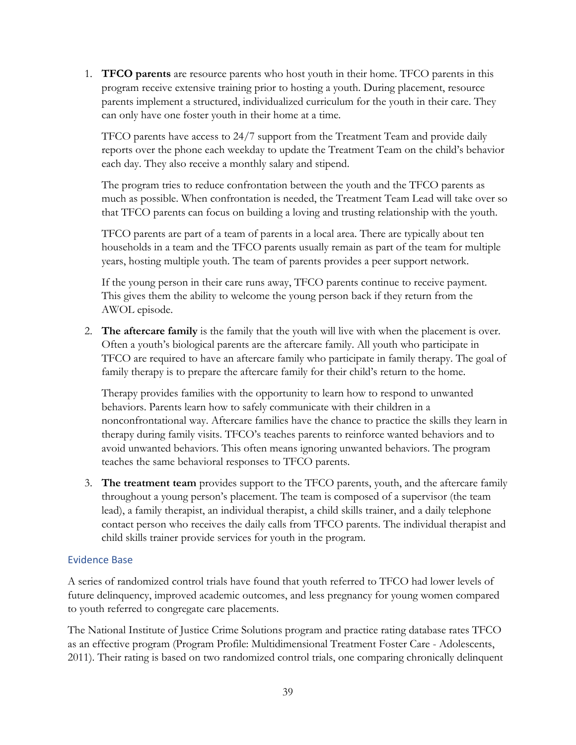1. **TFCO parents** are resource parents who host youth in their home. TFCO parents in this program receive extensive training prior to hosting a youth. During placement, resource parents implement a structured, individualized curriculum for the youth in their care. They can only have one foster youth in their home at a time.

TFCO parents have access to 24/7 support from the Treatment Team and provide daily reports over the phone each weekday to update the Treatment Team on the child's behavior each day. They also receive a monthly salary and stipend.

The program tries to reduce confrontation between the youth and the TFCO parents as much as possible. When confrontation is needed, the Treatment Team Lead will take over so that TFCO parents can focus on building a loving and trusting relationship with the youth.

TFCO parents are part of a team of parents in a local area. There are typically about ten households in a team and the TFCO parents usually remain as part of the team for multiple years, hosting multiple youth. The team of parents provides a peer support network.

If the young person in their care runs away, TFCO parents continue to receive payment. This gives them the ability to welcome the young person back if they return from the AWOL episode.

2. **The aftercare family** is the family that the youth will live with when the placement is over. Often a youth's biological parents are the aftercare family. All youth who participate in TFCO are required to have an aftercare family who participate in family therapy. The goal of family therapy is to prepare the aftercare family for their child's return to the home.

Therapy provides families with the opportunity to learn how to respond to unwanted behaviors. Parents learn how to safely communicate with their children in a nonconfrontational way. Aftercare families have the chance to practice the skills they learn in therapy during family visits. TFCO's teaches parents to reinforce wanted behaviors and to avoid unwanted behaviors. This often means ignoring unwanted behaviors. The program teaches the same behavioral responses to TFCO parents.

3. **The treatment team** provides support to the TFCO parents, youth, and the aftercare family throughout a young person's placement. The team is composed of a supervisor (the team lead), a family therapist, an individual therapist, a child skills trainer, and a daily telephone contact person who receives the daily calls from TFCO parents. The individual therapist and child skills trainer provide services for youth in the program.

#### Evidence Base

A series of randomized control trials have found that youth referred to TFCO had lower levels of future delinquency, improved academic outcomes, and less pregnancy for young women compared to youth referred to congregate care placements.

The National Institute of Justice Crime Solutions program and practice rating database rates TFCO as an effective program (Program Profile: Multidimensional Treatment Foster Care - Adolescents, 2011). Their rating is based on two randomized control trials, one comparing chronically delinquent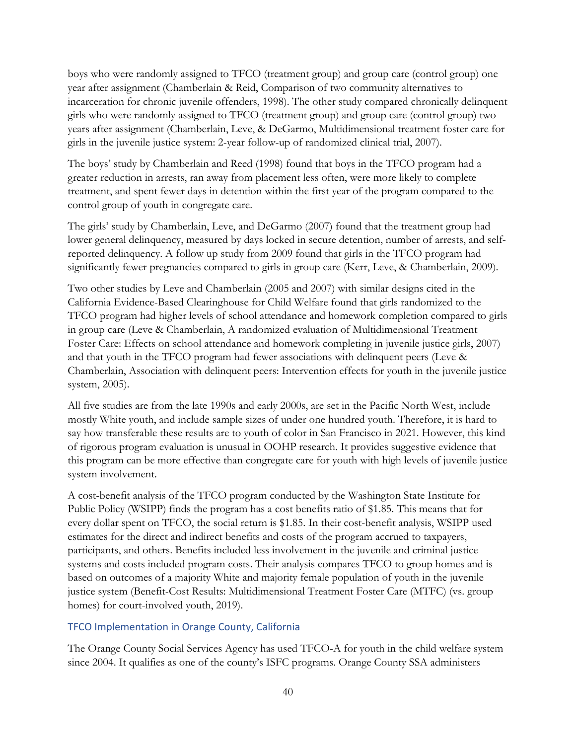boys who were randomly assigned to TFCO (treatment group) and group care (control group) one year after assignment (Chamberlain & Reid, Comparison of two community alternatives to incarceration for chronic juvenile offenders, 1998). The other study compared chronically delinquent girls who were randomly assigned to TFCO (treatment group) and group care (control group) two years after assignment (Chamberlain, Leve, & DeGarmo, Multidimensional treatment foster care for girls in the juvenile justice system: 2-year follow-up of randomized clinical trial, 2007).

The boys' study by Chamberlain and Reed (1998) found that boys in the TFCO program had a greater reduction in arrests, ran away from placement less often, were more likely to complete treatment, and spent fewer days in detention within the first year of the program compared to the control group of youth in congregate care.

The girls' study by Chamberlain, Leve, and DeGarmo (2007) found that the treatment group had lower general delinquency, measured by days locked in secure detention, number of arrests, and selfreported delinquency. A follow up study from 2009 found that girls in the TFCO program had significantly fewer pregnancies compared to girls in group care (Kerr, Leve, & Chamberlain, 2009).

Two other studies by Leve and Chamberlain (2005 and 2007) with similar designs cited in the California Evidence-Based Clearinghouse for Child Welfare found that girls randomized to the TFCO program had higher levels of school attendance and homework completion compared to girls in group care (Leve & Chamberlain, A randomized evaluation of Multidimensional Treatment Foster Care: Effects on school attendance and homework completing in juvenile justice girls, 2007) and that youth in the TFCO program had fewer associations with delinquent peers (Leve & Chamberlain, Association with delinquent peers: Intervention effects for youth in the juvenile justice system, 2005).

All five studies are from the late 1990s and early 2000s, are set in the Pacific North West, include mostly White youth, and include sample sizes of under one hundred youth. Therefore, it is hard to say how transferable these results are to youth of color in San Francisco in 2021. However, this kind of rigorous program evaluation is unusual in OOHP research. It provides suggestive evidence that this program can be more effective than congregate care for youth with high levels of juvenile justice system involvement.

A cost-benefit analysis of the TFCO program conducted by the Washington State Institute for Public Policy (WSIPP) finds the program has a cost benefits ratio of \$1.85. This means that for every dollar spent on TFCO, the social return is \$1.85. In their cost-benefit analysis, WSIPP used estimates for the direct and indirect benefits and costs of the program accrued to taxpayers, participants, and others. Benefits included less involvement in the juvenile and criminal justice systems and costs included program costs. Their analysis compares TFCO to group homes and is based on outcomes of a majority White and majority female population of youth in the juvenile justice system (Benefit-Cost Results: Multidimensional Treatment Foster Care (MTFC) (vs. group homes) for court-involved youth, 2019).

#### TFCO Implementation in Orange County, California

The Orange County Social Services Agency has used TFCO-A for youth in the child welfare system since 2004. It qualifies as one of the county's ISFC programs. Orange County SSA administers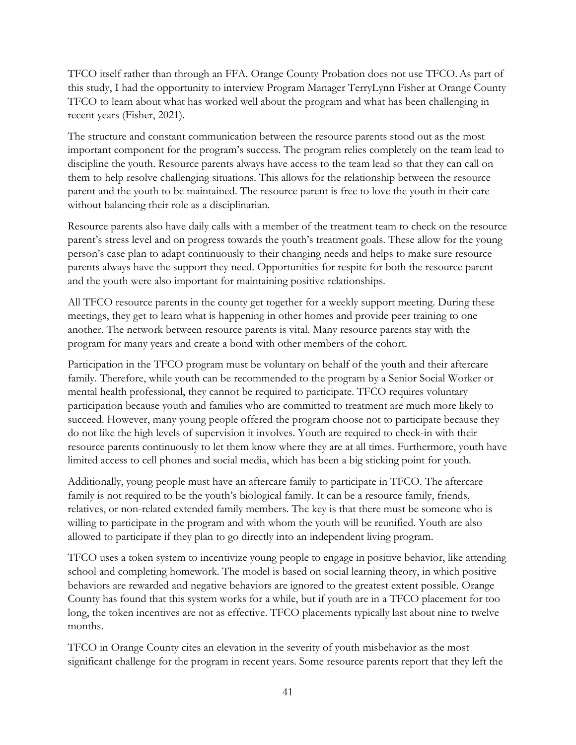TFCO itself rather than through an FFA. Orange County Probation does not use TFCO.As part of this study, I had the opportunity to interview Program Manager TerryLynn Fisher at Orange County TFCO to learn about what has worked well about the program and what has been challenging in recent years (Fisher, 2021).

The structure and constant communication between the resource parents stood out as the most important component for the program's success. The program relies completely on the team lead to discipline the youth. Resource parents always have access to the team lead so that they can call on them to help resolve challenging situations. This allows for the relationship between the resource parent and the youth to be maintained. The resource parent is free to love the youth in their care without balancing their role as a disciplinarian.

Resource parents also have daily calls with a member of the treatment team to check on the resource parent's stress level and on progress towards the youth's treatment goals. These allow for the young person's case plan to adapt continuously to their changing needs and helps to make sure resource parents always have the support they need. Opportunities for respite for both the resource parent and the youth were also important for maintaining positive relationships.

All TFCO resource parents in the county get together for a weekly support meeting. During these meetings, they get to learn what is happening in other homes and provide peer training to one another. The network between resource parents is vital. Many resource parents stay with the program for many years and create a bond with other members of the cohort.

Participation in the TFCO program must be voluntary on behalf of the youth and their aftercare family. Therefore, while youth can be recommended to the program by a Senior Social Worker or mental health professional, they cannot be required to participate. TFCO requires voluntary participation because youth and families who are committed to treatment are much more likely to succeed. However, many young people offered the program choose not to participate because they do not like the high levels of supervision it involves. Youth are required to check-in with their resource parents continuously to let them know where they are at all times. Furthermore, youth have limited access to cell phones and social media, which has been a big sticking point for youth.

Additionally, young people must have an aftercare family to participate in TFCO. The aftercare family is not required to be the youth's biological family. It can be a resource family, friends, relatives, or non-related extended family members. The key is that there must be someone who is willing to participate in the program and with whom the youth will be reunified. Youth are also allowed to participate if they plan to go directly into an independent living program.

TFCO uses a token system to incentivize young people to engage in positive behavior, like attending school and completing homework. The model is based on social learning theory, in which positive behaviors are rewarded and negative behaviors are ignored to the greatest extent possible. Orange County has found that this system works for a while, but if youth are in a TFCO placement for too long, the token incentives are not as effective. TFCO placements typically last about nine to twelve months.

TFCO in Orange County cites an elevation in the severity of youth misbehavior as the most significant challenge for the program in recent years. Some resource parents report that they left the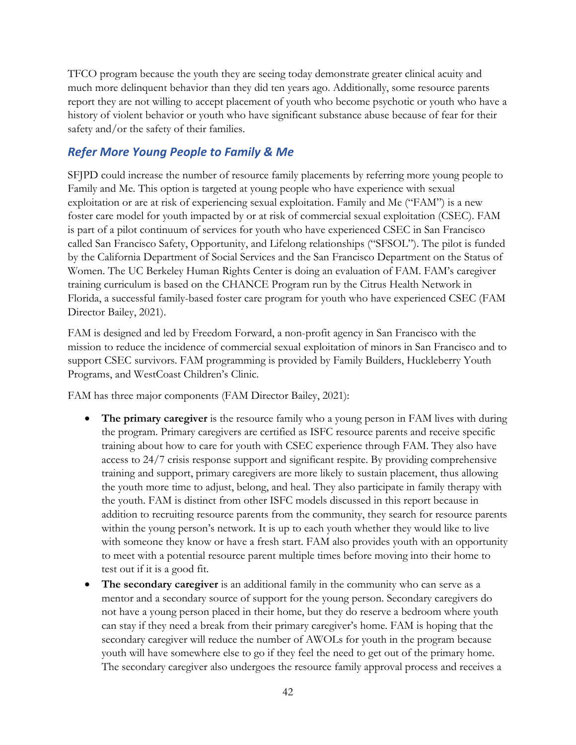TFCO program because the youth they are seeing today demonstrate greater clinical acuity and much more delinquent behavior than they did ten years ago. Additionally, some resource parents report they are not willing to accept placement of youth who become psychotic or youth who have a history of violent behavior or youth who have significant substance abuse because of fear for their safety and/or the safety of their families.

## *Refer More Young People to Family & Me*

SFJPD could increase the number of resource family placements by referring more young people to Family and Me. This option is targeted at young people who have experience with sexual exploitation or are at risk of experiencing sexual exploitation. Family and Me ("FAM") is a new foster care model for youth impacted by or at risk of commercial sexual exploitation (CSEC). FAM is part of a pilot continuum of services for youth who have experienced CSEC in San Francisco called San Francisco Safety, Opportunity, and Lifelong relationships ("SFSOL"). The pilot is funded by the California Department of Social Services and the San Francisco Department on the Status of Women. The UC Berkeley Human Rights Center is doing an evaluation of FAM. FAM's caregiver training curriculum is based on the CHANCE Program run by the Citrus Health Network in Florida, a successful family-based foster care program for youth who have experienced CSEC (FAM Director Bailey, 2021).

FAM is designed and led by Freedom Forward, a non-profit agency in San Francisco with the mission to reduce the incidence of commercial sexual exploitation of minors in San Francisco and to support CSEC survivors. FAM programming is provided by Family Builders, Huckleberry Youth Programs, and WestCoast Children's Clinic.

FAM has three major components (FAM Director Bailey, 2021):

- **The primary caregiver** is the resource family who a young person in FAM lives with during the program. Primary caregivers are certified as ISFC resource parents and receive specific training about how to care for youth with CSEC experience through FAM. They also have access to 24/7 crisis response support and significant respite. By providing comprehensive training and support, primary caregivers are more likely to sustain placement, thus allowing the youth more time to adjust, belong, and heal. They also participate in family therapy with the youth. FAM is distinct from other ISFC models discussed in this report because in addition to recruiting resource parents from the community, they search for resource parents within the young person's network. It is up to each youth whether they would like to live with someone they know or have a fresh start. FAM also provides youth with an opportunity to meet with a potential resource parent multiple times before moving into their home to test out if it is a good fit.
- **The secondary caregiver** is an additional family in the community who can serve as a mentor and a secondary source of support for the young person. Secondary caregivers do not have a young person placed in their home, but they do reserve a bedroom where youth can stay if they need a break from their primary caregiver's home. FAM is hoping that the secondary caregiver will reduce the number of AWOLs for youth in the program because youth will have somewhere else to go if they feel the need to get out of the primary home. The secondary caregiver also undergoes the resource family approval process and receives a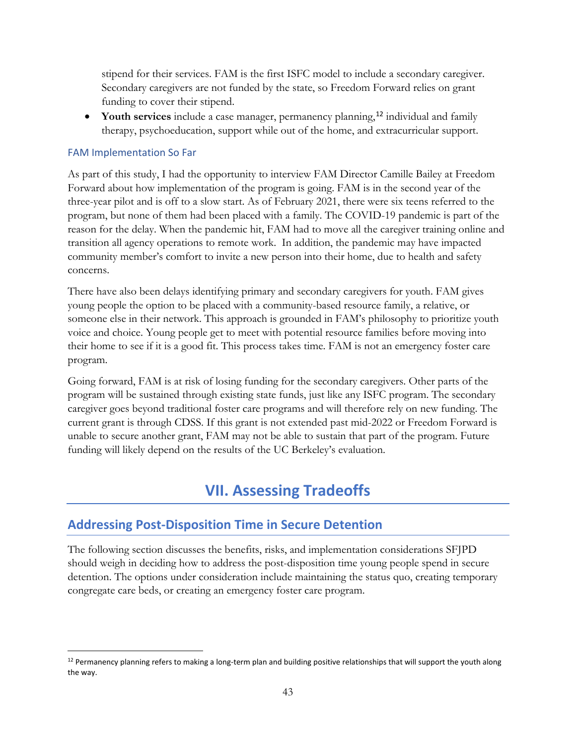stipend for their services. FAM is the first ISFC model to include a secondary caregiver. Secondary caregivers are not funded by the state, so Freedom Forward relies on grant funding to cover their stipend.

• Youth services include a case manager, permanency planning,<sup>[12](#page-43-1)</sup> individual and family therapy, psychoeducation, support while out of the home, and extracurricular support.

#### FAM Implementation So Far

As part of this study, I had the opportunity to interview FAM Director Camille Bailey at Freedom Forward about how implementation of the program is going. FAM is in the second year of the three-year pilot and is off to a slow start. As of February 2021, there were six teens referred to the program, but none of them had been placed with a family. The COVID-19 pandemic is part of the reason for the delay. When the pandemic hit, FAM had to move all the caregiver training online and transition all agency operations to remote work. In addition, the pandemic may have impacted community member's comfort to invite a new person into their home, due to health and safety concerns.

There have also been delays identifying primary and secondary caregivers for youth. FAM gives young people the option to be placed with a community-based resource family, a relative, or someone else in their network. This approach is grounded in FAM's philosophy to prioritize youth voice and choice. Young people get to meet with potential resource families before moving into their home to see if it is a good fit. This process takes time. FAM is not an emergency foster care program.

Going forward, FAM is at risk of losing funding for the secondary caregivers. Other parts of the program will be sustained through existing state funds, just like any ISFC program. The secondary caregiver goes beyond traditional foster care programs and will therefore rely on new funding. The current grant is through CDSS. If this grant is not extended past mid-2022 or Freedom Forward is unable to secure another grant, FAM may not be able to sustain that part of the program. Future funding will likely depend on the results of the UC Berkeley's evaluation.

# **VII. Assessing Tradeoffs**

## <span id="page-43-0"></span>**Addressing Post-Disposition Time in Secure Detention**

The following section discusses the benefits, risks, and implementation considerations SFJPD should weigh in deciding how to address the post-disposition time young people spend in secure detention. The options under consideration include maintaining the status quo, creating temporary congregate care beds, or creating an emergency foster care program.

<span id="page-43-1"></span> $12$  Permanency planning refers to making a long-term plan and building positive relationships that will support the youth along the way.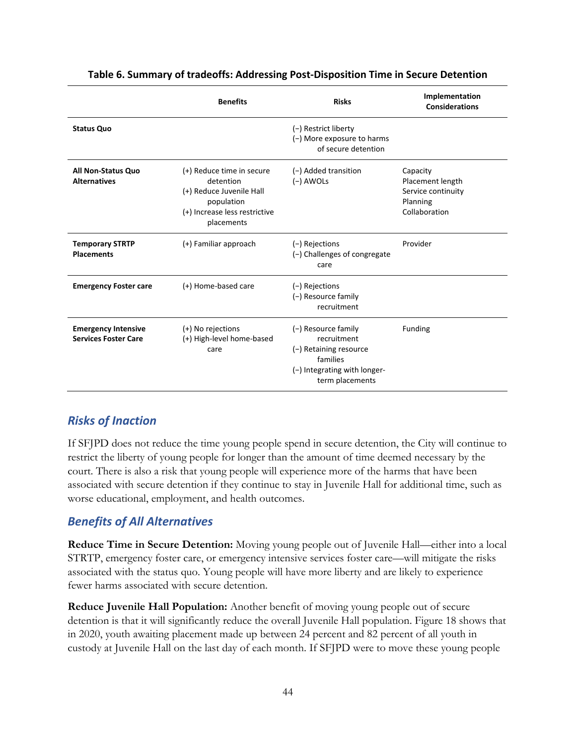<span id="page-44-0"></span>

|                                                           | <b>Benefits</b>                                                                                                                 | <b>Risks</b>                                                                                                                | Implementation<br><b>Considerations</b>                                         |
|-----------------------------------------------------------|---------------------------------------------------------------------------------------------------------------------------------|-----------------------------------------------------------------------------------------------------------------------------|---------------------------------------------------------------------------------|
| <b>Status Quo</b>                                         |                                                                                                                                 | (-) Restrict liberty<br>(-) More exposure to harms<br>of secure detention                                                   |                                                                                 |
| <b>All Non-Status Quo</b><br><b>Alternatives</b>          | (+) Reduce time in secure<br>detention<br>(+) Reduce Juvenile Hall<br>population<br>(+) Increase less restrictive<br>placements | (-) Added transition<br>$(-)$ AWOLs                                                                                         | Capacity<br>Placement length<br>Service continuity<br>Planning<br>Collaboration |
| <b>Temporary STRTP</b><br><b>Placements</b>               | (+) Familiar approach                                                                                                           | (-) Rejections<br>(-) Challenges of congregate<br>care                                                                      | Provider                                                                        |
| <b>Emergency Foster care</b>                              | (+) Home-based care                                                                                                             | (-) Rejections<br>(-) Resource family<br>recruitment                                                                        |                                                                                 |
| <b>Emergency Intensive</b><br><b>Services Foster Care</b> | (+) No rejections<br>(+) High-level home-based<br>care                                                                          | (-) Resource family<br>recruitment<br>(-) Retaining resource<br>families<br>(-) Integrating with longer-<br>term placements | <b>Funding</b>                                                                  |

#### **Table 6. Summary of tradeoffs: Addressing Post-Disposition Time in Secure Detention**

## *Risks of Inaction*

If SFJPD does not reduce the time young people spend in secure detention, the City will continue to restrict the liberty of young people for longer than the amount of time deemed necessary by the court. There is also a risk that young people will experience more of the harms that have been associated with secure detention if they continue to stay in Juvenile Hall for additional time, such as worse educational, employment, and health outcomes.

## *Benefits of All Alternatives*

**Reduce Time in Secure Detention:** Moving young people out of Juvenile Hall—either into a local STRTP, emergency foster care, or emergency intensive services foster care—will mitigate the risks associated with the status quo. Young people will have more liberty and are likely to experience fewer harms associated with secure detention.

**Reduce Juvenile Hall Population:** Another benefit of moving young people out of secure detention is that it will significantly reduce the overall Juvenile Hall population. [Figure 18](#page-26-1) shows that in 2020, youth awaiting placement made up between 24 percent and 82 percent of all youth in custody at Juvenile Hall on the last day of each month. If SFJPD were to move these young people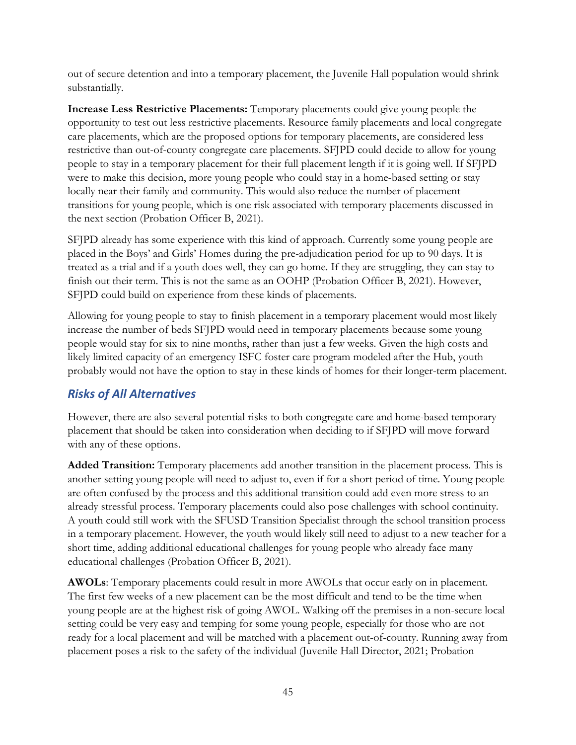out of secure detention and into a temporary placement, the Juvenile Hall population would shrink substantially.

**Increase Less Restrictive Placements:** Temporary placements could give young people the opportunity to test out less restrictive placements. Resource family placements and local congregate care placements, which are the proposed options for temporary placements, are considered less restrictive than out-of-county congregate care placements. SFJPD could decide to allow for young people to stay in a temporary placement for their full placement length if it is going well. If SFJPD were to make this decision, more young people who could stay in a home-based setting or stay locally near their family and community. This would also reduce the number of placement transitions for young people, which is one risk associated with temporary placements discussed in the next section (Probation Officer B, 2021).

SFJPD already has some experience with this kind of approach. Currently some young people are placed in the Boys' and Girls' Homes during the pre-adjudication period for up to 90 days. It is treated as a trial and if a youth does well, they can go home. If they are struggling, they can stay to finish out their term. This is not the same as an OOHP (Probation Officer B, 2021). However, SFJPD could build on experience from these kinds of placements.

Allowing for young people to stay to finish placement in a temporary placement would most likely increase the number of beds SFJPD would need in temporary placements because some young people would stay for six to nine months, rather than just a few weeks. Given the high costs and likely limited capacity of an emergency ISFC foster care program modeled after the Hub, youth probably would not have the option to stay in these kinds of homes for their longer-term placement.

## *Risks of All Alternatives*

However, there are also several potential risks to both congregate care and home-based temporary placement that should be taken into consideration when deciding to if SFJPD will move forward with any of these options.

**Added Transition:** Temporary placements add another transition in the placement process. This is another setting young people will need to adjust to, even if for a short period of time. Young people are often confused by the process and this additional transition could add even more stress to an already stressful process. Temporary placements could also pose challenges with school continuity. A youth could still work with the SFUSD Transition Specialist through the school transition process in a temporary placement. However, the youth would likely still need to adjust to a new teacher for a short time, adding additional educational challenges for young people who already face many educational challenges (Probation Officer B, 2021).

**AWOLs**: Temporary placements could result in more AWOLs that occur early on in placement. The first few weeks of a new placement can be the most difficult and tend to be the time when young people are at the highest risk of going AWOL. Walking off the premises in a non-secure local setting could be very easy and temping for some young people, especially for those who are not ready for a local placement and will be matched with a placement out-of-county. Running away from placement poses a risk to the safety of the individual (Juvenile Hall Director, 2021; Probation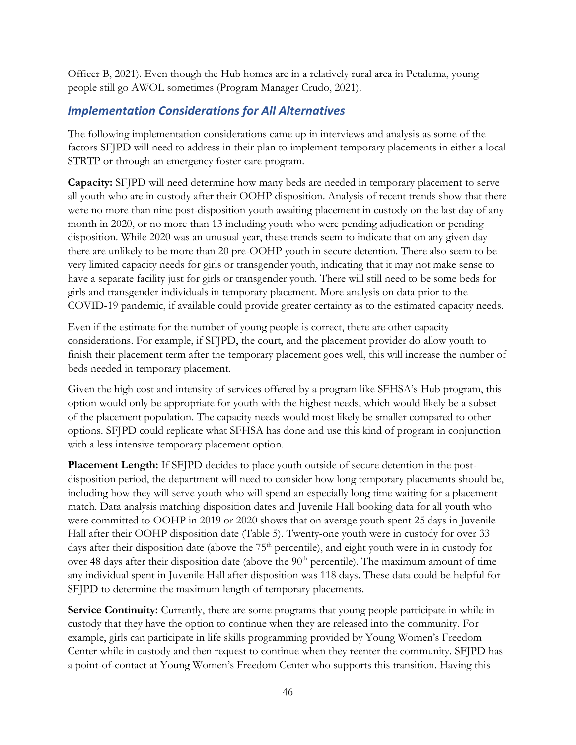Officer B, 2021). Even though the Hub homes are in a relatively rural area in Petaluma, young people still go AWOL sometimes (Program Manager Crudo, 2021).

## *Implementation Considerations for All Alternatives*

The following implementation considerations came up in interviews and analysis as some of the factors SFJPD will need to address in their plan to implement temporary placements in either a local STRTP or through an emergency foster care program.

**Capacity:** SFJPD will need determine how many beds are needed in temporary placement to serve all youth who are in custody after their OOHP disposition. Analysis of recent trends show that there were no more than nine post-disposition youth awaiting placement in custody on the last day of any month in 2020, or no more than 13 including youth who were pending adjudication or pending disposition. While 2020 was an unusual year, these trends seem to indicate that on any given day there are unlikely to be more than 20 pre-OOHP youth in secure detention. There also seem to be very limited capacity needs for girls or transgender youth, indicating that it may not make sense to have a separate facility just for girls or transgender youth. There will still need to be some beds for girls and transgender individuals in temporary placement. More analysis on data prior to the COVID-19 pandemic, if available could provide greater certainty as to the estimated capacity needs.

Even if the estimate for the number of young people is correct, there are other capacity considerations. For example, if SFJPD, the court, and the placement provider do allow youth to finish their placement term after the temporary placement goes well, this will increase the number of beds needed in temporary placement.

Given the high cost and intensity of services offered by a program like SFHSA's Hub program, this option would only be appropriate for youth with the highest needs, which would likely be a subset of the placement population. The capacity needs would most likely be smaller compared to other options. SFJPD could replicate what SFHSA has done and use this kind of program in conjunction with a less intensive temporary placement option.

**Placement Length:** If SFJPD decides to place youth outside of secure detention in the postdisposition period, the department will need to consider how long temporary placements should be, including how they will serve youth who will spend an especially long time waiting for a placement match. Data analysis matching disposition dates and Juvenile Hall booking data for all youth who were committed to OOHP in 2019 or 2020 shows that on average youth spent 25 days in Juvenile Hall after their OOHP disposition date [\(Table 5\)](#page-23-0). Twenty-one youth were in custody for over 33 days after their disposition date (above the  $75<sup>th</sup>$  percentile), and eight youth were in in custody for over 48 days after their disposition date (above the 90<sup>th</sup> percentile). The maximum amount of time any individual spent in Juvenile Hall after disposition was 118 days. These data could be helpful for SFJPD to determine the maximum length of temporary placements.

Service Continuity: Currently, there are some programs that young people participate in while in custody that they have the option to continue when they are released into the community. For example, girls can participate in life skills programming provided by Young Women's Freedom Center while in custody and then request to continue when they reenter the community. SFJPD has a point-of-contact at Young Women's Freedom Center who supports this transition. Having this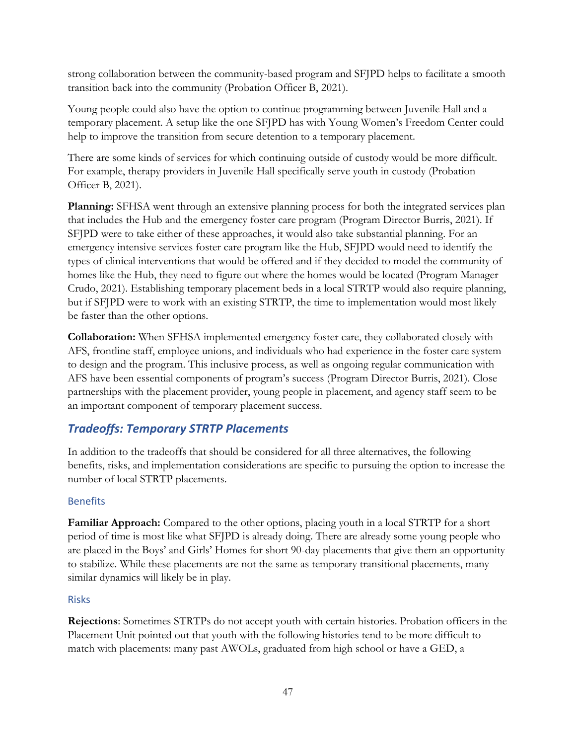strong collaboration between the community-based program and SFJPD helps to facilitate a smooth transition back into the community (Probation Officer B, 2021).

Young people could also have the option to continue programming between Juvenile Hall and a temporary placement. A setup like the one SFJPD has with Young Women's Freedom Center could help to improve the transition from secure detention to a temporary placement.

There are some kinds of services for which continuing outside of custody would be more difficult. For example, therapy providers in Juvenile Hall specifically serve youth in custody (Probation Officer B, 2021).

**Planning:** SFHSA went through an extensive planning process for both the integrated services plan that includes the Hub and the emergency foster care program (Program Director Burris, 2021). If SFJPD were to take either of these approaches, it would also take substantial planning. For an emergency intensive services foster care program like the Hub, SFJPD would need to identify the types of clinical interventions that would be offered and if they decided to model the community of homes like the Hub, they need to figure out where the homes would be located (Program Manager Crudo, 2021). Establishing temporary placement beds in a local STRTP would also require planning, but if SFJPD were to work with an existing STRTP, the time to implementation would most likely be faster than the other options.

**Collaboration:** When SFHSA implemented emergency foster care, they collaborated closely with AFS, frontline staff, employee unions, and individuals who had experience in the foster care system to design and the program. This inclusive process, as well as ongoing regular communication with AFS have been essential components of program's success (Program Director Burris, 2021). Close partnerships with the placement provider, young people in placement, and agency staff seem to be an important component of temporary placement success.

## *Tradeoffs: Temporary STRTP Placements*

In addition to the tradeoffs that should be considered for all three alternatives, the following benefits, risks, and implementation considerations are specific to pursuing the option to increase the number of local STRTP placements.

## Benefits

**Familiar Approach:** Compared to the other options, placing youth in a local STRTP for a short period of time is most like what SFJPD is already doing. There are already some young people who are placed in the Boys' and Girls' Homes for short 90-day placements that give them an opportunity to stabilize. While these placements are not the same as temporary transitional placements, many similar dynamics will likely be in play.

#### Risks

**Rejections**: Sometimes STRTPs do not accept youth with certain histories. Probation officers in the Placement Unit pointed out that youth with the following histories tend to be more difficult to match with placements: many past AWOLs, graduated from high school or have a GED, a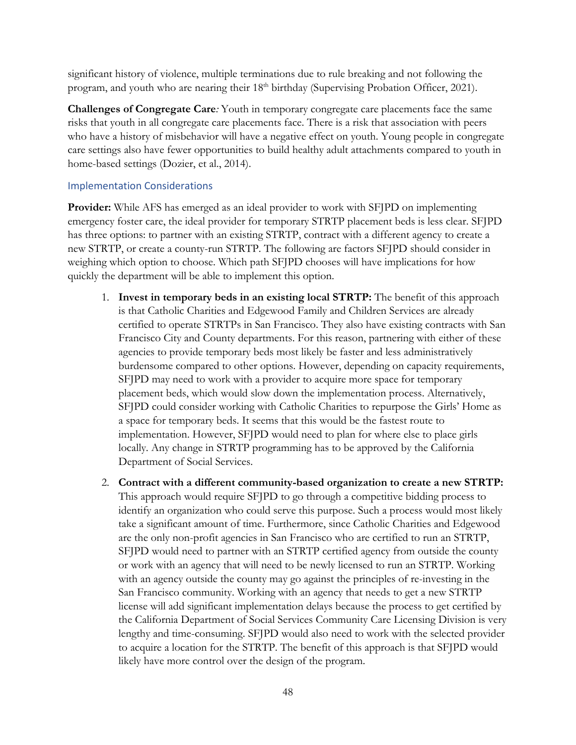significant history of violence, multiple terminations due to rule breaking and not following the program, and youth who are nearing their 18<sup>th</sup> birthday (Supervising Probation Officer, 2021).

**Challenges of Congregate Care***:* Youth in temporary congregate care placements face the same risks that youth in all congregate care placements face. There is a risk that association with peers who have a history of misbehavior will have a negative effect on youth. Young people in congregate care settings also have fewer opportunities to build healthy adult attachments compared to youth in home-based settings (Dozier, et al., 2014).

#### Implementation Considerations

**Provider:** While AFS has emerged as an ideal provider to work with SFJPD on implementing emergency foster care, the ideal provider for temporary STRTP placement beds is less clear. SFJPD has three options: to partner with an existing STRTP, contract with a different agency to create a new STRTP, or create a county-run STRTP. The following are factors SFJPD should consider in weighing which option to choose. Which path SFJPD chooses will have implications for how quickly the department will be able to implement this option.

- 1. **Invest in temporary beds in an existing local STRTP:** The benefit of this approach is that Catholic Charities and Edgewood Family and Children Services are already certified to operate STRTPs in San Francisco. They also have existing contracts with San Francisco City and County departments. For this reason, partnering with either of these agencies to provide temporary beds most likely be faster and less administratively burdensome compared to other options. However, depending on capacity requirements, SFJPD may need to work with a provider to acquire more space for temporary placement beds, which would slow down the implementation process. Alternatively, SFJPD could consider working with Catholic Charities to repurpose the Girls' Home as a space for temporary beds. It seems that this would be the fastest route to implementation. However, SFJPD would need to plan for where else to place girls locally. Any change in STRTP programming has to be approved by the California Department of Social Services.
- 2. **Contract with a different community-based organization to create a new STRTP:** This approach would require SFJPD to go through a competitive bidding process to identify an organization who could serve this purpose. Such a process would most likely take a significant amount of time. Furthermore, since Catholic Charities and Edgewood are the only non-profit agencies in San Francisco who are certified to run an STRTP, SFJPD would need to partner with an STRTP certified agency from outside the county or work with an agency that will need to be newly licensed to run an STRTP. Working with an agency outside the county may go against the principles of re-investing in the San Francisco community. Working with an agency that needs to get a new STRTP license will add significant implementation delays because the process to get certified by the California Department of Social Services Community Care Licensing Division is very lengthy and time-consuming. SFJPD would also need to work with the selected provider to acquire a location for the STRTP. The benefit of this approach is that SFJPD would likely have more control over the design of the program.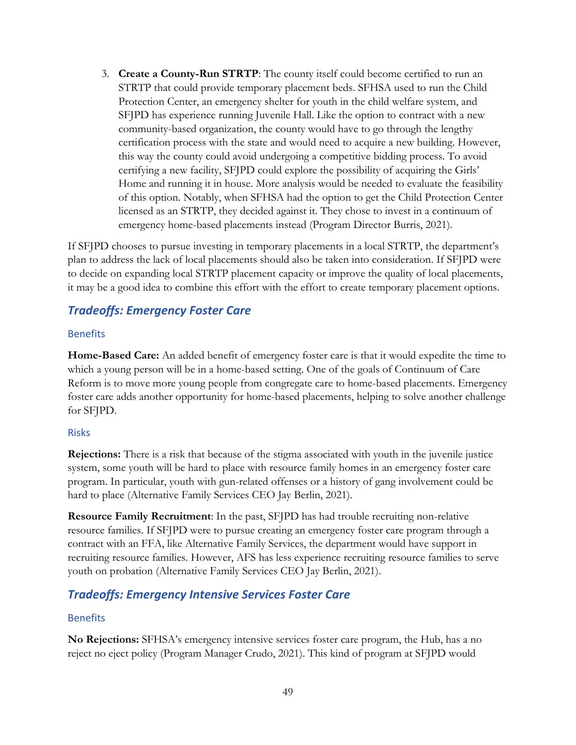3. **Create a County-Run STRTP**: The county itself could become certified to run an STRTP that could provide temporary placement beds. SFHSA used to run the Child Protection Center, an emergency shelter for youth in the child welfare system, and SFJPD has experience running Juvenile Hall. Like the option to contract with a new community-based organization, the county would have to go through the lengthy certification process with the state and would need to acquire a new building. However, this way the county could avoid undergoing a competitive bidding process. To avoid certifying a new facility, SFJPD could explore the possibility of acquiring the Girls' Home and running it in house. More analysis would be needed to evaluate the feasibility of this option. Notably, when SFHSA had the option to get the Child Protection Center licensed as an STRTP, they decided against it. They chose to invest in a continuum of emergency home-based placements instead (Program Director Burris, 2021).

If SFJPD chooses to pursue investing in temporary placements in a local STRTP, the department's plan to address the lack of local placements should also be taken into consideration. If SFJPD were to decide on expanding local STRTP placement capacity or improve the quality of local placements, it may be a good idea to combine this effort with the effort to create temporary placement options.

## *Tradeoffs: Emergency Foster Care*

#### Benefits

**Home-Based Care:** An added benefit of emergency foster care is that it would expedite the time to which a young person will be in a home-based setting. One of the goals of Continuum of Care Reform is to move more young people from congregate care to home-based placements. Emergency foster care adds another opportunity for home-based placements, helping to solve another challenge for SFJPD.

#### Risks

**Rejections:** There is a risk that because of the stigma associated with youth in the juvenile justice system, some youth will be hard to place with resource family homes in an emergency foster care program. In particular, youth with gun-related offenses or a history of gang involvement could be hard to place (Alternative Family Services CEO Jay Berlin, 2021).

**Resource Family Recruitment**: In the past, SFJPD has had trouble recruiting non-relative resource families. If SFJPD were to pursue creating an emergency foster care program through a contract with an FFA, like Alternative Family Services, the department would have support in recruiting resource families. However, AFS has less experience recruiting resource families to serve youth on probation (Alternative Family Services CEO Jay Berlin, 2021).

## *Tradeoffs: Emergency Intensive Services Foster Care*

## Benefits

**No Rejections:** SFHSA's emergency intensive services foster care program, the Hub, has a no reject no eject policy (Program Manager Crudo, 2021). This kind of program at SFJPD would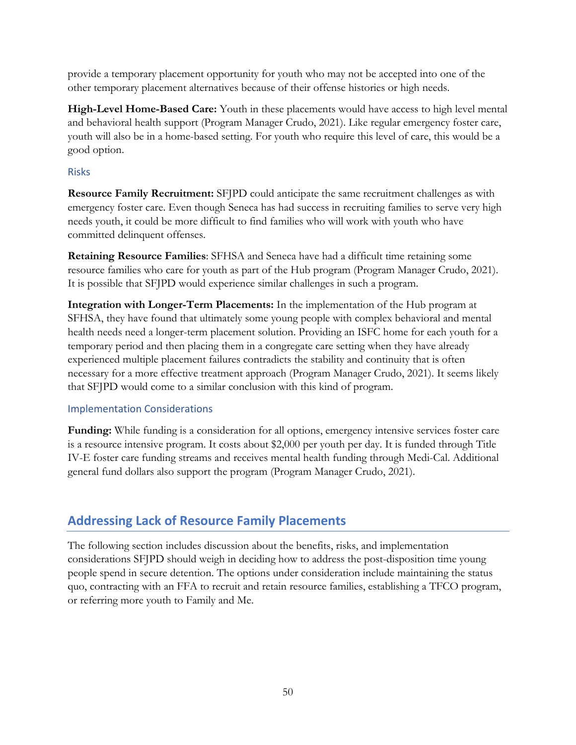provide a temporary placement opportunity for youth who may not be accepted into one of the other temporary placement alternatives because of their offense histories or high needs.

**High-Level Home-Based Care:** Youth in these placements would have access to high level mental and behavioral health support (Program Manager Crudo, 2021). Like regular emergency foster care, youth will also be in a home-based setting. For youth who require this level of care, this would be a good option.

#### Risks

**Resource Family Recruitment:** SFJPD could anticipate the same recruitment challenges as with emergency foster care. Even though Seneca has had success in recruiting families to serve very high needs youth, it could be more difficult to find families who will work with youth who have committed delinquent offenses.

**Retaining Resource Families**: SFHSA and Seneca have had a difficult time retaining some resource families who care for youth as part of the Hub program (Program Manager Crudo, 2021). It is possible that SFJPD would experience similar challenges in such a program.

**Integration with Longer-Term Placements:** In the implementation of the Hub program at SFHSA, they have found that ultimately some young people with complex behavioral and mental health needs need a longer-term placement solution. Providing an ISFC home for each youth for a temporary period and then placing them in a congregate care setting when they have already experienced multiple placement failures contradicts the stability and continuity that is often necessary for a more effective treatment approach (Program Manager Crudo, 2021). It seems likely that SFJPD would come to a similar conclusion with this kind of program.

#### Implementation Considerations

**Funding:** While funding is a consideration for all options, emergency intensive services foster care is a resource intensive program. It costs about \$2,000 per youth per day. It is funded through Title IV-E foster care funding streams and receives mental health funding through Medi-Cal. Additional general fund dollars also support the program (Program Manager Crudo, 2021).

## **Addressing Lack of Resource Family Placements**

The following section includes discussion about the benefits, risks, and implementation considerations SFJPD should weigh in deciding how to address the post-disposition time young people spend in secure detention. The options under consideration include maintaining the status quo, contracting with an FFA to recruit and retain resource families, establishing a TFCO program, or referring more youth to Family and Me.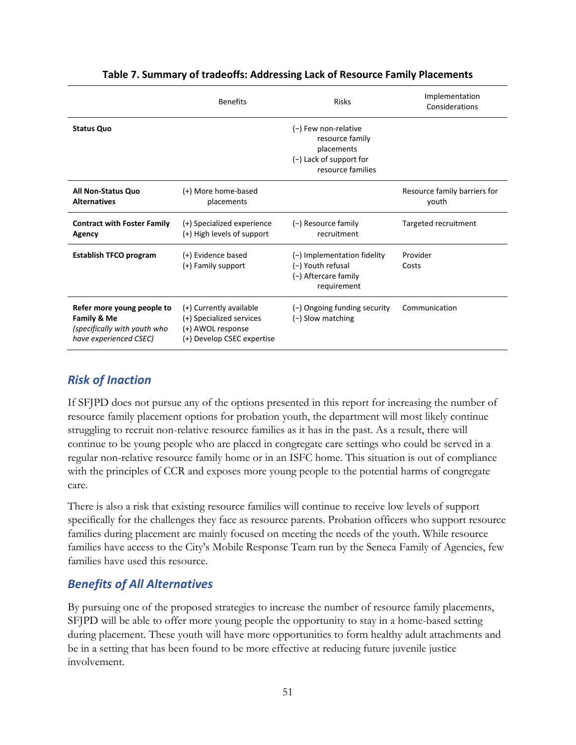<span id="page-51-0"></span>

|                                                                                                     | <b>Benefits</b><br><b>Risks</b>                                                                        |                                                                                                         | Implementation<br>Considerations      |
|-----------------------------------------------------------------------------------------------------|--------------------------------------------------------------------------------------------------------|---------------------------------------------------------------------------------------------------------|---------------------------------------|
| <b>Status Quo</b>                                                                                   |                                                                                                        | (-) Few non-relative<br>resource family<br>placements<br>$(-)$ Lack of support for<br>resource families |                                       |
| <b>All Non-Status Quo</b><br><b>Alternatives</b>                                                    | (+) More home-based<br>placements                                                                      |                                                                                                         | Resource family barriers for<br>youth |
| <b>Contract with Foster Family</b><br>Agency                                                        | (+) Specialized experience<br>(+) High levels of support                                               | (-) Resource family<br>recruitment                                                                      | Targeted recruitment                  |
| <b>Establish TFCO program</b>                                                                       | (+) Evidence based<br>(+) Family support                                                               | $(-)$ Implementation fidelity<br>(-) Youth refusal<br>(-) Aftercare family<br>requirement               | Provider<br>Costs                     |
| Refer more young people to<br>Family & Me<br>(specifically with youth who<br>have experienced CSEC) | (+) Currently available<br>(+) Specialized services<br>(+) AWOL response<br>(+) Develop CSEC expertise | (-) Ongoing funding security<br>$(-)$ Slow matching                                                     | Communication                         |

#### **Table 7. Summary of tradeoffs: Addressing Lack of Resource Family Placements**

## *Risk of Inaction*

If SFJPD does not pursue any of the options presented in this report for increasing the number of resource family placement options for probation youth, the department will most likely continue struggling to recruit non-relative resource families as it has in the past. As a result, there will continue to be young people who are placed in congregate care settings who could be served in a regular non-relative resource family home or in an ISFC home. This situation is out of compliance with the principles of CCR and exposes more young people to the potential harms of congregate care.

There is also a risk that existing resource families will continue to receive low levels of support specifically for the challenges they face as resource parents. Probation officers who support resource families during placement are mainly focused on meeting the needs of the youth. While resource families have access to the City's Mobile Response Team run by the Seneca Family of Agencies, few families have used this resource.

## *Benefits of All Alternatives*

By pursuing one of the proposed strategies to increase the number of resource family placements, SFJPD will be able to offer more young people the opportunity to stay in a home-based setting during placement. These youth will have more opportunities to form healthy adult attachments and be in a setting that has been found to be more effective at reducing future juvenile justice involvement.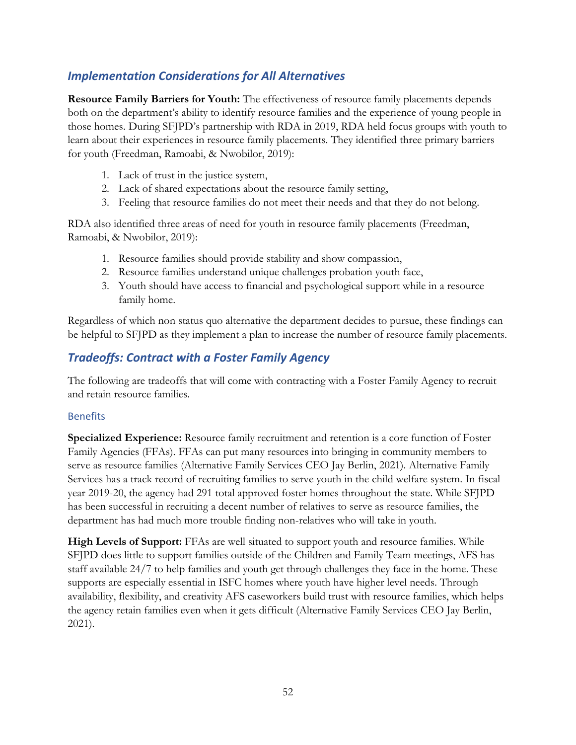## *Implementation Considerations for All Alternatives*

**Resource Family Barriers for Youth:** The effectiveness of resource family placements depends both on the department's ability to identify resource families and the experience of young people in those homes. During SFJPD's partnership with RDA in 2019, RDA held focus groups with youth to learn about their experiences in resource family placements. They identified three primary barriers for youth (Freedman, Ramoabi, & Nwobilor, 2019):

- 1. Lack of trust in the justice system,
- 2. Lack of shared expectations about the resource family setting,
- 3. Feeling that resource families do not meet their needs and that they do not belong.

RDA also identified three areas of need for youth in resource family placements (Freedman, Ramoabi, & Nwobilor, 2019):

- 1. Resource families should provide stability and show compassion,
- 2. Resource families understand unique challenges probation youth face,
- 3. Youth should have access to financial and psychological support while in a resource family home.

Regardless of which non status quo alternative the department decides to pursue, these findings can be helpful to SFJPD as they implement a plan to increase the number of resource family placements.

## *Tradeoffs: Contract with a Foster Family Agency*

The following are tradeoffs that will come with contracting with a Foster Family Agency to recruit and retain resource families.

#### Benefits

**Specialized Experience:** Resource family recruitment and retention is a core function of Foster Family Agencies (FFAs). FFAs can put many resources into bringing in community members to serve as resource families (Alternative Family Services CEO Jay Berlin, 2021). Alternative Family Services has a track record of recruiting families to serve youth in the child welfare system. In fiscal year 2019-20, the agency had 291 total approved foster homes throughout the state. While SFJPD has been successful in recruiting a decent number of relatives to serve as resource families, the department has had much more trouble finding non-relatives who will take in youth.

**High Levels of Support:** FFAs are well situated to support youth and resource families. While SFJPD does little to support families outside of the Children and Family Team meetings, AFS has staff available 24/7 to help families and youth get through challenges they face in the home. These supports are especially essential in ISFC homes where youth have higher level needs. Through availability, flexibility, and creativity AFS caseworkers build trust with resource families, which helps the agency retain families even when it gets difficult (Alternative Family Services CEO Jay Berlin, 2021).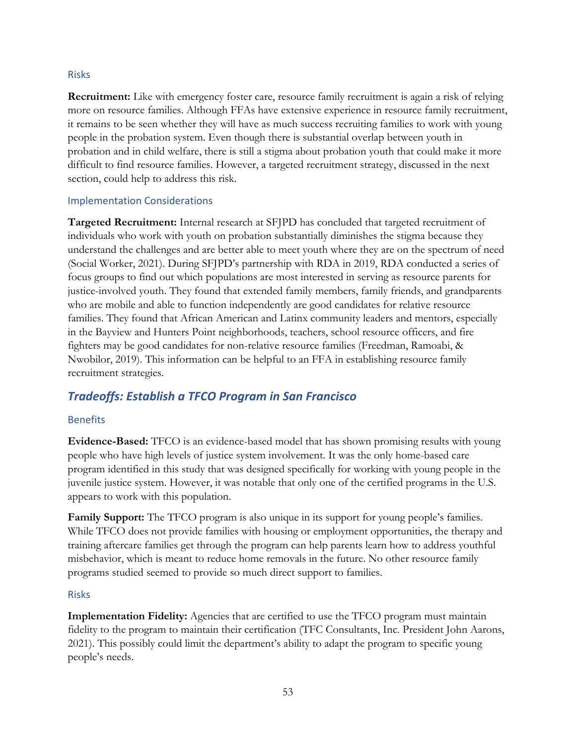#### Risks

**Recruitment:** Like with emergency foster care, resource family recruitment is again a risk of relying more on resource families. Although FFAs have extensive experience in resource family recruitment, it remains to be seen whether they will have as much success recruiting families to work with young people in the probation system. Even though there is substantial overlap between youth in probation and in child welfare, there is still a stigma about probation youth that could make it more difficult to find resource families. However, a targeted recruitment strategy, discussed in the next section, could help to address this risk.

#### Implementation Considerations

**Targeted Recruitment:** Internal research at SFJPD has concluded that targeted recruitment of individuals who work with youth on probation substantially diminishes the stigma because they understand the challenges and are better able to meet youth where they are on the spectrum of need (Social Worker, 2021). During SFJPD's partnership with RDA in 2019, RDA conducted a series of focus groups to find out which populations are most interested in serving as resource parents for justice-involved youth. They found that extended family members, family friends, and grandparents who are mobile and able to function independently are good candidates for relative resource families. They found that African American and Latinx community leaders and mentors, especially in the Bayview and Hunters Point neighborhoods, teachers, school resource officers, and fire fighters may be good candidates for non-relative resource families (Freedman, Ramoabi, & Nwobilor, 2019). This information can be helpful to an FFA in establishing resource family recruitment strategies.

## *Tradeoffs: Establish a TFCO Program in San Francisco*

#### Benefits

**Evidence-Based:** TFCO is an evidence-based model that has shown promising results with young people who have high levels of justice system involvement. It was the only home-based care program identified in this study that was designed specifically for working with young people in the juvenile justice system. However, it was notable that only one of the certified programs in the U.S. appears to work with this population.

**Family Support:** The TFCO program is also unique in its support for young people's families. While TFCO does not provide families with housing or employment opportunities, the therapy and training aftercare families get through the program can help parents learn how to address youthful misbehavior, which is meant to reduce home removals in the future. No other resource family programs studied seemed to provide so much direct support to families.

#### Risks

**Implementation Fidelity:** Agencies that are certified to use the TFCO program must maintain fidelity to the program to maintain their certification (TFC Consultants, Inc. President John Aarons, 2021). This possibly could limit the department's ability to adapt the program to specific young people's needs.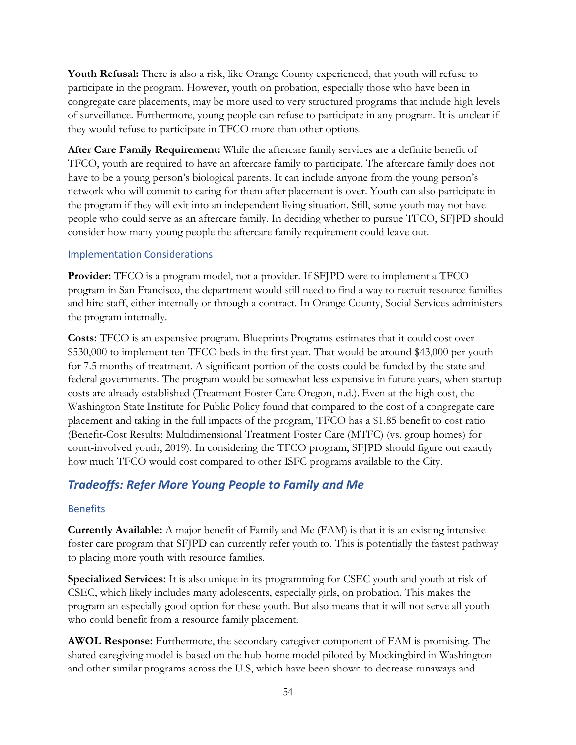**Youth Refusal:** There is also a risk, like Orange County experienced, that youth will refuse to participate in the program. However, youth on probation, especially those who have been in congregate care placements, may be more used to very structured programs that include high levels of surveillance. Furthermore, young people can refuse to participate in any program. It is unclear if they would refuse to participate in TFCO more than other options.

**After Care Family Requirement:** While the aftercare family services are a definite benefit of TFCO, youth are required to have an aftercare family to participate. The aftercare family does not have to be a young person's biological parents. It can include anyone from the young person's network who will commit to caring for them after placement is over. Youth can also participate in the program if they will exit into an independent living situation. Still, some youth may not have people who could serve as an aftercare family. In deciding whether to pursue TFCO, SFJPD should consider how many young people the aftercare family requirement could leave out.

#### Implementation Considerations

**Provider:** TFCO is a program model, not a provider. If SFJPD were to implement a TFCO program in San Francisco, the department would still need to find a way to recruit resource families and hire staff, either internally or through a contract. In Orange County, Social Services administers the program internally.

**Costs:** TFCO is an expensive program. Blueprints Programs estimates that it could cost over \$530,000 to implement ten TFCO beds in the first year. That would be around \$43,000 per youth for 7.5 months of treatment. A significant portion of the costs could be funded by the state and federal governments. The program would be somewhat less expensive in future years, when startup costs are already established (Treatment Foster Care Oregon, n.d.). Even at the high cost, the Washington State Institute for Public Policy found that compared to the cost of a congregate care placement and taking in the full impacts of the program, TFCO has a \$1.85 benefit to cost ratio (Benefit-Cost Results: Multidimensional Treatment Foster Care (MTFC) (vs. group homes) for court-involved youth, 2019). In considering the TFCO program, SFJPD should figure out exactly how much TFCO would cost compared to other ISFC programs available to the City.

## *Tradeoffs: Refer More Young People to Family and Me*

#### Benefits

**Currently Available:** A major benefit of Family and Me (FAM) is that it is an existing intensive foster care program that SFJPD can currently refer youth to. This is potentially the fastest pathway to placing more youth with resource families.

**Specialized Services:** It is also unique in its programming for CSEC youth and youth at risk of CSEC, which likely includes many adolescents, especially girls, on probation. This makes the program an especially good option for these youth. But also means that it will not serve all youth who could benefit from a resource family placement.

**AWOL Response:** Furthermore, the secondary caregiver component of FAM is promising. The shared caregiving model is based on the hub-home model piloted by Mockingbird in Washington and other similar programs across the U.S, which have been shown to decrease runaways and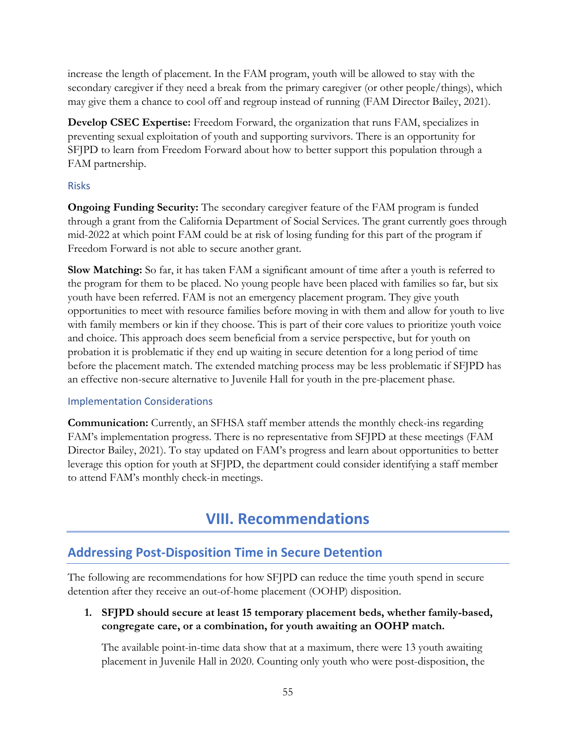increase the length of placement. In the FAM program, youth will be allowed to stay with the secondary caregiver if they need a break from the primary caregiver (or other people/things), which may give them a chance to cool off and regroup instead of running (FAM Director Bailey, 2021).

**Develop CSEC Expertise:** Freedom Forward, the organization that runs FAM, specializes in preventing sexual exploitation of youth and supporting survivors. There is an opportunity for SFJPD to learn from Freedom Forward about how to better support this population through a FAM partnership.

#### Risks

**Ongoing Funding Security:** The secondary caregiver feature of the FAM program is funded through a grant from the California Department of Social Services. The grant currently goes through mid-2022 at which point FAM could be at risk of losing funding for this part of the program if Freedom Forward is not able to secure another grant.

**Slow Matching:** So far, it has taken FAM a significant amount of time after a youth is referred to the program for them to be placed. No young people have been placed with families so far, but six youth have been referred. FAM is not an emergency placement program. They give youth opportunities to meet with resource families before moving in with them and allow for youth to live with family members or kin if they choose. This is part of their core values to prioritize youth voice and choice. This approach does seem beneficial from a service perspective, but for youth on probation it is problematic if they end up waiting in secure detention for a long period of time before the placement match. The extended matching process may be less problematic if SFJPD has an effective non-secure alternative to Juvenile Hall for youth in the pre-placement phase.

#### Implementation Considerations

**Communication:** Currently, an SFHSA staff member attends the monthly check-ins regarding FAM's implementation progress. There is no representative from SFJPD at these meetings (FAM Director Bailey, 2021). To stay updated on FAM's progress and learn about opportunities to better leverage this option for youth at SFJPD, the department could consider identifying a staff member to attend FAM's monthly check-in meetings.

## **VIII. Recommendations**

## <span id="page-55-0"></span>**Addressing Post-Disposition Time in Secure Detention**

The following are recommendations for how SFJPD can reduce the time youth spend in secure detention after they receive an out-of-home placement (OOHP) disposition.

**1. SFJPD should secure at least 15 temporary placement beds, whether family-based, congregate care, or a combination, for youth awaiting an OOHP match.**

The available point-in-time data show that at a maximum, there were 13 youth awaiting placement in Juvenile Hall in 2020. Counting only youth who were post-disposition, the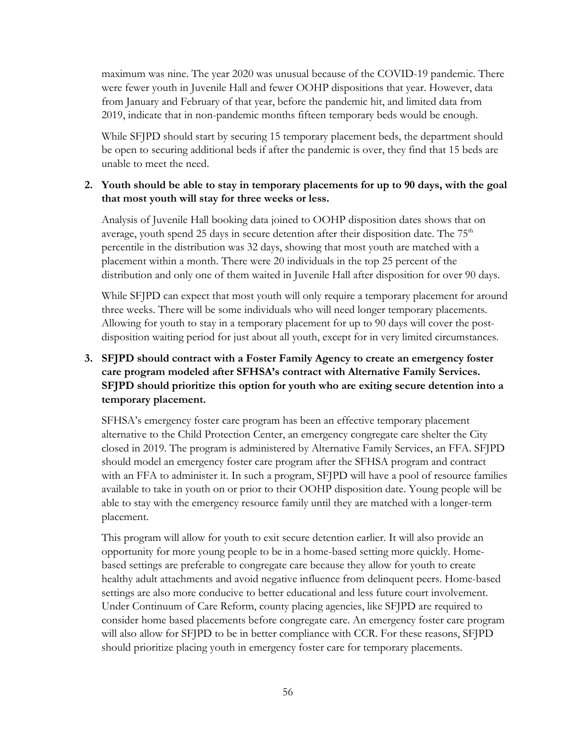maximum was nine. The year 2020 was unusual because of the COVID-19 pandemic. There were fewer youth in Juvenile Hall and fewer OOHP dispositions that year. However, data from January and February of that year, before the pandemic hit, and limited data from 2019, indicate that in non-pandemic months fifteen temporary beds would be enough.

While SFJPD should start by securing 15 temporary placement beds, the department should be open to securing additional beds if after the pandemic is over, they find that 15 beds are unable to meet the need.

#### **2. Youth should be able to stay in temporary placements for up to 90 days, with the goal that most youth will stay for three weeks or less.**

Analysis of Juvenile Hall booking data joined to OOHP disposition dates shows that on average, youth spend 25 days in secure detention after their disposition date. The  $75<sup>th</sup>$ percentile in the distribution was 32 days, showing that most youth are matched with a placement within a month. There were 20 individuals in the top 25 percent of the distribution and only one of them waited in Juvenile Hall after disposition for over 90 days.

While SFJPD can expect that most youth will only require a temporary placement for around three weeks. There will be some individuals who will need longer temporary placements. Allowing for youth to stay in a temporary placement for up to 90 days will cover the postdisposition waiting period for just about all youth, except for in very limited circumstances.

#### **3. SFJPD should contract with a Foster Family Agency to create an emergency foster care program modeled after SFHSA's contract with Alternative Family Services. SFJPD should prioritize this option for youth who are exiting secure detention into a temporary placement.**

SFHSA's emergency foster care program has been an effective temporary placement alternative to the Child Protection Center, an emergency congregate care shelter the City closed in 2019. The program is administered by Alternative Family Services, an FFA. SFJPD should model an emergency foster care program after the SFHSA program and contract with an FFA to administer it. In such a program, SFJPD will have a pool of resource families available to take in youth on or prior to their OOHP disposition date. Young people will be able to stay with the emergency resource family until they are matched with a longer-term placement.

This program will allow for youth to exit secure detention earlier. It will also provide an opportunity for more young people to be in a home-based setting more quickly. Homebased settings are preferable to congregate care because they allow for youth to create healthy adult attachments and avoid negative influence from delinquent peers. Home-based settings are also more conducive to better educational and less future court involvement. Under Continuum of Care Reform, county placing agencies, like SFJPD are required to consider home based placements before congregate care. An emergency foster care program will also allow for SFJPD to be in better compliance with CCR. For these reasons, SFJPD should prioritize placing youth in emergency foster care for temporary placements.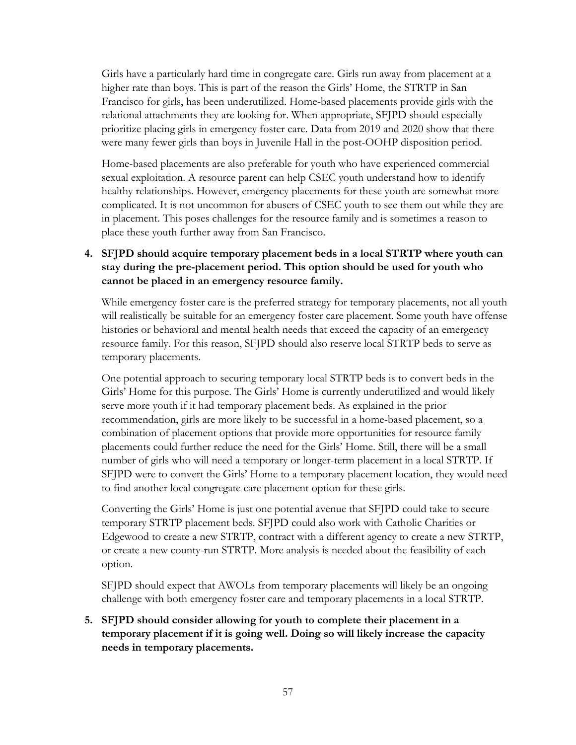Girls have a particularly hard time in congregate care. Girls run away from placement at a higher rate than boys. This is part of the reason the Girls' Home, the STRTP in San Francisco for girls, has been underutilized. Home-based placements provide girls with the relational attachments they are looking for. When appropriate, SFJPD should especially prioritize placing girls in emergency foster care. Data from 2019 and 2020 show that there were many fewer girls than boys in Juvenile Hall in the post-OOHP disposition period.

Home-based placements are also preferable for youth who have experienced commercial sexual exploitation. A resource parent can help CSEC youth understand how to identify healthy relationships. However, emergency placements for these youth are somewhat more complicated. It is not uncommon for abusers of CSEC youth to see them out while they are in placement. This poses challenges for the resource family and is sometimes a reason to place these youth further away from San Francisco.

#### **4. SFJPD should acquire temporary placement beds in a local STRTP where youth can stay during the pre-placement period. This option should be used for youth who cannot be placed in an emergency resource family.**

While emergency foster care is the preferred strategy for temporary placements, not all youth will realistically be suitable for an emergency foster care placement. Some youth have offense histories or behavioral and mental health needs that exceed the capacity of an emergency resource family. For this reason, SFJPD should also reserve local STRTP beds to serve as temporary placements.

One potential approach to securing temporary local STRTP beds is to convert beds in the Girls' Home for this purpose. The Girls' Home is currently underutilized and would likely serve more youth if it had temporary placement beds. As explained in the prior recommendation, girls are more likely to be successful in a home-based placement, so a combination of placement options that provide more opportunities for resource family placements could further reduce the need for the Girls' Home. Still, there will be a small number of girls who will need a temporary or longer-term placement in a local STRTP. If SFJPD were to convert the Girls' Home to a temporary placement location, they would need to find another local congregate care placement option for these girls.

Converting the Girls' Home is just one potential avenue that SFJPD could take to secure temporary STRTP placement beds. SFJPD could also work with Catholic Charities or Edgewood to create a new STRTP, contract with a different agency to create a new STRTP, or create a new county-run STRTP. More analysis is needed about the feasibility of each option.

SFJPD should expect that AWOLs from temporary placements will likely be an ongoing challenge with both emergency foster care and temporary placements in a local STRTP.

#### **5. SFJPD should consider allowing for youth to complete their placement in a temporary placement if it is going well. Doing so will likely increase the capacity needs in temporary placements.**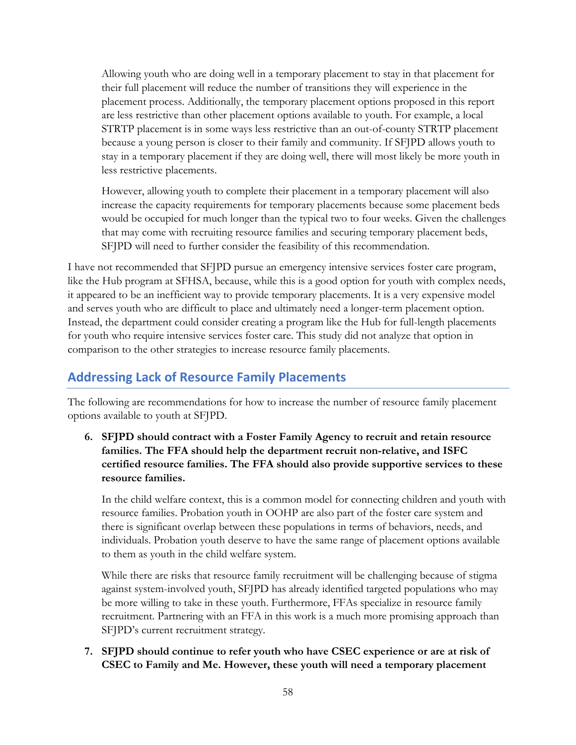Allowing youth who are doing well in a temporary placement to stay in that placement for their full placement will reduce the number of transitions they will experience in the placement process. Additionally, the temporary placement options proposed in this report are less restrictive than other placement options available to youth. For example, a local STRTP placement is in some ways less restrictive than an out-of-county STRTP placement because a young person is closer to their family and community. If SFJPD allows youth to stay in a temporary placement if they are doing well, there will most likely be more youth in less restrictive placements.

However, allowing youth to complete their placement in a temporary placement will also increase the capacity requirements for temporary placements because some placement beds would be occupied for much longer than the typical two to four weeks. Given the challenges that may come with recruiting resource families and securing temporary placement beds, SFJPD will need to further consider the feasibility of this recommendation.

I have not recommended that SFJPD pursue an emergency intensive services foster care program, like the Hub program at SFHSA, because, while this is a good option for youth with complex needs, it appeared to be an inefficient way to provide temporary placements. It is a very expensive model and serves youth who are difficult to place and ultimately need a longer-term placement option. Instead, the department could consider creating a program like the Hub for full-length placements for youth who require intensive services foster care. This study did not analyze that option in comparison to the other strategies to increase resource family placements.

## **Addressing Lack of Resource Family Placements**

The following are recommendations for how to increase the number of resource family placement options available to youth at SFJPD.

**6. SFJPD should contract with a Foster Family Agency to recruit and retain resource families. The FFA should help the department recruit non-relative, and ISFC certified resource families. The FFA should also provide supportive services to these resource families.**

In the child welfare context, this is a common model for connecting children and youth with resource families. Probation youth in OOHP are also part of the foster care system and there is significant overlap between these populations in terms of behaviors, needs, and individuals. Probation youth deserve to have the same range of placement options available to them as youth in the child welfare system.

While there are risks that resource family recruitment will be challenging because of stigma against system-involved youth, SFJPD has already identified targeted populations who may be more willing to take in these youth. Furthermore, FFAs specialize in resource family recruitment. Partnering with an FFA in this work is a much more promising approach than SFJPD's current recruitment strategy.

**7. SFJPD should continue to refer youth who have CSEC experience or are at risk of CSEC to Family and Me. However, these youth will need a temporary placement**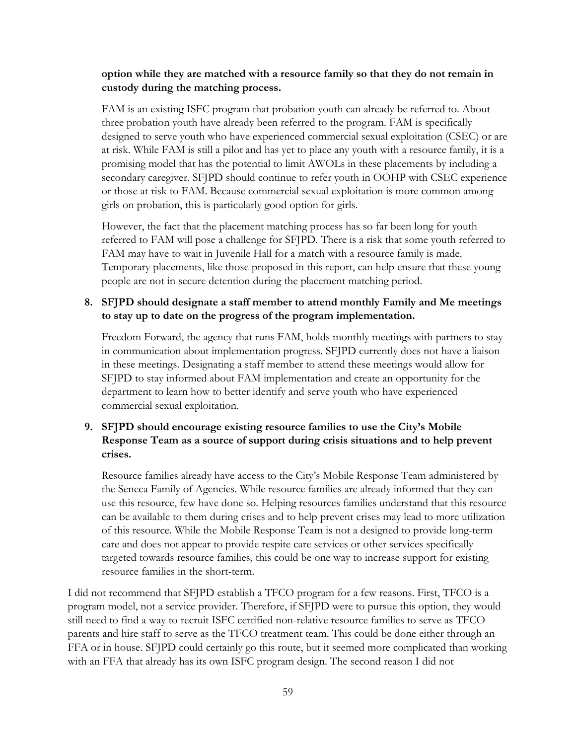#### **option while they are matched with a resource family so that they do not remain in custody during the matching process.**

FAM is an existing ISFC program that probation youth can already be referred to. About three probation youth have already been referred to the program. FAM is specifically designed to serve youth who have experienced commercial sexual exploitation (CSEC) or are at risk. While FAM is still a pilot and has yet to place any youth with a resource family, it is a promising model that has the potential to limit AWOLs in these placements by including a secondary caregiver. SFJPD should continue to refer youth in OOHP with CSEC experience or those at risk to FAM. Because commercial sexual exploitation is more common among girls on probation, this is particularly good option for girls.

However, the fact that the placement matching process has so far been long for youth referred to FAM will pose a challenge for SFJPD. There is a risk that some youth referred to FAM may have to wait in Juvenile Hall for a match with a resource family is made. Temporary placements, like those proposed in this report, can help ensure that these young people are not in secure detention during the placement matching period.

#### **8. SFJPD should designate a staff member to attend monthly Family and Me meetings to stay up to date on the progress of the program implementation.**

Freedom Forward, the agency that runs FAM, holds monthly meetings with partners to stay in communication about implementation progress. SFJPD currently does not have a liaison in these meetings. Designating a staff member to attend these meetings would allow for SFJPD to stay informed about FAM implementation and create an opportunity for the department to learn how to better identify and serve youth who have experienced commercial sexual exploitation.

#### **9. SFJPD should encourage existing resource families to use the City's Mobile Response Team as a source of support during crisis situations and to help prevent crises.**

Resource families already have access to the City's Mobile Response Team administered by the Seneca Family of Agencies. While resource families are already informed that they can use this resource, few have done so. Helping resources families understand that this resource can be available to them during crises and to help prevent crises may lead to more utilization of this resource. While the Mobile Response Team is not a designed to provide long-term care and does not appear to provide respite care services or other services specifically targeted towards resource families, this could be one way to increase support for existing resource families in the short-term.

I did not recommend that SFJPD establish a TFCO program for a few reasons. First, TFCO is a program model, not a service provider. Therefore, if SFJPD were to pursue this option, they would still need to find a way to recruit ISFC certified non-relative resource families to serve as TFCO parents and hire staff to serve as the TFCO treatment team. This could be done either through an FFA or in house. SFJPD could certainly go this route, but it seemed more complicated than working with an FFA that already has its own ISFC program design. The second reason I did not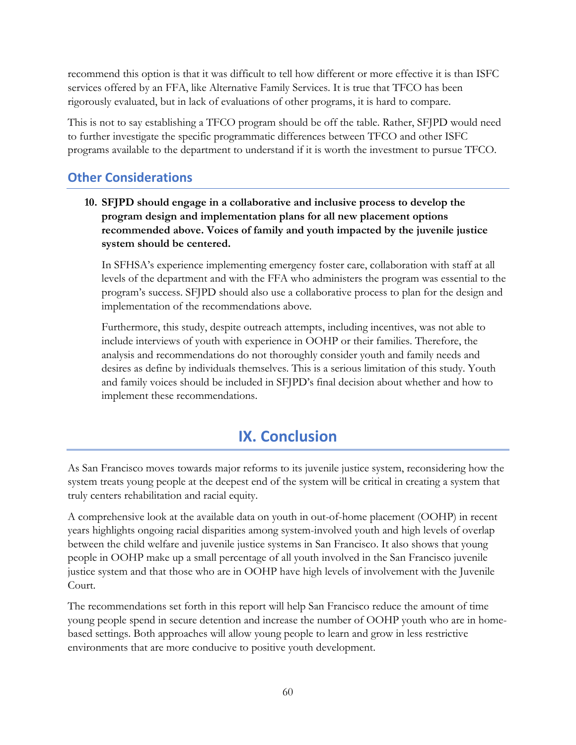recommend this option is that it was difficult to tell how different or more effective it is than ISFC services offered by an FFA, like Alternative Family Services. It is true that TFCO has been rigorously evaluated, but in lack of evaluations of other programs, it is hard to compare.

This is not to say establishing a TFCO program should be off the table. Rather, SFJPD would need to further investigate the specific programmatic differences between TFCO and other ISFC programs available to the department to understand if it is worth the investment to pursue TFCO.

## **Other Considerations**

**10. SFJPD should engage in a collaborative and inclusive process to develop the program design and implementation plans for all new placement options recommended above. Voices of family and youth impacted by the juvenile justice system should be centered.** 

In SFHSA's experience implementing emergency foster care, collaboration with staff at all levels of the department and with the FFA who administers the program was essential to the program's success. SFJPD should also use a collaborative process to plan for the design and implementation of the recommendations above.

Furthermore, this study, despite outreach attempts, including incentives, was not able to include interviews of youth with experience in OOHP or their families. Therefore, the analysis and recommendations do not thoroughly consider youth and family needs and desires as define by individuals themselves. This is a serious limitation of this study. Youth and family voices should be included in SFJPD's final decision about whether and how to implement these recommendations.

# **IX. Conclusion**

<span id="page-60-0"></span>As San Francisco moves towards major reforms to its juvenile justice system, reconsidering how the system treats young people at the deepest end of the system will be critical in creating a system that truly centers rehabilitation and racial equity.

A comprehensive look at the available data on youth in out-of-home placement (OOHP) in recent years highlights ongoing racial disparities among system-involved youth and high levels of overlap between the child welfare and juvenile justice systems in San Francisco. It also shows that young people in OOHP make up a small percentage of all youth involved in the San Francisco juvenile justice system and that those who are in OOHP have high levels of involvement with the Juvenile Court.

The recommendations set forth in this report will help San Francisco reduce the amount of time young people spend in secure detention and increase the number of OOHP youth who are in homebased settings. Both approaches will allow young people to learn and grow in less restrictive environments that are more conducive to positive youth development.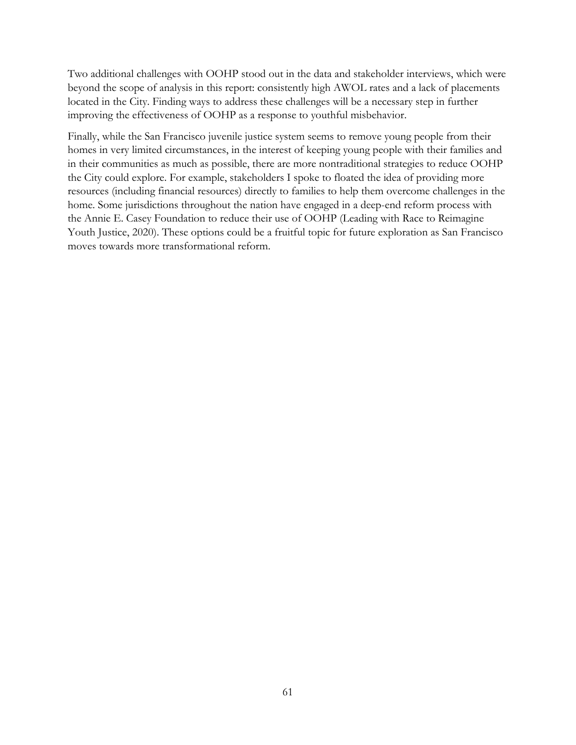Two additional challenges with OOHP stood out in the data and stakeholder interviews, which were beyond the scope of analysis in this report: consistently high AWOL rates and a lack of placements located in the City. Finding ways to address these challenges will be a necessary step in further improving the effectiveness of OOHP as a response to youthful misbehavior.

Finally, while the San Francisco juvenile justice system seems to remove young people from their homes in very limited circumstances, in the interest of keeping young people with their families and in their communities as much as possible, there are more nontraditional strategies to reduce OOHP the City could explore. For example, stakeholders I spoke to floated the idea of providing more resources (including financial resources) directly to families to help them overcome challenges in the home. Some jurisdictions throughout the nation have engaged in a deep-end reform process with the Annie E. Casey Foundation to reduce their use of OOHP (Leading with Race to Reimagine Youth Justice, 2020). These options could be a fruitful topic for future exploration as San Francisco moves towards more transformational reform.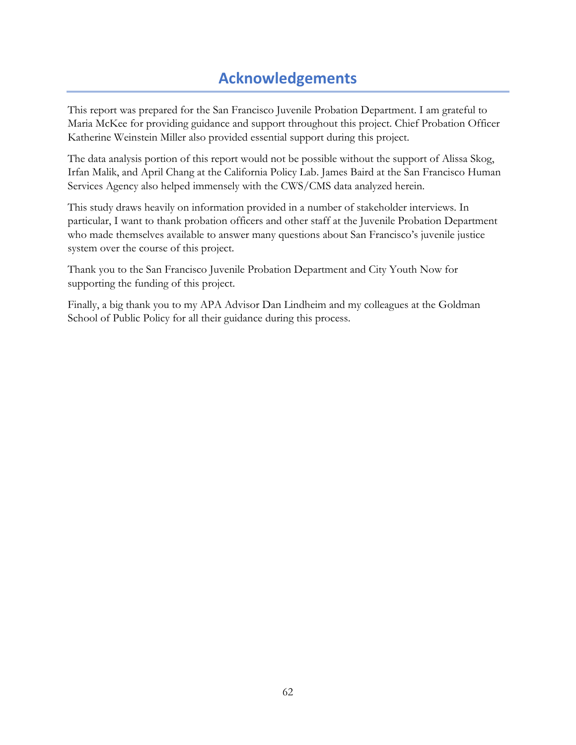# **Acknowledgements**

<span id="page-62-0"></span>This report was prepared for the San Francisco Juvenile Probation Department. I am grateful to Maria McKee for providing guidance and support throughout this project. Chief Probation Officer Katherine Weinstein Miller also provided essential support during this project.

The data analysis portion of this report would not be possible without the support of Alissa Skog, Irfan Malik, and April Chang at the California Policy Lab. James Baird at the San Francisco Human Services Agency also helped immensely with the CWS/CMS data analyzed herein.

This study draws heavily on information provided in a number of stakeholder interviews. In particular, I want to thank probation officers and other staff at the Juvenile Probation Department who made themselves available to answer many questions about San Francisco's juvenile justice system over the course of this project.

Thank you to the San Francisco Juvenile Probation Department and City Youth Now for supporting the funding of this project.

Finally, a big thank you to my APA Advisor Dan Lindheim and my colleagues at the Goldman School of Public Policy for all their guidance during this process.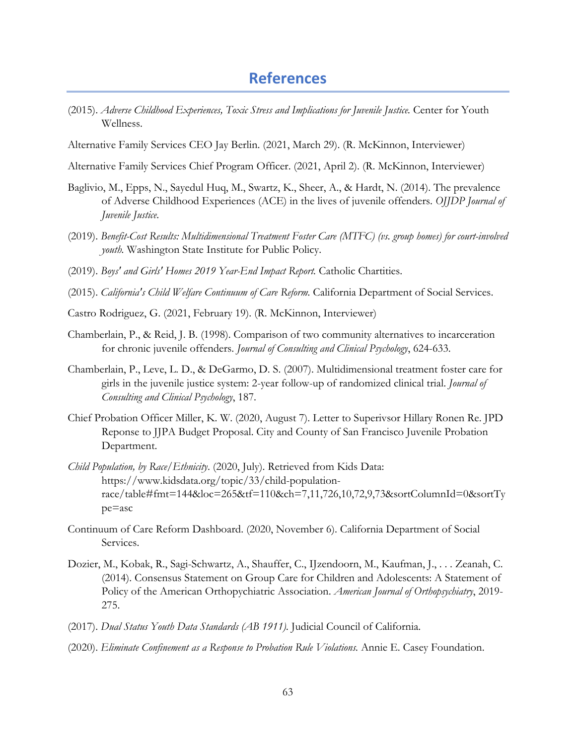## **References**

- <span id="page-63-0"></span>(2015). *Adverse Childhood Experiences, Toxic Stress and Implications for Juvenile Justice.* Center for Youth Wellness.
- Alternative Family Services CEO Jay Berlin. (2021, March 29). (R. McKinnon, Interviewer)

Alternative Family Services Chief Program Officer. (2021, April 2). (R. McKinnon, Interviewer)

- Baglivio, M., Epps, N., Sayedul Huq, M., Swartz, K., Sheer, A., & Hardt, N. (2014). The prevalence of Adverse Childhood Experiences (ACE) in the lives of juvenile offenders. *OJJDP Journal of Juvenile Justice*.
- (2019). *Benefit-Cost Results: Multidimensional Treatment Foster Care (MTFC) (vs. group homes) for court-involved youth.* Washington State Institute for Public Policy.
- (2019). *Boys' and Girls' Homes 2019 Year-End Impact Report.* Catholic Chartities.
- (2015). *California's Child Welfare Continuum of Care Reform.* California Department of Social Services.
- Castro Rodriguez, G. (2021, February 19). (R. McKinnon, Interviewer)
- Chamberlain, P., & Reid, J. B. (1998). Comparison of two community alternatives to incarceration for chronic juvenile offenders. *Journal of Consulting and Clinical Psychology*, 624-633.
- Chamberlain, P., Leve, L. D., & DeGarmo, D. S. (2007). Multidimensional treatment foster care for girls in the juvenile justice system: 2-year follow-up of randomized clinical trial. *Journal of Consulting and Clinical Psychology*, 187.
- Chief Probation Officer Miller, K. W. (2020, August 7). Letter to Superivsor Hillary Ronen Re. JPD Reponse to JJPA Budget Proposal. City and County of San Francisco Juvenile Probation Department.
- *Child Population, by Race/Ethnicity*. (2020, July). Retrieved from Kids Data: https://www.kidsdata.org/topic/33/child-populationrace/table#fmt=144&loc=265&tf=110&ch=7,11,726,10,72,9,73&sortColumnId=0&sortTy pe=asc
- Continuum of Care Reform Dashboard. (2020, November 6). California Department of Social Services.
- Dozier, M., Kobak, R., Sagi-Schwartz, A., Shauffer, C., IJzendoorn, M., Kaufman, J., . . . Zeanah, C. (2014). Consensus Statement on Group Care for Children and Adolescents: A Statement of Policy of the American Orthopychiatric Association. *American Journal of Orthopsychiatry*, 2019- 275.
- (2017). *Dual Status Youth Data Standards (AB 1911).* Judicial Council of California.
- (2020). *Eliminate Confinement as a Response to Probation Rule Violations.* Annie E. Casey Foundation.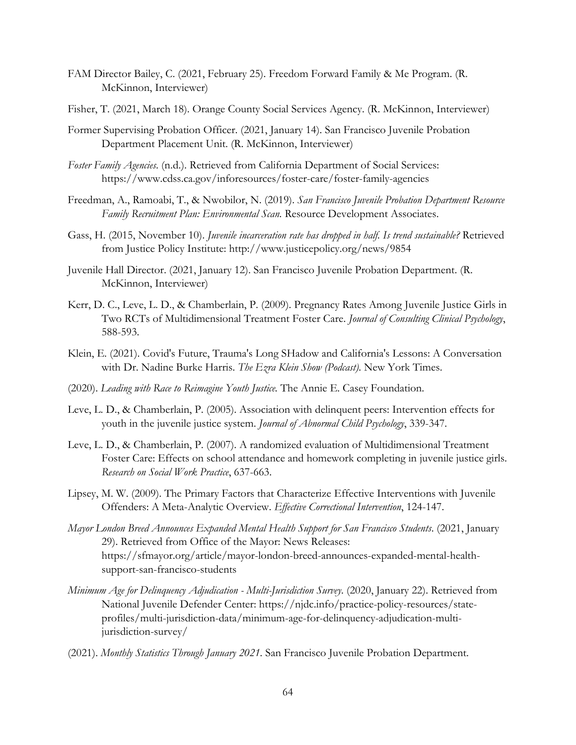- FAM Director Bailey, C. (2021, February 25). Freedom Forward Family & Me Program. (R. McKinnon, Interviewer)
- Fisher, T. (2021, March 18). Orange County Social Services Agency. (R. McKinnon, Interviewer)
- Former Supervising Probation Officer. (2021, January 14). San Francisco Juvenile Probation Department Placement Unit. (R. McKinnon, Interviewer)
- *Foster Family Agencies*. (n.d.). Retrieved from California Department of Social Services: https://www.cdss.ca.gov/inforesources/foster-care/foster-family-agencies
- Freedman, A., Ramoabi, T., & Nwobilor, N. (2019). *San Francisco Juvenile Probation Department Resource Family Recruitment Plan: Environmental Scan.* Resource Development Associates.
- Gass, H. (2015, November 10). *Juvenile incarceration rate has dropped in half. Is trend sustainable?* Retrieved from Justice Policy Institute: http://www.justicepolicy.org/news/9854
- Juvenile Hall Director. (2021, January 12). San Francisco Juvenile Probation Department. (R. McKinnon, Interviewer)
- Kerr, D. C., Leve, L. D., & Chamberlain, P. (2009). Pregnancy Rates Among Juvenile Justice Girls in Two RCTs of Multidimensional Treatment Foster Care. *Journal of Consulting Clinical Psychology*, 588-593.
- Klein, E. (2021). Covid's Future, Trauma's Long SHadow and California's Lessons: A Conversation with Dr. Nadine Burke Harris. *The Ezra Klein Show (Podcast)*. New York Times.
- (2020). *Leading with Race to Reimagine Youth Justice.* The Annie E. Casey Foundation.
- Leve, L. D., & Chamberlain, P. (2005). Association with delinquent peers: Intervention effects for youth in the juvenile justice system. *Journal of Abnormal Child Psychology*, 339-347.
- Leve, L. D., & Chamberlain, P. (2007). A randomized evaluation of Multidimensional Treatment Foster Care: Effects on school attendance and homework completing in juvenile justice girls. *Research on Social Work Practice*, 637-663.
- Lipsey, M. W. (2009). The Primary Factors that Characterize Effective Interventions with Juvenile Offenders: A Meta-Analytic Overview. *Effective Correctional Intervention*, 124-147.
- *Mayor London Breed Announces Expanded Mental Health Support for San Francisco Students*. (2021, January 29). Retrieved from Office of the Mayor: News Releases: https://sfmayor.org/article/mayor-london-breed-announces-expanded-mental-healthsupport-san-francisco-students
- *Minimum Age for Delinquency Adjudication - Multi-Jurisdiction Survey*. (2020, January 22). Retrieved from National Juvenile Defender Center: https://njdc.info/practice-policy-resources/stateprofiles/multi-jurisdiction-data/minimum-age-for-delinquency-adjudication-multijurisdiction-survey/
- (2021). *Monthly Statistics Through January 2021.* San Francisco Juvenile Probation Department.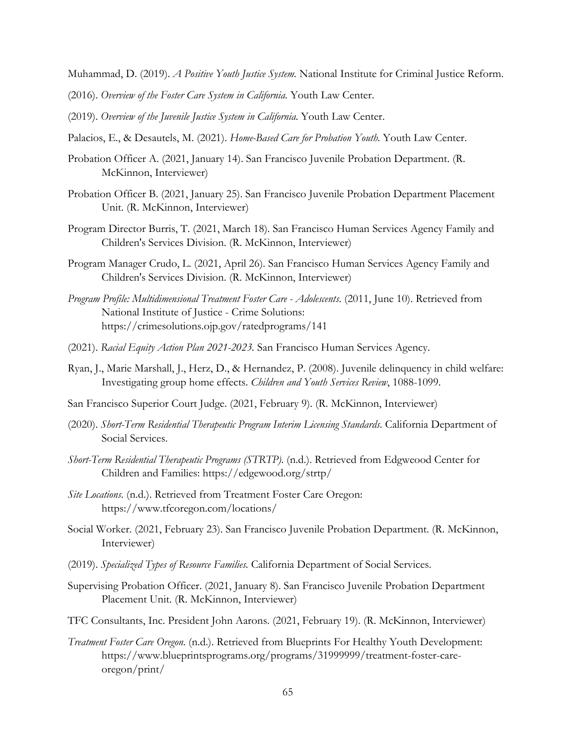Muhammad, D. (2019). *A Positive Youth Justice System.* National Institute for Criminal Justice Reform.

- (2016). *Overview of the Foster Care System in California.* Youth Law Center.
- (2019). *Overview of the Juvenile Justice System in California.* Youth Law Center.
- Palacios, E., & Desautels, M. (2021). *Home-Based Care for Probation Youth.* Youth Law Center.
- Probation Officer A. (2021, January 14). San Francisco Juvenile Probation Department. (R. McKinnon, Interviewer)
- Probation Officer B. (2021, January 25). San Francisco Juvenile Probation Department Placement Unit. (R. McKinnon, Interviewer)
- Program Director Burris, T. (2021, March 18). San Francisco Human Services Agency Family and Children's Services Division. (R. McKinnon, Interviewer)
- Program Manager Crudo, L. (2021, April 26). San Francisco Human Services Agency Family and Children's Services Division. (R. McKinnon, Interviewer)
- *Program Profile: Multidimensional Treatment Foster Care - Adolescents*. (2011, June 10). Retrieved from National Institute of Justice - Crime Solutions: https://crimesolutions.ojp.gov/ratedprograms/141
- (2021). *Racial Equity Action Plan 2021-2023.* San Francisco Human Services Agency.
- Ryan, J., Marie Marshall, J., Herz, D., & Hernandez, P. (2008). Juvenile delinquency in child welfare: Investigating group home effects. *Children and Youth Services Review*, 1088-1099.
- San Francisco Superior Court Judge. (2021, February 9). (R. McKinnon, Interviewer)
- (2020). *Short-Term Residential Therapeutic Program Interim Licensing Standards.* California Department of Social Services.
- *Short-Term Residential Therapeutic Programs (STRTP)*. (n.d.). Retrieved from Edgweood Center for Children and Families: https://edgewood.org/strtp/
- *Site Locations*. (n.d.). Retrieved from Treatment Foster Care Oregon: https://www.tfcoregon.com/locations/
- Social Worker. (2021, February 23). San Francisco Juvenile Probation Department. (R. McKinnon, Interviewer)
- (2019). *Specialized Types of Resource Families.* California Department of Social Services.
- Supervising Probation Officer. (2021, January 8). San Francisco Juvenile Probation Department Placement Unit. (R. McKinnon, Interviewer)
- TFC Consultants, Inc. President John Aarons. (2021, February 19). (R. McKinnon, Interviewer)
- *Treatment Foster Care Oregon*. (n.d.). Retrieved from Blueprints For Healthy Youth Development: https://www.blueprintsprograms.org/programs/31999999/treatment-foster-careoregon/print/